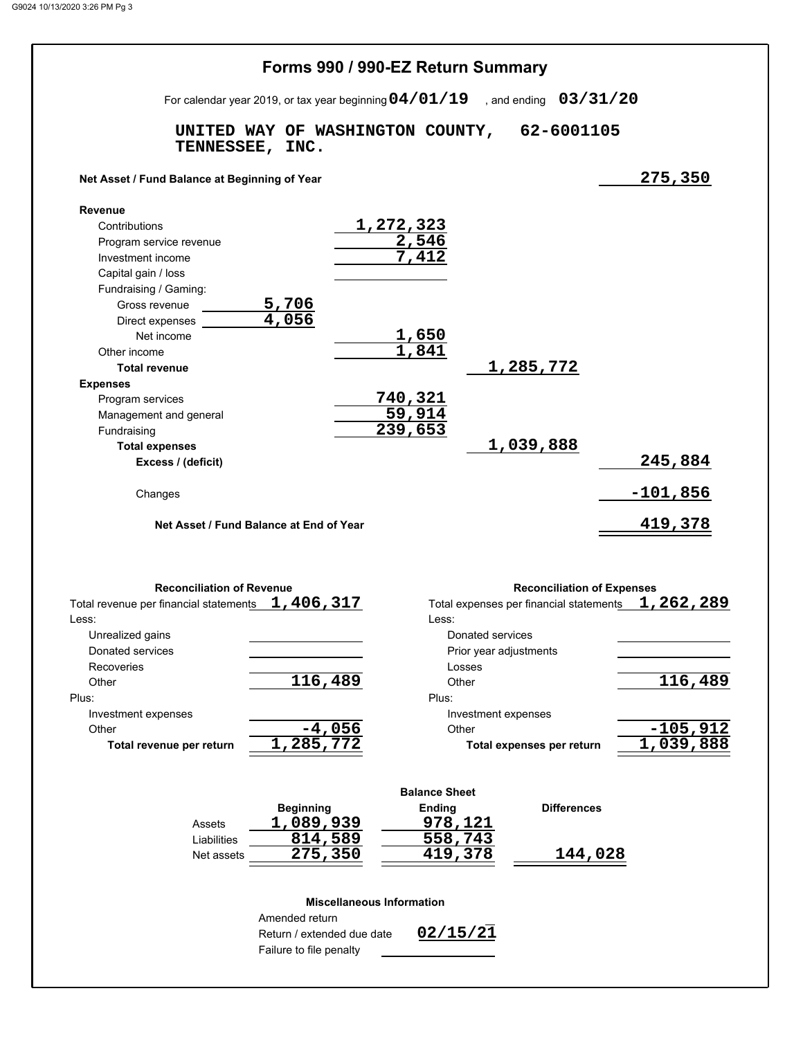|                                                                                  | Forms 990 / 990-EZ Return Summary  |                                         |            |
|----------------------------------------------------------------------------------|------------------------------------|-----------------------------------------|------------|
| For calendar year 2019, or tax year beginning $04/01/19$ , and ending $03/31/20$ |                                    |                                         |            |
| UNITED WAY OF WASHINGTON COUNTY,                                                 |                                    | 62-6001105                              |            |
| TENNESSEE, INC.                                                                  |                                    |                                         |            |
| Net Asset / Fund Balance at Beginning of Year                                    |                                    |                                         | 275,350    |
| <b>Revenue</b>                                                                   |                                    |                                         |            |
| Contributions                                                                    |                                    |                                         |            |
| Program service revenue                                                          | $\frac{1,272,323}{2,546}$<br>7,412 |                                         |            |
| Investment income                                                                |                                    |                                         |            |
| Capital gain / loss                                                              |                                    |                                         |            |
| Fundraising / Gaming:                                                            |                                    |                                         |            |
| 5,706<br>Gross revenue                                                           |                                    |                                         |            |
| $\overline{4,056}$<br>Direct expenses                                            |                                    |                                         |            |
| Net income                                                                       |                                    |                                         |            |
| Other income                                                                     | <u>1,650</u><br>1,841              |                                         |            |
| <b>Total revenue</b>                                                             |                                    | 1,285,772                               |            |
| <b>Expenses</b>                                                                  |                                    |                                         |            |
| Program services                                                                 | 740,321                            |                                         |            |
| Management and general                                                           |                                    |                                         |            |
| Fundraising                                                                      | $\frac{59,914}{239,653}$           |                                         |            |
| <b>Total expenses</b>                                                            |                                    | 1,039,888                               |            |
| Excess / (deficit)                                                               |                                    |                                         | 245,884    |
| Changes                                                                          |                                    |                                         | $-101,856$ |
|                                                                                  |                                    |                                         |            |
| Net Asset / Fund Balance at End of Year                                          |                                    |                                         | 419,378    |
|                                                                                  |                                    |                                         |            |
| <b>Reconciliation of Revenue</b>                                                 |                                    | <b>Reconciliation of Expenses</b>       |            |
| Total revenue per financial statements $1,406,317$                               |                                    | Total expenses per financial statements | 1,262,289  |
| Less:                                                                            | Less:                              |                                         |            |
| Unrealized gains                                                                 | Donated services                   |                                         |            |
| Donated services                                                                 | Prior year adjustments             |                                         |            |
| Recoveries                                                                       | Losses                             |                                         |            |
| 116,489<br>Other                                                                 | Other                              |                                         | 116,489    |
| Plus:                                                                            | Plus:                              |                                         |            |
| Investment expenses                                                              | Investment expenses                |                                         |            |
| $-4,056$<br>Other                                                                | Other                              |                                         | $-105,912$ |
| 1,285,772<br>Total revenue per return                                            |                                    | Total expenses per return               | 1,039,888  |
|                                                                                  | <b>Balance Sheet</b>               |                                         |            |
|                                                                                  | Ending                             | <b>Differences</b>                      |            |
|                                                                                  |                                    |                                         |            |
| <b>Beginning</b><br>Assets                                                       |                                    |                                         |            |
| 1,089,939<br>Liabilities                                                         | 978,121                            |                                         |            |
| 814,589<br>275,350<br>Net assets                                                 | 558,743<br>419,378                 | 144,028                                 |            |

Amended return

Return / extended due date **02/15/21** Failure to file penalty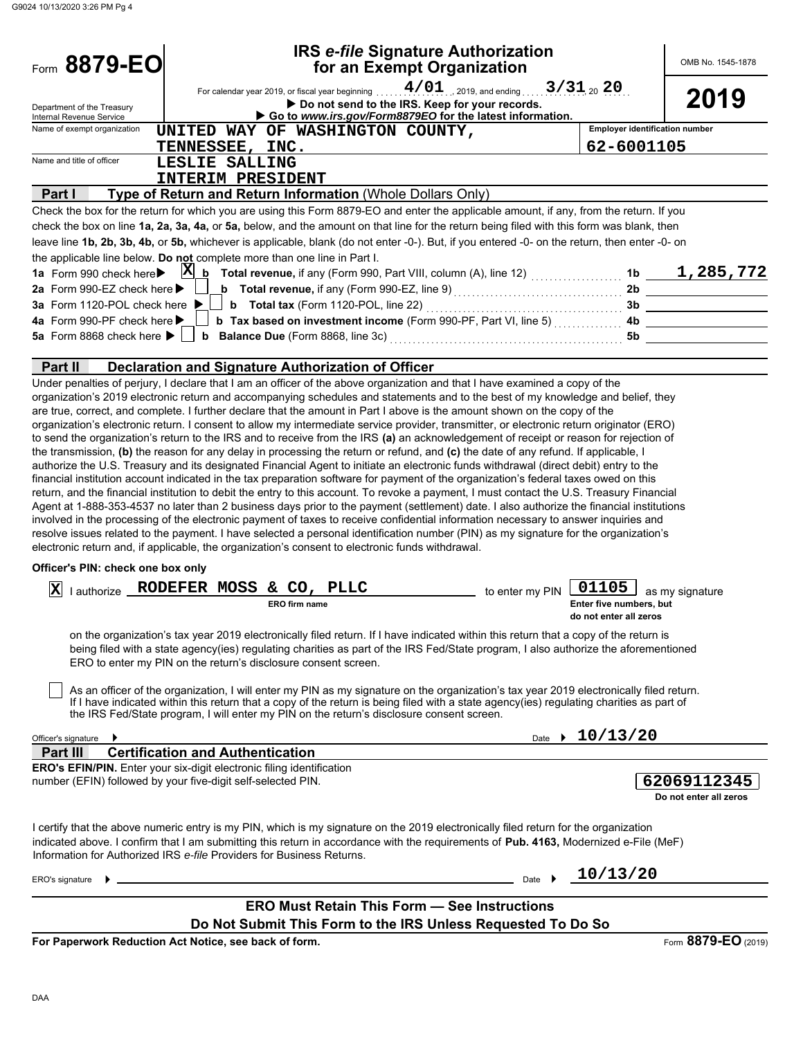| Form 8879-EO                                                                             |                                         | <b>IRS e-file Signature Authorization</b><br>for an Exempt Organization                                                                                                                                                                                                                                                                                                                                                                                                                                                                                                                                                                                                                                                                                                                                                                                                                                                                                                                                                                                                                                                                                                                                                                                                                                                                                                                                                                                                                                                                                                                                                                                                                                                                                                                                                                                                                                                                                                                                                                                                                                                                                                                                                                                                                                          |                    |                                                            | OMB No. 1545-1878                     |
|------------------------------------------------------------------------------------------|-----------------------------------------|------------------------------------------------------------------------------------------------------------------------------------------------------------------------------------------------------------------------------------------------------------------------------------------------------------------------------------------------------------------------------------------------------------------------------------------------------------------------------------------------------------------------------------------------------------------------------------------------------------------------------------------------------------------------------------------------------------------------------------------------------------------------------------------------------------------------------------------------------------------------------------------------------------------------------------------------------------------------------------------------------------------------------------------------------------------------------------------------------------------------------------------------------------------------------------------------------------------------------------------------------------------------------------------------------------------------------------------------------------------------------------------------------------------------------------------------------------------------------------------------------------------------------------------------------------------------------------------------------------------------------------------------------------------------------------------------------------------------------------------------------------------------------------------------------------------------------------------------------------------------------------------------------------------------------------------------------------------------------------------------------------------------------------------------------------------------------------------------------------------------------------------------------------------------------------------------------------------------------------------------------------------------------------------------------------------|--------------------|------------------------------------------------------------|---------------------------------------|
| Department of the Treasury                                                               |                                         | For calendar year 2019, or fiscal year beginning $4/01$ , 2019, and ending $3/31$ 20 20<br>Do not send to the IRS. Keep for your records.                                                                                                                                                                                                                                                                                                                                                                                                                                                                                                                                                                                                                                                                                                                                                                                                                                                                                                                                                                                                                                                                                                                                                                                                                                                                                                                                                                                                                                                                                                                                                                                                                                                                                                                                                                                                                                                                                                                                                                                                                                                                                                                                                                        |                    |                                                            | 2019                                  |
| Internal Revenue Service                                                                 |                                         | Go to www.irs.gov/Form8879EO for the latest information.                                                                                                                                                                                                                                                                                                                                                                                                                                                                                                                                                                                                                                                                                                                                                                                                                                                                                                                                                                                                                                                                                                                                                                                                                                                                                                                                                                                                                                                                                                                                                                                                                                                                                                                                                                                                                                                                                                                                                                                                                                                                                                                                                                                                                                                         |                    |                                                            |                                       |
| Name of exempt organization                                                              |                                         | UNITED WAY OF WASHINGTON COUNTY,                                                                                                                                                                                                                                                                                                                                                                                                                                                                                                                                                                                                                                                                                                                                                                                                                                                                                                                                                                                                                                                                                                                                                                                                                                                                                                                                                                                                                                                                                                                                                                                                                                                                                                                                                                                                                                                                                                                                                                                                                                                                                                                                                                                                                                                                                 |                    | <b>Employer identification number</b>                      |                                       |
|                                                                                          | TENNESSEE, INC.                         |                                                                                                                                                                                                                                                                                                                                                                                                                                                                                                                                                                                                                                                                                                                                                                                                                                                                                                                                                                                                                                                                                                                                                                                                                                                                                                                                                                                                                                                                                                                                                                                                                                                                                                                                                                                                                                                                                                                                                                                                                                                                                                                                                                                                                                                                                                                  |                    | 62-6001105                                                 |                                       |
| Name and title of officer                                                                | LESLIE SALLING                          |                                                                                                                                                                                                                                                                                                                                                                                                                                                                                                                                                                                                                                                                                                                                                                                                                                                                                                                                                                                                                                                                                                                                                                                                                                                                                                                                                                                                                                                                                                                                                                                                                                                                                                                                                                                                                                                                                                                                                                                                                                                                                                                                                                                                                                                                                                                  |                    |                                                            |                                       |
|                                                                                          | <b>INTERIM PRESIDENT</b>                |                                                                                                                                                                                                                                                                                                                                                                                                                                                                                                                                                                                                                                                                                                                                                                                                                                                                                                                                                                                                                                                                                                                                                                                                                                                                                                                                                                                                                                                                                                                                                                                                                                                                                                                                                                                                                                                                                                                                                                                                                                                                                                                                                                                                                                                                                                                  |                    |                                                            |                                       |
| Part I                                                                                   |                                         | Type of Return and Return Information (Whole Dollars Only)                                                                                                                                                                                                                                                                                                                                                                                                                                                                                                                                                                                                                                                                                                                                                                                                                                                                                                                                                                                                                                                                                                                                                                                                                                                                                                                                                                                                                                                                                                                                                                                                                                                                                                                                                                                                                                                                                                                                                                                                                                                                                                                                                                                                                                                       |                    |                                                            |                                       |
| the applicable line below. Do not complete more than one line in Part I.                 |                                         | Check the box for the return for which you are using this Form 8879-EO and enter the applicable amount, if any, from the return. If you<br>check the box on line 1a, 2a, 3a, 4a, or 5a, below, and the amount on that line for the return being filed with this form was blank, then<br>leave line 1b, 2b, 3b, 4b, or 5b, whichever is applicable, blank (do not enter -0-). But, if you entered -0- on the return, then enter -0- on                                                                                                                                                                                                                                                                                                                                                                                                                                                                                                                                                                                                                                                                                                                                                                                                                                                                                                                                                                                                                                                                                                                                                                                                                                                                                                                                                                                                                                                                                                                                                                                                                                                                                                                                                                                                                                                                            |                    |                                                            |                                       |
| 1a Form 990 check here                                                                   |                                         |                                                                                                                                                                                                                                                                                                                                                                                                                                                                                                                                                                                                                                                                                                                                                                                                                                                                                                                                                                                                                                                                                                                                                                                                                                                                                                                                                                                                                                                                                                                                                                                                                                                                                                                                                                                                                                                                                                                                                                                                                                                                                                                                                                                                                                                                                                                  |                    |                                                            |                                       |
| 2a Form 990-EZ check here $\blacktriangleright$                                          |                                         | <b>_b  Total revenue,</b> if any (Form 990-EZ, line 9) <sub>.</sub> .............................                                                                                                                                                                                                                                                                                                                                                                                                                                                                                                                                                                                                                                                                                                                                                                                                                                                                                                                                                                                                                                                                                                                                                                                                                                                                                                                                                                                                                                                                                                                                                                                                                                                                                                                                                                                                                                                                                                                                                                                                                                                                                                                                                                                                                |                    |                                                            | 2b                                    |
| <b>3a</b> Form 1120-POL check here ▶                                                     |                                         | $\Box$ <b>b</b> Total tax (Form 1120-POL, line 22)                                                                                                                                                                                                                                                                                                                                                                                                                                                                                                                                                                                                                                                                                                                                                                                                                                                                                                                                                                                                                                                                                                                                                                                                                                                                                                                                                                                                                                                                                                                                                                                                                                                                                                                                                                                                                                                                                                                                                                                                                                                                                                                                                                                                                                                               |                    |                                                            |                                       |
| 4a Form 990-PF check here ▶                                                              |                                         | b Tax based on investment income (Form 990-PF, Part VI, line 5)                                                                                                                                                                                                                                                                                                                                                                                                                                                                                                                                                                                                                                                                                                                                                                                                                                                                                                                                                                                                                                                                                                                                                                                                                                                                                                                                                                                                                                                                                                                                                                                                                                                                                                                                                                                                                                                                                                                                                                                                                                                                                                                                                                                                                                                  |                    |                                                            | 4b                                    |
| 5a Form 8868 check here $\blacktriangleright$                                            |                                         |                                                                                                                                                                                                                                                                                                                                                                                                                                                                                                                                                                                                                                                                                                                                                                                                                                                                                                                                                                                                                                                                                                                                                                                                                                                                                                                                                                                                                                                                                                                                                                                                                                                                                                                                                                                                                                                                                                                                                                                                                                                                                                                                                                                                                                                                                                                  |                    |                                                            |                                       |
| Part II                                                                                  |                                         | Declaration and Signature Authorization of Officer                                                                                                                                                                                                                                                                                                                                                                                                                                                                                                                                                                                                                                                                                                                                                                                                                                                                                                                                                                                                                                                                                                                                                                                                                                                                                                                                                                                                                                                                                                                                                                                                                                                                                                                                                                                                                                                                                                                                                                                                                                                                                                                                                                                                                                                               |                    |                                                            |                                       |
| Officer's PIN: check one box only<br> x                                                  |                                         | are true, correct, and complete. I further declare that the amount in Part I above is the amount shown on the copy of the<br>organization's electronic return. I consent to allow my intermediate service provider, transmitter, or electronic return originator (ERO)<br>to send the organization's return to the IRS and to receive from the IRS (a) an acknowledgement of receipt or reason for rejection of<br>the transmission, (b) the reason for any delay in processing the return or refund, and (c) the date of any refund. If applicable, I<br>authorize the U.S. Treasury and its designated Financial Agent to initiate an electronic funds withdrawal (direct debit) entry to the<br>financial institution account indicated in the tax preparation software for payment of the organization's federal taxes owed on this<br>return, and the financial institution to debit the entry to this account. To revoke a payment, I must contact the U.S. Treasury Financial<br>Agent at 1-888-353-4537 no later than 2 business days prior to the payment (settlement) date. I also authorize the financial institutions<br>involved in the processing of the electronic payment of taxes to receive confidential information necessary to answer inquiries and<br>resolve issues related to the payment. I have selected a personal identification number (PIN) as my signature for the organization's<br>electronic return and, if applicable, the organization's consent to electronic funds withdrawal.<br>lauthorize RODEFER MOSS & CO, PLLC<br>ERO firm name<br>on the organization's tax year 2019 electronically filed return. If I have indicated within this return that a copy of the return is<br>being filed with a state agency(ies) regulating charities as part of the IRS Fed/State program, I also authorize the aforementioned<br>ERO to enter my PIN on the return's disclosure consent screen.<br>As an officer of the organization, I will enter my PIN as my signature on the organization's tax year 2019 electronically filed return.<br>If I have indicated within this return that a copy of the return is being filed with a state agency(ies) regulating charities as part of<br>the IRS Fed/State program, I will enter my PIN on the return's disclosure consent screen. | to enter my PIN    | 01105<br>Enter five numbers, but<br>do not enter all zeros | as my signature                       |
| Officer's signature                                                                      |                                         |                                                                                                                                                                                                                                                                                                                                                                                                                                                                                                                                                                                                                                                                                                                                                                                                                                                                                                                                                                                                                                                                                                                                                                                                                                                                                                                                                                                                                                                                                                                                                                                                                                                                                                                                                                                                                                                                                                                                                                                                                                                                                                                                                                                                                                                                                                                  |                    | Date $\rightarrow 10/13/20$                                |                                       |
| Part III                                                                                 | <b>Certification and Authentication</b> |                                                                                                                                                                                                                                                                                                                                                                                                                                                                                                                                                                                                                                                                                                                                                                                                                                                                                                                                                                                                                                                                                                                                                                                                                                                                                                                                                                                                                                                                                                                                                                                                                                                                                                                                                                                                                                                                                                                                                                                                                                                                                                                                                                                                                                                                                                                  |                    |                                                            |                                       |
| ERO's EFIN/PIN. Enter your six-digit electronic filing identification                    |                                         |                                                                                                                                                                                                                                                                                                                                                                                                                                                                                                                                                                                                                                                                                                                                                                                                                                                                                                                                                                                                                                                                                                                                                                                                                                                                                                                                                                                                                                                                                                                                                                                                                                                                                                                                                                                                                                                                                                                                                                                                                                                                                                                                                                                                                                                                                                                  |                    |                                                            |                                       |
| number (EFIN) followed by your five-digit self-selected PIN.                             |                                         |                                                                                                                                                                                                                                                                                                                                                                                                                                                                                                                                                                                                                                                                                                                                                                                                                                                                                                                                                                                                                                                                                                                                                                                                                                                                                                                                                                                                                                                                                                                                                                                                                                                                                                                                                                                                                                                                                                                                                                                                                                                                                                                                                                                                                                                                                                                  |                    |                                                            | 62069112345<br>Do not enter all zeros |
| Information for Authorized IRS e-file Providers for Business Returns.<br>ERO's signature |                                         | I certify that the above numeric entry is my PIN, which is my signature on the 2019 electronically filed return for the organization<br>indicated above. I confirm that I am submitting this return in accordance with the requirements of Pub. 4163, Modernized e-File (MeF)                                                                                                                                                                                                                                                                                                                                                                                                                                                                                                                                                                                                                                                                                                                                                                                                                                                                                                                                                                                                                                                                                                                                                                                                                                                                                                                                                                                                                                                                                                                                                                                                                                                                                                                                                                                                                                                                                                                                                                                                                                    | Date $\rightarrow$ | 10/13/20                                                   |                                       |
|                                                                                          |                                         |                                                                                                                                                                                                                                                                                                                                                                                                                                                                                                                                                                                                                                                                                                                                                                                                                                                                                                                                                                                                                                                                                                                                                                                                                                                                                                                                                                                                                                                                                                                                                                                                                                                                                                                                                                                                                                                                                                                                                                                                                                                                                                                                                                                                                                                                                                                  |                    |                                                            |                                       |
|                                                                                          |                                         | <b>ERO Must Retain This Form - See Instructions</b>                                                                                                                                                                                                                                                                                                                                                                                                                                                                                                                                                                                                                                                                                                                                                                                                                                                                                                                                                                                                                                                                                                                                                                                                                                                                                                                                                                                                                                                                                                                                                                                                                                                                                                                                                                                                                                                                                                                                                                                                                                                                                                                                                                                                                                                              |                    |                                                            |                                       |
|                                                                                          |                                         | Do Not Submit This Form to the IRS Unless Requested To Do So                                                                                                                                                                                                                                                                                                                                                                                                                                                                                                                                                                                                                                                                                                                                                                                                                                                                                                                                                                                                                                                                                                                                                                                                                                                                                                                                                                                                                                                                                                                                                                                                                                                                                                                                                                                                                                                                                                                                                                                                                                                                                                                                                                                                                                                     |                    |                                                            |                                       |
| For Paperwork Reduction Act Notice, see back of form.                                    |                                         |                                                                                                                                                                                                                                                                                                                                                                                                                                                                                                                                                                                                                                                                                                                                                                                                                                                                                                                                                                                                                                                                                                                                                                                                                                                                                                                                                                                                                                                                                                                                                                                                                                                                                                                                                                                                                                                                                                                                                                                                                                                                                                                                                                                                                                                                                                                  |                    |                                                            | Form 8879-EO (2019)                   |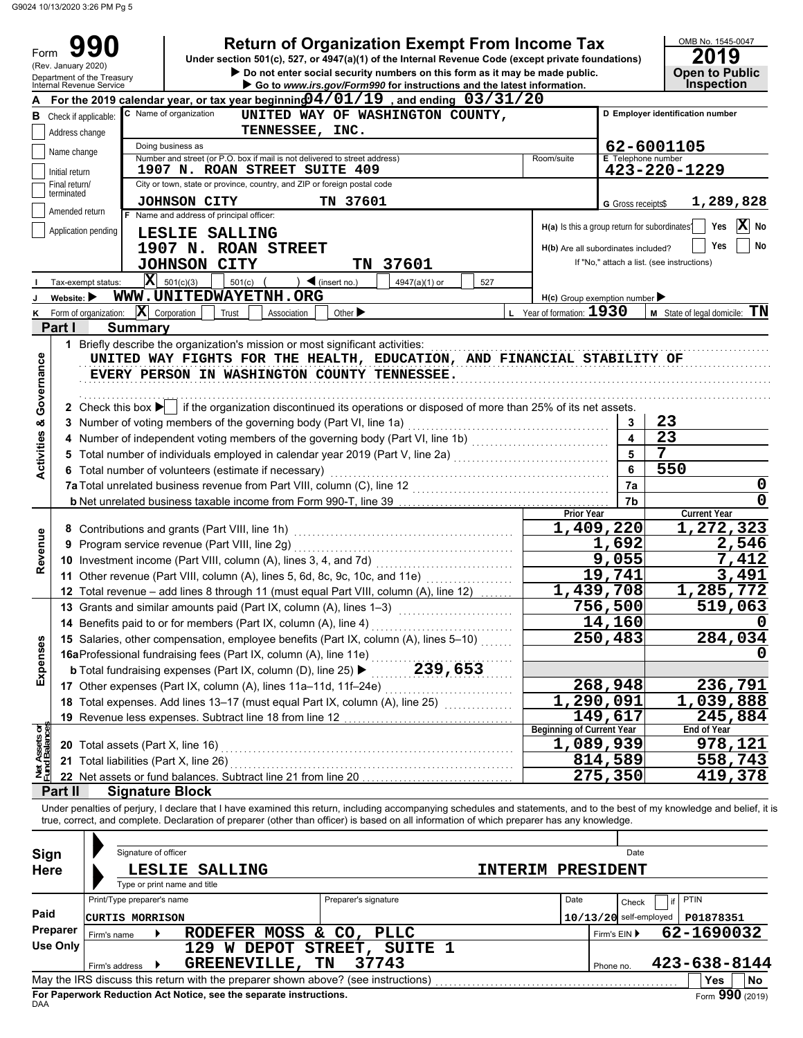G9024 10/13/2020 3:26 PM Pg 5

| Form                           | (Rev. January 2020)            |                                                                                                                                           | Under section 501(c), 527, or 4947(a)(1) of the Internal Revenue Code (except private foundations)                                                                                                                                                                                                                       | <b>Return of Organization Exempt From Income Tax</b>                                                                                                  |                |                                              |                           | OMB No. 1545-0047<br>2019                       |
|--------------------------------|--------------------------------|-------------------------------------------------------------------------------------------------------------------------------------------|--------------------------------------------------------------------------------------------------------------------------------------------------------------------------------------------------------------------------------------------------------------------------------------------------------------------------|-------------------------------------------------------------------------------------------------------------------------------------------------------|----------------|----------------------------------------------|---------------------------|-------------------------------------------------|
|                                |                                | Department of the Treasury<br>Internal Revenue Service                                                                                    |                                                                                                                                                                                                                                                                                                                          | Do not enter social security numbers on this form as it may be made public.<br>Go to www.irs.gov/Form990 for instructions and the latest information. |                |                                              |                           | <b>Open to Public</b><br><b>Inspection</b>      |
|                                |                                |                                                                                                                                           | For the 2019 calendar year, or tax year beginning $04/01/19$ , and ending $03/31/20$                                                                                                                                                                                                                                     |                                                                                                                                                       |                |                                              |                           |                                                 |
|                                |                                | <b>B</b> Check if applicable:                                                                                                             | C Name of organization                                                                                                                                                                                                                                                                                                   | UNITED WAY OF WASHINGTON COUNTY,                                                                                                                      |                |                                              |                           | D Employer identification number                |
|                                | Address change                 |                                                                                                                                           | TENNESSEE, INC.                                                                                                                                                                                                                                                                                                          |                                                                                                                                                       |                |                                              |                           |                                                 |
|                                | Name change                    |                                                                                                                                           | Doing business as<br>Number and street (or P.O. box if mail is not delivered to street address)                                                                                                                                                                                                                          |                                                                                                                                                       |                | Room/suite                                   | <b>E</b> Telephone number | 62-6001105                                      |
|                                | Initial return                 |                                                                                                                                           | 1907 N. ROAN STREET SUITE 409                                                                                                                                                                                                                                                                                            |                                                                                                                                                       |                |                                              |                           | 423-220-1229                                    |
|                                | Final return/<br>terminated    |                                                                                                                                           | City or town, state or province, country, and ZIP or foreign postal code                                                                                                                                                                                                                                                 |                                                                                                                                                       |                |                                              |                           |                                                 |
|                                | Amended return                 |                                                                                                                                           | <b>JOHNSON CITY</b><br>F Name and address of principal officer:                                                                                                                                                                                                                                                          | <b>TN 37601</b>                                                                                                                                       |                |                                              | G Gross receipts\$        | 1,289,828                                       |
|                                |                                | Application pending                                                                                                                       | LESLIE SALLING                                                                                                                                                                                                                                                                                                           |                                                                                                                                                       |                | H(a) Is this a group return for subordinates |                           | X<br>Yes<br>No                                  |
|                                |                                |                                                                                                                                           | 1907 N. ROAN STREET                                                                                                                                                                                                                                                                                                      |                                                                                                                                                       |                | H(b) Are all subordinates included?          |                           | Yes<br>No                                       |
|                                |                                |                                                                                                                                           | <b>JOHNSON CITY</b>                                                                                                                                                                                                                                                                                                      | 37601<br>TN                                                                                                                                           |                |                                              |                           | If "No," attach a list. (see instructions)      |
|                                |                                | Tax-exempt status:                                                                                                                        | $ \mathbf{X} $ 501(c)(3)<br>501(c)                                                                                                                                                                                                                                                                                       | $\int$ (insert no.)<br>4947(a)(1) or                                                                                                                  | 527            |                                              |                           |                                                 |
|                                | Website: $\blacktriangleright$ |                                                                                                                                           | WWW.UNITEDWAYETNH.ORG                                                                                                                                                                                                                                                                                                    |                                                                                                                                                       |                | $H(c)$ Group exemption number                |                           |                                                 |
|                                |                                | K Form of organization:                                                                                                                   | $ \mathbf{X} $ Corporation<br>Trust<br>Association                                                                                                                                                                                                                                                                       | Other $\blacktriangleright$                                                                                                                           |                | L Year of formation: $1930$                  |                           | <b>M</b> State of legal domicile: $\mathbf{T}N$ |
|                                | Part I                         | <b>Summary</b>                                                                                                                            |                                                                                                                                                                                                                                                                                                                          |                                                                                                                                                       |                |                                              |                           |                                                 |
|                                |                                |                                                                                                                                           | 1 Briefly describe the organization's mission or most significant activities:                                                                                                                                                                                                                                            |                                                                                                                                                       |                |                                              |                           |                                                 |
| Governance                     |                                |                                                                                                                                           | UNITED WAY FIGHTS FOR THE HEALTH, EDUCATION, AND FINANCIAL STABILITY OF                                                                                                                                                                                                                                                  |                                                                                                                                                       |                |                                              |                           |                                                 |
|                                |                                |                                                                                                                                           | EVERY PERSON IN WASHINGTON COUNTY TENNESSEE.                                                                                                                                                                                                                                                                             |                                                                                                                                                       |                |                                              |                           |                                                 |
|                                |                                |                                                                                                                                           | 2 Check this box $\blacktriangleright$ if the organization discontinued its operations or disposed of more than 25% of its net assets.                                                                                                                                                                                   |                                                                                                                                                       |                |                                              |                           |                                                 |
|                                |                                |                                                                                                                                           | 3 Number of voting members of the governing body (Part VI, line 1a)                                                                                                                                                                                                                                                      |                                                                                                                                                       |                |                                              | 3                         | 23                                              |
|                                |                                |                                                                                                                                           | 4 Number of independent voting members of the governing body (Part VI, line 1b) [[[[[[[[[[[[[[[[[[[[[[[[[[[[[                                                                                                                                                                                                            |                                                                                                                                                       |                |                                              | $\overline{\mathbf{4}}$   | 23                                              |
| <b>Activities &amp;</b>        |                                |                                                                                                                                           |                                                                                                                                                                                                                                                                                                                          | 5                                                                                                                                                     | 7              |                                              |                           |                                                 |
|                                |                                |                                                                                                                                           | 6 Total number of volunteers (estimate if necessary)                                                                                                                                                                                                                                                                     |                                                                                                                                                       |                |                                              | 6                         | 550                                             |
|                                |                                |                                                                                                                                           |                                                                                                                                                                                                                                                                                                                          | 7a                                                                                                                                                    |                |                                              |                           |                                                 |
|                                |                                | b Net unrelated business taxable income from Form 990-T, line 39 [10] [10] Net unrelated business taxable income from Form 990-T, line 39 |                                                                                                                                                                                                                                                                                                                          | 7b                                                                                                                                                    | 0              |                                              |                           |                                                 |
|                                |                                |                                                                                                                                           |                                                                                                                                                                                                                                                                                                                          |                                                                                                                                                       |                | Prior Year                                   | 1,409,220                 | <b>Current Year</b><br>1,272,323                |
|                                |                                | 8 Contributions and grants (Part VIII, line 1h)<br>9 Program service revenue (Part VIII, line 2g)                                         |                                                                                                                                                                                                                                                                                                                          |                                                                                                                                                       |                |                                              |                           | 2,546                                           |
| Revenue                        |                                |                                                                                                                                           |                                                                                                                                                                                                                                                                                                                          |                                                                                                                                                       | 1,692<br>9,055 | 7,412                                        |                           |                                                 |
|                                |                                |                                                                                                                                           |                                                                                                                                                                                                                                                                                                                          |                                                                                                                                                       | 19,741         | 3,491                                        |                           |                                                 |
|                                |                                |                                                                                                                                           | 12 Total revenue - add lines 8 through 11 (must equal Part VIII, column (A), line 12)                                                                                                                                                                                                                                    |                                                                                                                                                       |                |                                              | 1,439,708                 | 1,285,772                                       |
|                                |                                |                                                                                                                                           | 13 Grants and similar amounts paid (Part IX, column (A), lines 1-3)                                                                                                                                                                                                                                                      |                                                                                                                                                       |                |                                              | 756,500                   | 519,063                                         |
|                                |                                |                                                                                                                                           | 14 Benefits paid to or for members (Part IX, column (A), line 4)                                                                                                                                                                                                                                                         |                                                                                                                                                       |                |                                              | 14,160                    |                                                 |
|                                |                                |                                                                                                                                           | 15 Salaries, other compensation, employee benefits (Part IX, column (A), lines 5-10)                                                                                                                                                                                                                                     |                                                                                                                                                       |                |                                              | 250,483                   | 284,034                                         |
| Expenses                       |                                |                                                                                                                                           | 16aProfessional fundraising fees (Part IX, column (A), line 11e)                                                                                                                                                                                                                                                         |                                                                                                                                                       |                |                                              |                           |                                                 |
|                                |                                |                                                                                                                                           | <b>b</b> Total fundraising expenses (Part IX, column (D), line 25) ▶                                                                                                                                                                                                                                                     |                                                                                                                                                       | 239,653        |                                              |                           |                                                 |
|                                |                                |                                                                                                                                           | 17 Other expenses (Part IX, column (A), lines 11a-11d, 11f-24e)<br>18 Total expenses. Add lines 13-17 (must equal Part IX, column (A), line 25)                                                                                                                                                                          |                                                                                                                                                       | .              | 1,290,091                                    | 268,948                   | 236,791<br>1,039,888                            |
|                                |                                |                                                                                                                                           | 19 Revenue less expenses. Subtract line 18 from line 12                                                                                                                                                                                                                                                                  |                                                                                                                                                       |                |                                              | 149,617                   | 245,884                                         |
|                                |                                |                                                                                                                                           |                                                                                                                                                                                                                                                                                                                          |                                                                                                                                                       |                | <b>Beginning of Current Year</b>             |                           | End of Year                                     |
| Net Assets or<br>Fund Balances |                                | 20 Total assets (Part X, line 16)                                                                                                         |                                                                                                                                                                                                                                                                                                                          |                                                                                                                                                       |                | 1,089,939                                    |                           | 978,121                                         |
|                                |                                | 21 Total liabilities (Part X, line 26)                                                                                                    |                                                                                                                                                                                                                                                                                                                          |                                                                                                                                                       |                |                                              | 814,589                   | 558,743                                         |
|                                |                                |                                                                                                                                           | 22 Net assets or fund balances. Subtract line 21 from line 20                                                                                                                                                                                                                                                            |                                                                                                                                                       |                |                                              | 275,350                   | 419,378                                         |
|                                | Part II                        | <b>Signature Block</b>                                                                                                                    |                                                                                                                                                                                                                                                                                                                          |                                                                                                                                                       |                |                                              |                           |                                                 |
|                                |                                |                                                                                                                                           | Under penalties of perjury, I declare that I have examined this return, including accompanying schedules and statements, and to the best of my knowledge and belief, it is<br>true, correct, and complete. Declaration of preparer (other than officer) is based on all information of which preparer has any knowledge. |                                                                                                                                                       |                |                                              |                           |                                                 |
|                                |                                |                                                                                                                                           |                                                                                                                                                                                                                                                                                                                          |                                                                                                                                                       |                |                                              |                           |                                                 |
| Sign                           |                                | Signature of officer                                                                                                                      |                                                                                                                                                                                                                                                                                                                          |                                                                                                                                                       |                |                                              | Date                      |                                                 |
| <b>Here</b>                    |                                | LESLIE                                                                                                                                    | <b>SALLING</b>                                                                                                                                                                                                                                                                                                           |                                                                                                                                                       |                | <b>INTERIM PRESIDENT</b>                     |                           |                                                 |
|                                |                                |                                                                                                                                           | Type or print name and title                                                                                                                                                                                                                                                                                             |                                                                                                                                                       |                |                                              |                           |                                                 |
|                                |                                | Print/Type preparer's name                                                                                                                |                                                                                                                                                                                                                                                                                                                          | Preparer's signature                                                                                                                                  |                | Date                                         | Check                     | <b>PTIN</b><br>if                               |
| Paid                           |                                | <b>CURTIS MORRISON</b>                                                                                                                    |                                                                                                                                                                                                                                                                                                                          |                                                                                                                                                       |                |                                              | $10/13/20$ self-employed  | P01878351                                       |
|                                | Preparer                       | ▶<br>Firm's name                                                                                                                          | RODEFER MOSS & CO, PLLC                                                                                                                                                                                                                                                                                                  |                                                                                                                                                       |                |                                              | Firm's EIN ▶              | 62-1690032                                      |
|                                | <b>Use Only</b>                |                                                                                                                                           | 129 W DEPOT STREET, SUITE 1                                                                                                                                                                                                                                                                                              |                                                                                                                                                       |                |                                              |                           |                                                 |
|                                |                                | Firm's address<br>▶                                                                                                                       | GREENEVILLE, TN<br>May the IRS discuss this return with the preparer shown above? (see instructions)                                                                                                                                                                                                                     | 37743                                                                                                                                                 |                |                                              | Phone no.                 | 423-638-8144<br>Yes<br>No                       |
|                                |                                |                                                                                                                                           |                                                                                                                                                                                                                                                                                                                          |                                                                                                                                                       |                |                                              |                           |                                                 |

| Sign        |                            |                              | Signature of officer         |                                                                                   | Date                 |                   |      |                          |  |            |                          |
|-------------|----------------------------|------------------------------|------------------------------|-----------------------------------------------------------------------------------|----------------------|-------------------|------|--------------------------|--|------------|--------------------------|
| <b>Here</b> |                            |                              | Type or print name and title | LESLIE SALLING                                                                    |                      | INTERIM PRESIDENT |      |                          |  |            |                          |
|             | Print/Type preparer's name |                              |                              |                                                                                   | Preparer's signature |                   | Date | Check                    |  | PTIN       |                          |
| Paid        |                            |                              | CURTIS MORRISON              |                                                                                   |                      |                   |      | $10/13/20$ self-employed |  | P01878351  |                          |
| Preparer    | Firm's name                |                              |                              | RODEFER MOSS &                                                                    | CO.<br><b>PLLC</b>   |                   |      | Firm's $EIN$             |  | 62-1690032 |                          |
| Use Only    |                            | 129 W DEPOT STREET,<br>SUITE |                              |                                                                                   |                      |                   |      |                          |  |            |                          |
|             | Firm's address             |                              |                              | <b>GREENEVILLE,</b>                                                               | 37743<br>TN          |                   |      | Phone no.                |  |            | 423-638-8144             |
|             |                            |                              |                              | May the IRS discuss this return with the preparer shown above? (see instructions) |                      |                   |      |                          |  | <b>Yes</b> | ∣No                      |
|             |                            |                              |                              |                                                                                   |                      |                   |      |                          |  |            | $\overline{\phantom{a}}$ |

**For Paperwork Reduction Act Notice, see the separate instructions.**<br><sub>DAA</sub>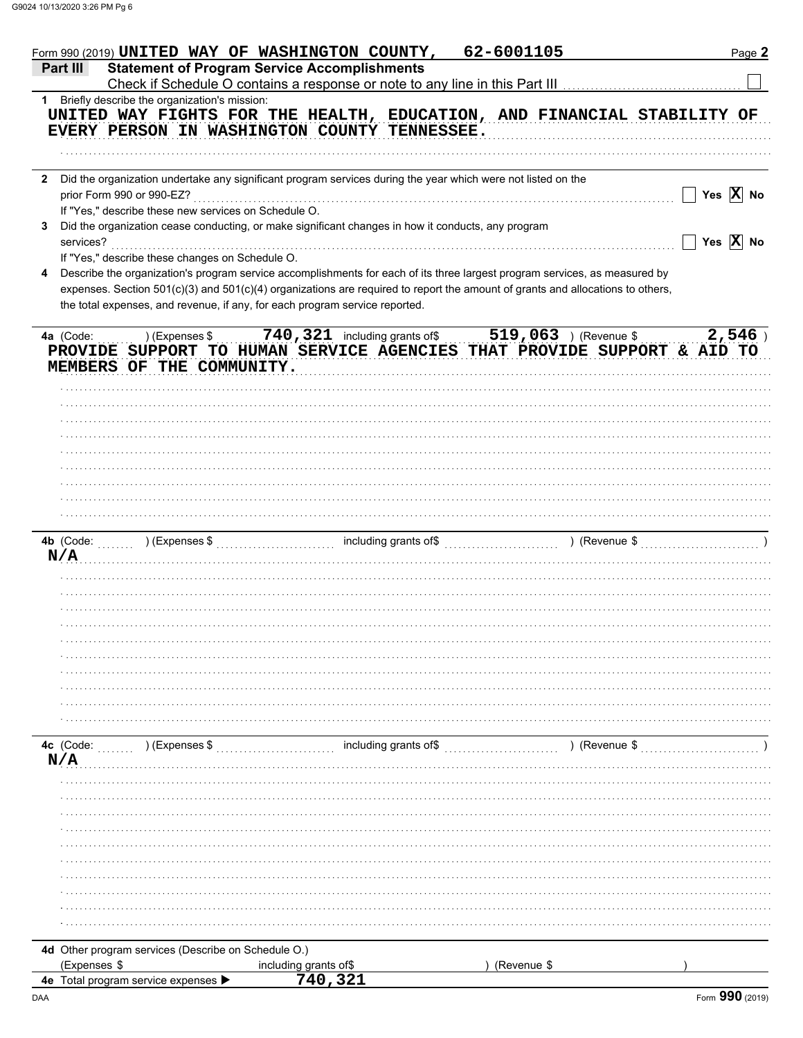| Part III<br>1 Briefly describe the organization's mission:<br>UNITED WAY FIGHTS FOR THE HEALTH, EDUCATION, AND FINANCIAL STABILITY OF | <b>Statement of Program Service Accomplishments</b><br>EVERY PERSON IN WASHINGTON COUNTY TENNESSEE.                            |               |                       |
|---------------------------------------------------------------------------------------------------------------------------------------|--------------------------------------------------------------------------------------------------------------------------------|---------------|-----------------------|
|                                                                                                                                       |                                                                                                                                |               |                       |
|                                                                                                                                       |                                                                                                                                |               |                       |
|                                                                                                                                       |                                                                                                                                |               |                       |
|                                                                                                                                       |                                                                                                                                |               |                       |
|                                                                                                                                       |                                                                                                                                |               |                       |
|                                                                                                                                       |                                                                                                                                |               |                       |
| Did the organization undertake any significant program services during the year which were not listed on the<br>$\mathbf{2}$          |                                                                                                                                |               |                       |
| prior Form 990 or 990-EZ?                                                                                                             |                                                                                                                                |               | Yes $X$ No            |
| If "Yes," describe these new services on Schedule O.                                                                                  |                                                                                                                                |               |                       |
| Did the organization cease conducting, or make significant changes in how it conducts, any program<br>3                               |                                                                                                                                |               |                       |
| services?                                                                                                                             |                                                                                                                                |               | Yes $\overline{X}$ No |
| If "Yes," describe these changes on Schedule O.                                                                                       |                                                                                                                                |               |                       |
| Describe the organization's program service accomplishments for each of its three largest program services, as measured by<br>4       |                                                                                                                                |               |                       |
|                                                                                                                                       | expenses. Section 501(c)(3) and 501(c)(4) organizations are required to report the amount of grants and allocations to others, |               |                       |
| the total expenses, and revenue, if any, for each program service reported.                                                           |                                                                                                                                |               |                       |
|                                                                                                                                       |                                                                                                                                |               |                       |
| 4a (Code:                                                                                                                             | ) (Expenses \$ 740, 321 including grants of \$ 519, 063 ) (Revenue \$                                                          |               | 2,546)                |
| PROVIDE SUPPORT TO HUMAN SERVICE AGENCIES THAT PROVIDE SUPPORT & AID TO                                                               |                                                                                                                                |               |                       |
| MEMBERS OF THE COMMUNITY.                                                                                                             |                                                                                                                                |               |                       |
|                                                                                                                                       |                                                                                                                                |               |                       |
|                                                                                                                                       |                                                                                                                                |               |                       |
|                                                                                                                                       |                                                                                                                                |               |                       |
|                                                                                                                                       |                                                                                                                                |               |                       |
|                                                                                                                                       |                                                                                                                                |               |                       |
|                                                                                                                                       |                                                                                                                                |               |                       |
|                                                                                                                                       |                                                                                                                                |               |                       |
|                                                                                                                                       |                                                                                                                                |               |                       |
|                                                                                                                                       |                                                                                                                                |               |                       |
|                                                                                                                                       |                                                                                                                                |               |                       |
| 4b (Code:                                                                                                                             | $(\textsf{Expenses $ }$                                                                                                        |               |                       |
| N/A                                                                                                                                   |                                                                                                                                |               |                       |
|                                                                                                                                       |                                                                                                                                |               |                       |
|                                                                                                                                       |                                                                                                                                |               |                       |
|                                                                                                                                       |                                                                                                                                |               |                       |
|                                                                                                                                       |                                                                                                                                |               |                       |
|                                                                                                                                       |                                                                                                                                |               |                       |
|                                                                                                                                       |                                                                                                                                |               |                       |
|                                                                                                                                       |                                                                                                                                |               |                       |
|                                                                                                                                       |                                                                                                                                |               |                       |
|                                                                                                                                       |                                                                                                                                |               |                       |
|                                                                                                                                       |                                                                                                                                |               |                       |
|                                                                                                                                       |                                                                                                                                |               |                       |
| 4c (Code:<br>) (Expenses \$                                                                                                           | including grants of\$                                                                                                          | ) (Revenue \$ |                       |
| N/A                                                                                                                                   |                                                                                                                                |               |                       |
|                                                                                                                                       |                                                                                                                                |               |                       |
|                                                                                                                                       |                                                                                                                                |               |                       |
|                                                                                                                                       |                                                                                                                                |               |                       |
|                                                                                                                                       |                                                                                                                                |               |                       |
|                                                                                                                                       |                                                                                                                                |               |                       |
|                                                                                                                                       |                                                                                                                                |               |                       |
|                                                                                                                                       |                                                                                                                                |               |                       |
|                                                                                                                                       |                                                                                                                                |               |                       |
|                                                                                                                                       |                                                                                                                                |               |                       |
|                                                                                                                                       |                                                                                                                                |               |                       |
| 4d Other program services (Describe on Schedule O.)                                                                                   |                                                                                                                                |               |                       |
| (Expenses \$                                                                                                                          | including grants of\$                                                                                                          | (Revenue \$   |                       |
| 4e Total program service expenses                                                                                                     | 740,321                                                                                                                        |               |                       |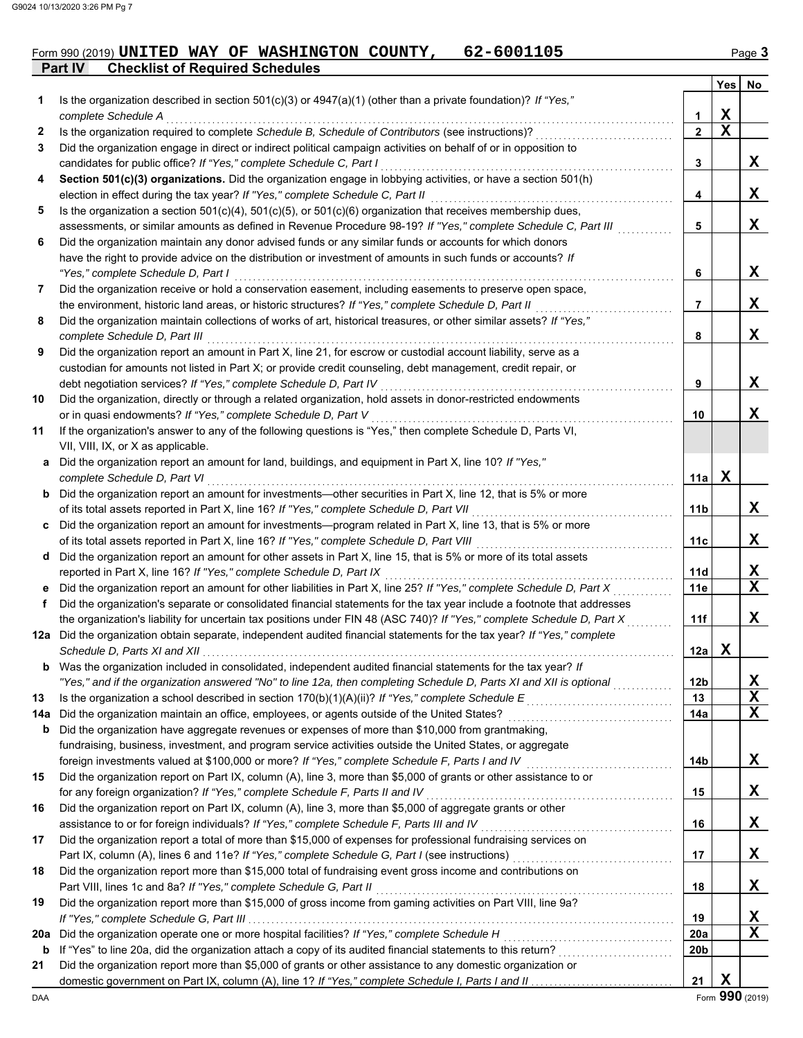**Part IV Checklist of Required Schedules**

## Form 990 (2019) **UNITED WAY OF WASHINGTON COUNTY, 62-6001105** Page 3

|          |                                                                                                                                                |                | Yes | No          |
|----------|------------------------------------------------------------------------------------------------------------------------------------------------|----------------|-----|-------------|
| 1        | Is the organization described in section $501(c)(3)$ or $4947(a)(1)$ (other than a private foundation)? If "Yes,"                              |                |     |             |
|          | complete Schedule A                                                                                                                            | 1              | X   |             |
| 2        | Is the organization required to complete Schedule B, Schedule of Contributors (see instructions)?                                              | $\overline{2}$ | X   |             |
| 3        | Did the organization engage in direct or indirect political campaign activities on behalf of or in opposition to                               |                |     |             |
|          | candidates for public office? If "Yes," complete Schedule C, Part I                                                                            | 3              |     | X           |
| 4        | Section 501(c)(3) organizations. Did the organization engage in lobbying activities, or have a section 501(h)                                  |                |     |             |
|          | election in effect during the tax year? If "Yes," complete Schedule C, Part II                                                                 | 4              |     | x           |
| 5        | Is the organization a section $501(c)(4)$ , $501(c)(5)$ , or $501(c)(6)$ organization that receives membership dues,                           |                |     |             |
|          | assessments, or similar amounts as defined in Revenue Procedure 98-19? If "Yes," complete Schedule C, Part III                                 | 5              |     | X           |
| 6        | Did the organization maintain any donor advised funds or any similar funds or accounts for which donors                                        |                |     |             |
|          | have the right to provide advice on the distribution or investment of amounts in such funds or accounts? If                                    |                |     |             |
|          | "Yes," complete Schedule D, Part I                                                                                                             | 6              |     | X           |
| 7        | Did the organization receive or hold a conservation easement, including easements to preserve open space,                                      |                |     |             |
|          | the environment, historic land areas, or historic structures? If "Yes," complete Schedule D, Part II                                           | 7              |     | X           |
| 8        | Did the organization maintain collections of works of art, historical treasures, or other similar assets? If "Yes,"                            |                |     |             |
|          | complete Schedule D, Part III                                                                                                                  | 8              |     | X           |
| 9        | Did the organization report an amount in Part X, line 21, for escrow or custodial account liability, serve as a                                |                |     |             |
|          | custodian for amounts not listed in Part X; or provide credit counseling, debt management, credit repair, or                                   |                |     |             |
|          | debt negotiation services? If "Yes," complete Schedule D, Part IV                                                                              | 9              |     | X           |
| 10       | Did the organization, directly or through a related organization, hold assets in donor-restricted endowments                                   |                |     |             |
|          | or in quasi endowments? If "Yes," complete Schedule D, Part V                                                                                  | 10             |     | X           |
| 11       | If the organization's answer to any of the following questions is "Yes," then complete Schedule D, Parts VI,                                   |                |     |             |
|          | VII, VIII, IX, or X as applicable.<br>a Did the organization report an amount for land, buildings, and equipment in Part X, line 10? If "Yes," |                |     |             |
|          | complete Schedule D, Part VI                                                                                                                   | 11a            | X   |             |
|          | <b>b</b> Did the organization report an amount for investments-other securities in Part X, line 12, that is 5% or more                         |                |     |             |
|          | of its total assets reported in Part X, line 16? If "Yes," complete Schedule D, Part VII                                                       | 11b            |     | X           |
| C        | Did the organization report an amount for investments—program related in Part X, line 13, that is 5% or more                                   |                |     |             |
|          | of its total assets reported in Part X, line 16? If "Yes," complete Schedule D, Part VIII [[[[[[[[[[[[[[[[[[[                                  | 11с            |     | x           |
| d        | Did the organization report an amount for other assets in Part X, line 15, that is 5% or more of its total assets                              |                |     |             |
|          | reported in Part X, line 16? If "Yes," complete Schedule D, Part IX                                                                            | 11d            |     | X           |
| е        | Did the organization report an amount for other liabilities in Part X, line 25? If "Yes," complete Schedule D, Part X                          | 11e            |     | $\mathbf x$ |
| f        | Did the organization's separate or consolidated financial statements for the tax year include a footnote that addresses                        |                |     |             |
|          | the organization's liability for uncertain tax positions under FIN 48 (ASC 740)? If "Yes," complete Schedule D, Part X                         | 11f            |     | x           |
| 12a      | Did the organization obtain separate, independent audited financial statements for the tax year? If "Yes," complete                            |                |     |             |
|          |                                                                                                                                                | 12a            | x   |             |
| b        | Was the organization included in consolidated, independent audited financial statements for the tax year? If                                   |                |     |             |
|          | "Yes," and if the organization answered "No" to line 12a, then completing Schedule D, Parts XI and XII is optional                             | 12b            |     | X           |
| 13       |                                                                                                                                                | 13             |     | X           |
| 14a      | Did the organization maintain an office, employees, or agents outside of the United States?                                                    | 14a            |     | x           |
| b        | Did the organization have aggregate revenues or expenses of more than \$10,000 from grantmaking,                                               |                |     |             |
|          | fundraising, business, investment, and program service activities outside the United States, or aggregate                                      |                |     |             |
|          | foreign investments valued at \$100,000 or more? If "Yes," complete Schedule F, Parts I and IV                                                 | 14b            |     | X           |
| 15       | Did the organization report on Part IX, column (A), line 3, more than \$5,000 of grants or other assistance to or                              |                |     |             |
|          | for any foreign organization? If "Yes," complete Schedule F, Parts II and IV                                                                   | 15             |     | X           |
| 16       | Did the organization report on Part IX, column (A), line 3, more than \$5,000 of aggregate grants or other                                     |                |     |             |
|          | assistance to or for foreign individuals? If "Yes," complete Schedule F, Parts III and IV                                                      | 16             |     | x           |
| 17       | Did the organization report a total of more than \$15,000 of expenses for professional fundraising services on                                 |                |     |             |
|          |                                                                                                                                                | 17             |     | x           |
| 18       | Did the organization report more than \$15,000 total of fundraising event gross income and contributions on                                    |                |     |             |
|          | Part VIII, lines 1c and 8a? If "Yes," complete Schedule G, Part II                                                                             | 18             |     | X           |
| 19       | Did the organization report more than \$15,000 of gross income from gaming activities on Part VIII, line 9a?                                   | 19             |     | x           |
|          | Did the organization operate one or more hospital facilities? If "Yes," complete Schedule H                                                    | <b>20a</b>     |     | x           |
| 20a<br>b |                                                                                                                                                | 20b            |     |             |
| 21       | Did the organization report more than \$5,000 of grants or other assistance to any domestic organization or                                    |                |     |             |
|          |                                                                                                                                                | 21             | X   |             |
|          |                                                                                                                                                |                |     |             |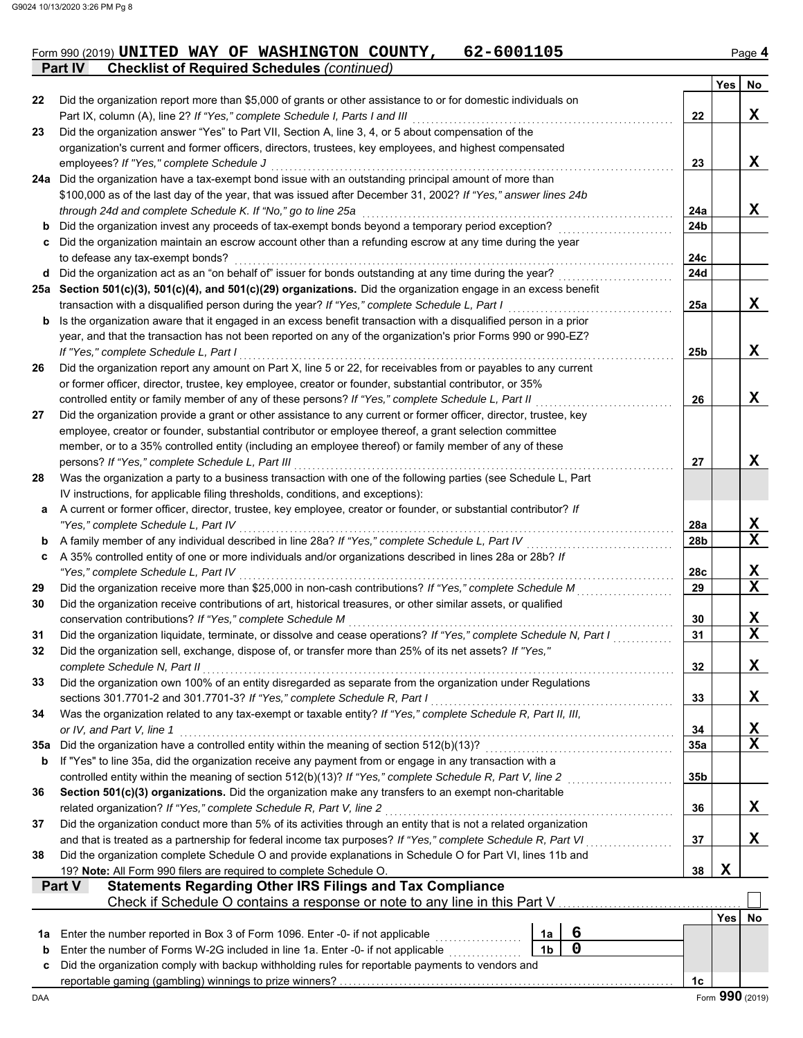## Form 990 (2019) **UNITED WAY OF WASHINGTON COUNTY, 62-6001105** Page 4 **Part IV Checklist of Required Schedules** *(continued)*

|     |                                                                                                                                                                                                                                  |                |             |            | Yes I           | No          |
|-----|----------------------------------------------------------------------------------------------------------------------------------------------------------------------------------------------------------------------------------|----------------|-------------|------------|-----------------|-------------|
| 22  | Did the organization report more than \$5,000 of grants or other assistance to or for domestic individuals on                                                                                                                    |                |             |            |                 |             |
|     | Part IX, column (A), line 2? If "Yes," complete Schedule I, Parts I and III                                                                                                                                                      |                |             | 22         |                 | X           |
| 23  | Did the organization answer "Yes" to Part VII, Section A, line 3, 4, or 5 about compensation of the                                                                                                                              |                |             |            |                 |             |
|     | organization's current and former officers, directors, trustees, key employees, and highest compensated                                                                                                                          |                |             |            |                 |             |
|     | employees? If "Yes," complete Schedule J<br>24a Did the organization have a tax-exempt bond issue with an outstanding principal amount of more than                                                                              |                |             | 23         |                 | X           |
|     | \$100,000 as of the last day of the year, that was issued after December 31, 2002? If "Yes," answer lines 24b                                                                                                                    |                |             |            |                 |             |
|     | through 24d and complete Schedule K. If "No," go to line 25a                                                                                                                                                                     |                |             | 24a        |                 | X           |
| b   | Did the organization invest any proceeds of tax-exempt bonds beyond a temporary period exception?                                                                                                                                |                |             | 24b        |                 |             |
| c   | Did the organization maintain an escrow account other than a refunding escrow at any time during the year                                                                                                                        |                |             |            |                 |             |
|     | to defease any tax-exempt bonds?                                                                                                                                                                                                 |                |             | 24c        |                 |             |
| d   | Did the organization act as an "on behalf of" issuer for bonds outstanding at any time during the year?                                                                                                                          |                |             | 24d        |                 |             |
|     | 25a Section 501(c)(3), 501(c)(4), and 501(c)(29) organizations. Did the organization engage in an excess benefit                                                                                                                 |                |             |            |                 |             |
|     | transaction with a disqualified person during the year? If "Yes," complete Schedule L, Part I                                                                                                                                    |                |             | 25a        |                 | X           |
| b   | Is the organization aware that it engaged in an excess benefit transaction with a disqualified person in a prior                                                                                                                 |                |             |            |                 |             |
|     | year, and that the transaction has not been reported on any of the organization's prior Forms 990 or 990-EZ?                                                                                                                     |                |             |            |                 |             |
|     | If "Yes," complete Schedule L, Part I                                                                                                                                                                                            |                |             | 25b        |                 | X           |
| 26  | Did the organization report any amount on Part X, line 5 or 22, for receivables from or payables to any current                                                                                                                  |                |             |            |                 |             |
|     | or former officer, director, trustee, key employee, creator or founder, substantial contributor, or 35%                                                                                                                          |                |             |            |                 |             |
|     | controlled entity or family member of any of these persons? If "Yes," complete Schedule L, Part II                                                                                                                               |                |             | 26         |                 | X           |
| 27  | Did the organization provide a grant or other assistance to any current or former officer, director, trustee, key                                                                                                                |                |             |            |                 |             |
|     | employee, creator or founder, substantial contributor or employee thereof, a grant selection committee                                                                                                                           |                |             |            |                 |             |
|     | member, or to a 35% controlled entity (including an employee thereof) or family member of any of these                                                                                                                           |                |             |            |                 |             |
|     | persons? If "Yes," complete Schedule L, Part III                                                                                                                                                                                 |                |             | 27         |                 | X           |
| 28  | Was the organization a party to a business transaction with one of the following parties (see Schedule L, Part                                                                                                                   |                |             |            |                 |             |
|     | IV instructions, for applicable filing thresholds, conditions, and exceptions):<br>A current or former officer, director, trustee, key employee, creator or founder, or substantial contributor? If                              |                |             |            |                 |             |
| а   | "Yes," complete Schedule L, Part IV                                                                                                                                                                                              |                |             | 28a        |                 | x           |
| b   | A family member of any individual described in line 28a? If "Yes," complete Schedule L, Part IV                                                                                                                                  |                |             | 28b        |                 | $\mathbf x$ |
| c   | A 35% controlled entity of one or more individuals and/or organizations described in lines 28a or 28b? If                                                                                                                        |                |             |            |                 |             |
|     | "Yes," complete Schedule L, Part IV                                                                                                                                                                                              |                |             | 28c        |                 | X           |
| 29  | Did the organization receive more than \$25,000 in non-cash contributions? If "Yes," complete Schedule M                                                                                                                         |                |             | 29         |                 | $\mathbf x$ |
| 30  | Did the organization receive contributions of art, historical treasures, or other similar assets, or qualified                                                                                                                   |                |             |            |                 |             |
|     | conservation contributions? If "Yes," complete Schedule M                                                                                                                                                                        |                |             | 30         |                 | X           |
| 31  | Did the organization liquidate, terminate, or dissolve and cease operations? If "Yes," complete Schedule N, Part I                                                                                                               |                |             | 31         |                 | $\mathbf x$ |
| 32  | Did the organization sell, exchange, dispose of, or transfer more than 25% of its net assets? If "Yes,"                                                                                                                          |                |             |            |                 |             |
|     | complete Schedule N, Part II                                                                                                                                                                                                     |                |             | 32         |                 | X           |
| 33  | Did the organization own 100% of an entity disregarded as separate from the organization under Regulations                                                                                                                       |                |             |            |                 |             |
|     | sections 301.7701-2 and 301.7701-3? If "Yes," complete Schedule R, Part I                                                                                                                                                        |                |             | 33         |                 | X           |
| 34  | Was the organization related to any tax-exempt or taxable entity? If "Yes," complete Schedule R, Part II, III,                                                                                                                   |                |             |            |                 |             |
|     | or IV, and Part V, line 1                                                                                                                                                                                                        |                |             | 34         |                 | X           |
| 35а | Did the organization have a controlled entity within the meaning of section 512(b)(13)?                                                                                                                                          |                |             | <b>35a</b> |                 | X           |
| b   | If "Yes" to line 35a, did the organization receive any payment from or engage in any transaction with a                                                                                                                          |                |             |            |                 |             |
|     | controlled entity within the meaning of section 512(b)(13)? If "Yes," complete Schedule R, Part V, line 2                                                                                                                        |                |             | 35b        |                 |             |
| 36  | Section 501(c)(3) organizations. Did the organization make any transfers to an exempt non-charitable                                                                                                                             |                |             |            |                 | x           |
|     | related organization? If "Yes," complete Schedule R, Part V, line 2                                                                                                                                                              |                |             | 36         |                 |             |
| 37  | Did the organization conduct more than 5% of its activities through an entity that is not a related organization<br>and that is treated as a partnership for federal income tax purposes? If "Yes," complete Schedule R, Part VI |                |             | 37         |                 | x           |
| 38  | Did the organization complete Schedule O and provide explanations in Schedule O for Part VI, lines 11b and                                                                                                                       |                |             |            |                 |             |
|     | 19? Note: All Form 990 filers are required to complete Schedule O.                                                                                                                                                               |                |             | 38         | X               |             |
|     | <b>Statements Regarding Other IRS Filings and Tax Compliance</b><br><b>Part V</b>                                                                                                                                                |                |             |            |                 |             |
|     | Check if Schedule O contains a response or note to any line in this Part V                                                                                                                                                       |                |             |            |                 |             |
|     |                                                                                                                                                                                                                                  |                |             |            | Yes             | No          |
| 1a  | Enter the number reported in Box 3 of Form 1096. Enter -0- if not applicable                                                                                                                                                     | 1a             | 6           |            |                 |             |
| b   | Enter the number of Forms W-2G included in line 1a. Enter -0- if not applicable                                                                                                                                                  | 1 <sub>b</sub> | $\mathbf 0$ |            |                 |             |
| c   | Did the organization comply with backup withholding rules for reportable payments to vendors and                                                                                                                                 |                |             |            |                 |             |
|     |                                                                                                                                                                                                                                  |                |             | 1c         |                 |             |
| DAA |                                                                                                                                                                                                                                  |                |             |            | Form 990 (2019) |             |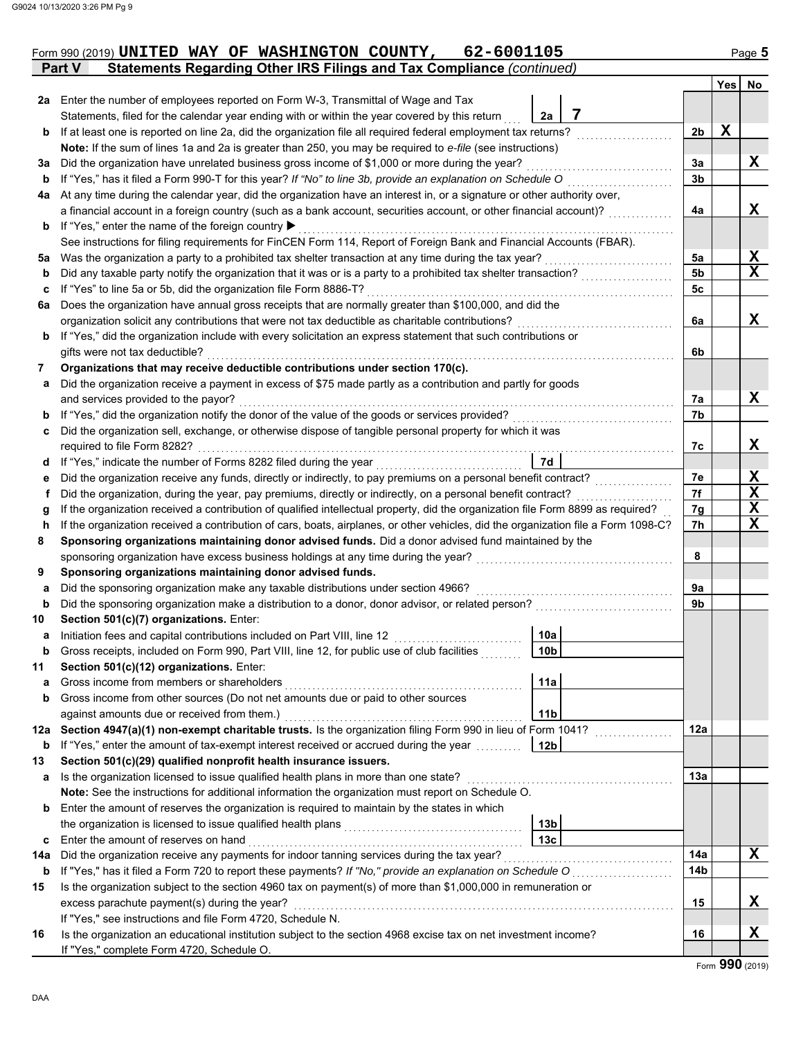|     | 62-6001105<br>Form 990 (2019) UNITED WAY OF WASHINGTON COUNTY,                                                                     |                 |   | Page 5      |
|-----|------------------------------------------------------------------------------------------------------------------------------------|-----------------|---|-------------|
|     | Statements Regarding Other IRS Filings and Tax Compliance (continued)<br>Part V                                                    |                 |   |             |
|     |                                                                                                                                    |                 |   | Yes No      |
| 2a  | Enter the number of employees reported on Form W-3, Transmittal of Wage and Tax                                                    |                 |   |             |
|     | 7<br>Statements, filed for the calendar year ending with or within the year covered by this return<br>2a                           |                 |   |             |
| b   | If at least one is reported on line 2a, did the organization file all required federal employment tax returns?                     | 2 <sub>b</sub>  | X |             |
|     | Note: If the sum of lines 1a and 2a is greater than 250, you may be required to e-file (see instructions)                          |                 |   |             |
| За  | Did the organization have unrelated business gross income of \$1,000 or more during the year?                                      | 3a              |   | X           |
| b   | If "Yes," has it filed a Form 990-T for this year? If "No" to line 3b, provide an explanation on Schedule O                        | 3 <sub>b</sub>  |   |             |
| 4a  | At any time during the calendar year, did the organization have an interest in, or a signature or other authority over,            |                 |   |             |
|     | a financial account in a foreign country (such as a bank account, securities account, or other financial account)?                 | 4a              |   | x           |
| b   | If "Yes," enter the name of the foreign country ▶                                                                                  |                 |   |             |
|     | See instructions for filing requirements for FinCEN Form 114, Report of Foreign Bank and Financial Accounts (FBAR).                |                 |   |             |
| 5a  | Was the organization a party to a prohibited tax shelter transaction at any time during the tax year?                              | 5a              |   | X           |
| b   | Did any taxable party notify the organization that it was or is a party to a prohibited tax shelter transaction?                   | 5 <sub>b</sub>  |   | $\mathbf x$ |
| c   | If "Yes" to line 5a or 5b, did the organization file Form 8886-T?                                                                  | 5c              |   |             |
| 6a  | Does the organization have annual gross receipts that are normally greater than \$100,000, and did the                             |                 |   |             |
|     | organization solicit any contributions that were not tax deductible as charitable contributions?                                   | 6a              |   | X           |
| b   | If "Yes," did the organization include with every solicitation an express statement that such contributions or                     |                 |   |             |
|     | gifts were not tax deductible?                                                                                                     | 6b              |   |             |
| 7   | Organizations that may receive deductible contributions under section 170(c).                                                      |                 |   |             |
| а   | Did the organization receive a payment in excess of \$75 made partly as a contribution and partly for goods                        |                 |   |             |
|     | and services provided to the payor?                                                                                                | 7a              |   | X           |
| b   | If "Yes," did the organization notify the donor of the value of the goods or services provided?                                    | 7b              |   |             |
| c   | Did the organization sell, exchange, or otherwise dispose of tangible personal property for which it was                           |                 |   |             |
|     | required to file Form 8282?                                                                                                        | 7c              |   | X           |
| d   | 7d<br>If "Yes," indicate the number of Forms 8282 filed during the year                                                            |                 |   |             |
| е   | Did the organization receive any funds, directly or indirectly, to pay premiums on a personal benefit contract?                    | 7e              |   | X           |
| f   | Did the organization, during the year, pay premiums, directly or indirectly, on a personal benefit contract?                       | 7f              |   | $\mathbf x$ |
| g   | If the organization received a contribution of qualified intellectual property, did the organization file Form 8899 as required?   | 7g              |   | X           |
| h   | If the organization received a contribution of cars, boats, airplanes, or other vehicles, did the organization file a Form 1098-C? | 7h              |   | X           |
| 8   | Sponsoring organizations maintaining donor advised funds. Did a donor advised fund maintained by the                               |                 |   |             |
|     | sponsoring organization have excess business holdings at any time during the year?                                                 | 8               |   |             |
| 9   | Sponsoring organizations maintaining donor advised funds.                                                                          |                 |   |             |
| а   | Did the sponsoring organization make any taxable distributions under section 4966?                                                 | 9a              |   |             |
| b   | Did the sponsoring organization make a distribution to a donor, donor advisor, or related person?                                  | 9b              |   |             |
| 10  | Section 501(c)(7) organizations. Enter:                                                                                            |                 |   |             |
|     | 10a <br>Initiation fees and capital contributions included on Part VIII, line 12                                                   |                 |   |             |
| b   | Gross receipts, included on Form 990, Part VIII, line 12, for public use of club facilities<br>10 <sub>b</sub>                     |                 |   |             |
| 11  | Section 501(c)(12) organizations. Enter:                                                                                           |                 |   |             |
| a   | 11a<br>Gross income from members or shareholders                                                                                   |                 |   |             |
| b   | Gross income from other sources (Do not net amounts due or paid to other sources                                                   |                 |   |             |
|     | 11 <sub>b</sub><br>against amounts due or received from them.)                                                                     |                 |   |             |
| 12a | Section 4947(a)(1) non-exempt charitable trusts. Is the organization filing Form 990 in lieu of Form 1041?                         | 12a             |   |             |
| b   | If "Yes," enter the amount of tax-exempt interest received or accrued during the year<br>12 <sub>b</sub>                           |                 |   |             |
| 13  | Section 501(c)(29) qualified nonprofit health insurance issuers.                                                                   |                 |   |             |
| а   | Is the organization licensed to issue qualified health plans in more than one state?                                               | 13а             |   |             |
|     | Note: See the instructions for additional information the organization must report on Schedule O.                                  |                 |   |             |
| b   | Enter the amount of reserves the organization is required to maintain by the states in which                                       |                 |   |             |
|     | the organization is licensed to issue qualified health plans<br>13b                                                                |                 |   |             |
| c   | 13 <sub>c</sub><br>Enter the amount of reserves on hand                                                                            |                 |   |             |
| 14a | Did the organization receive any payments for indoor tanning services during the tax year?                                         | 14a             |   | X           |
| b   | If "Yes," has it filed a Form 720 to report these payments? If "No," provide an explanation on Schedule O                          | 14 <sub>b</sub> |   |             |
| 15  | Is the organization subject to the section 4960 tax on payment(s) of more than \$1,000,000 in remuneration or                      |                 |   |             |
|     | excess parachute payment(s) during the year?                                                                                       | 15              |   | X           |
|     | If "Yes," see instructions and file Form 4720, Schedule N.                                                                         |                 |   |             |
| 16  | Is the organization an educational institution subject to the section 4968 excise tax on net investment income?                    | 16              |   | X           |
|     | If "Yes," complete Form 4720, Schedule O.                                                                                          |                 |   |             |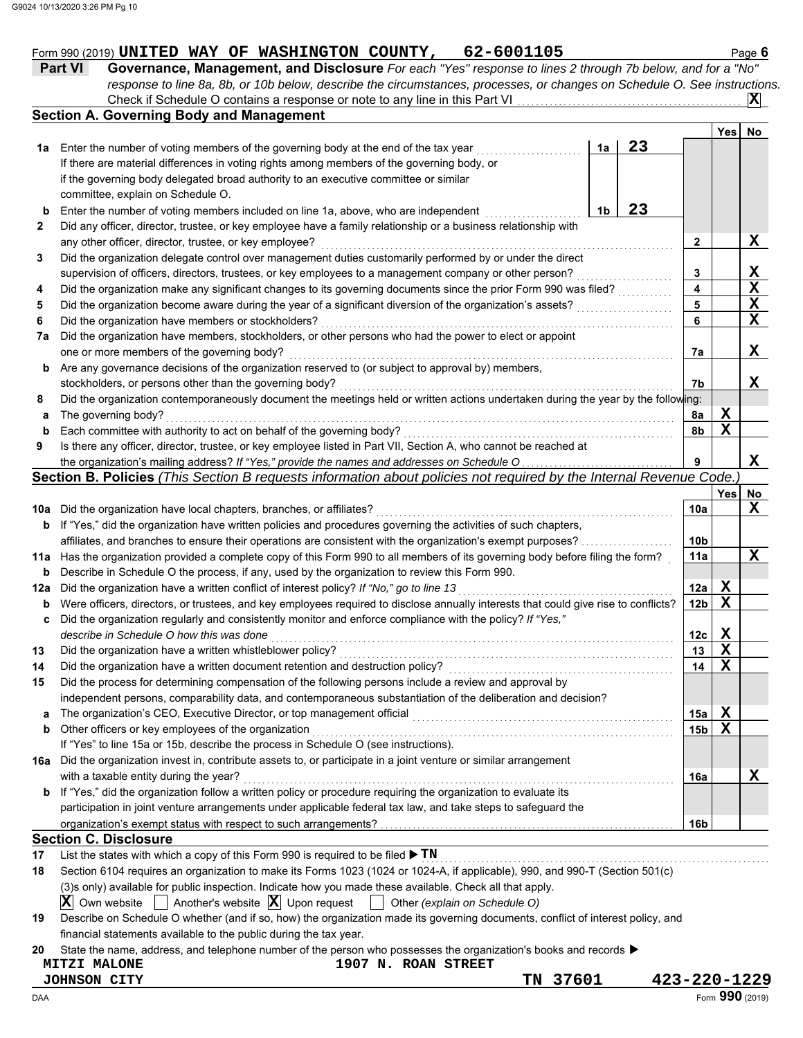|                                                 | Part VI<br>Governance, Management, and Disclosure For each "Yes" response to lines 2 through 7b below, and for a "No"               |                 |             |             |  |  |  |  |  |  |  |
|-------------------------------------------------|-------------------------------------------------------------------------------------------------------------------------------------|-----------------|-------------|-------------|--|--|--|--|--|--|--|
|                                                 | response to line 8a, 8b, or 10b below, describe the circumstances, processes, or changes on Schedule O. See instructions.           |                 |             |             |  |  |  |  |  |  |  |
|                                                 | Check if Schedule O contains a response or note to any line in this Part VI                                                         |                 |             |             |  |  |  |  |  |  |  |
| <b>Section A. Governing Body and Management</b> |                                                                                                                                     |                 |             |             |  |  |  |  |  |  |  |
|                                                 |                                                                                                                                     |                 |             |             |  |  |  |  |  |  |  |
| 1а                                              | 23<br>Enter the number of voting members of the governing body at the end of the tax year<br>1a                                     |                 |             |             |  |  |  |  |  |  |  |
|                                                 | If there are material differences in voting rights among members of the governing body, or                                          |                 |             |             |  |  |  |  |  |  |  |
|                                                 | if the governing body delegated broad authority to an executive committee or similar                                                |                 |             |             |  |  |  |  |  |  |  |
|                                                 | committee, explain on Schedule O.                                                                                                   |                 |             |             |  |  |  |  |  |  |  |
| b                                               | 23<br>Enter the number of voting members included on line 1a, above, who are independent<br>1b                                      |                 |             |             |  |  |  |  |  |  |  |
| 2                                               | Did any officer, director, trustee, or key employee have a family relationship or a business relationship with                      |                 |             |             |  |  |  |  |  |  |  |
|                                                 | any other officer, director, trustee, or key employee?                                                                              | 2               |             | X           |  |  |  |  |  |  |  |
| 3                                               | Did the organization delegate control over management duties customarily performed by or under the direct                           |                 |             |             |  |  |  |  |  |  |  |
|                                                 | supervision of officers, directors, trustees, or key employees to a management company or other person?                             | 3               |             | X           |  |  |  |  |  |  |  |
| 4                                               | Did the organization make any significant changes to its governing documents since the prior Form 990 was filed?                    | 4               |             | $\mathbf x$ |  |  |  |  |  |  |  |
| 5                                               | Did the organization become aware during the year of a significant diversion of the organization's assets?                          | 5               |             | $\mathbf X$ |  |  |  |  |  |  |  |
| 6                                               | Did the organization have members or stockholders?                                                                                  | 6               |             | X           |  |  |  |  |  |  |  |
| 7a                                              | Did the organization have members, stockholders, or other persons who had the power to elect or appoint                             |                 |             |             |  |  |  |  |  |  |  |
|                                                 | one or more members of the governing body?                                                                                          | 7a              |             | X           |  |  |  |  |  |  |  |
| b                                               | Are any governance decisions of the organization reserved to (or subject to approval by) members,                                   |                 |             |             |  |  |  |  |  |  |  |
|                                                 | stockholders, or persons other than the governing body?                                                                             | 7b              |             | X           |  |  |  |  |  |  |  |
| 8                                               | Did the organization contemporaneously document the meetings held or written actions undertaken during the year by the following:   |                 |             |             |  |  |  |  |  |  |  |
| а                                               | The governing body?                                                                                                                 | 8a              | X           |             |  |  |  |  |  |  |  |
| b                                               | Each committee with authority to act on behalf of the governing body?                                                               | 8b              | X           |             |  |  |  |  |  |  |  |
| 9                                               | Is there any officer, director, trustee, or key employee listed in Part VII, Section A, who cannot be reached at                    |                 |             |             |  |  |  |  |  |  |  |
|                                                 | the organization's mailing address? If "Yes," provide the names and addresses on Schedule O                                         | 9               |             | X           |  |  |  |  |  |  |  |
|                                                 | Section B. Policies (This Section B requests information about policies not required by the Internal Revenue Code.                  |                 |             |             |  |  |  |  |  |  |  |
|                                                 |                                                                                                                                     |                 | Yes         | No          |  |  |  |  |  |  |  |
|                                                 | 10a Did the organization have local chapters, branches, or affiliates?                                                              | 10a             |             | X           |  |  |  |  |  |  |  |
| b                                               | If "Yes," did the organization have written policies and procedures governing the activities of such chapters,                      |                 |             |             |  |  |  |  |  |  |  |
|                                                 | affiliates, and branches to ensure their operations are consistent with the organization's exempt purposes?                         | 10 <sub>b</sub> |             |             |  |  |  |  |  |  |  |
|                                                 | 11a Has the organization provided a complete copy of this Form 990 to all members of its governing body before filing the form?     | 11a             |             | X           |  |  |  |  |  |  |  |
| b                                               | Describe in Schedule O the process, if any, used by the organization to review this Form 990.                                       |                 |             |             |  |  |  |  |  |  |  |
|                                                 | 12a Did the organization have a written conflict of interest policy? If "No," go to line 13                                         | 12a             | X           |             |  |  |  |  |  |  |  |
|                                                 | Were officers, directors, or trustees, and key employees required to disclose annually interests that could give rise to conflicts? | 12 <sub>b</sub> | Х           |             |  |  |  |  |  |  |  |
|                                                 | Did the organization regularly and consistently monitor and enforce compliance with the policy? If "Yes,"                           |                 |             |             |  |  |  |  |  |  |  |
|                                                 | describe in Schedule O how this was done                                                                                            | 12 <sub>c</sub> | X           |             |  |  |  |  |  |  |  |
| 13                                              | Did the organization have a written whistleblower policy?                                                                           | 13              | $\mathbf x$ |             |  |  |  |  |  |  |  |
| 14                                              | Did the organization have a written document retention and destruction policy?                                                      | 14              | Х           |             |  |  |  |  |  |  |  |
| 15                                              | Did the process for determining compensation of the following persons include a review and approval by                              |                 |             |             |  |  |  |  |  |  |  |
|                                                 | independent persons, comparability data, and contemporaneous substantiation of the deliberation and decision?                       |                 |             |             |  |  |  |  |  |  |  |
|                                                 | The organization's CEO, Executive Director, or top management official                                                              | 15a             | X           |             |  |  |  |  |  |  |  |
| b                                               | Other officers or key employees of the organization                                                                                 | 15 <sub>b</sub> | Х           |             |  |  |  |  |  |  |  |
|                                                 | If "Yes" to line 15a or 15b, describe the process in Schedule O (see instructions).                                                 |                 |             |             |  |  |  |  |  |  |  |
|                                                 | 16a Did the organization invest in, contribute assets to, or participate in a joint venture or similar arrangement                  |                 |             |             |  |  |  |  |  |  |  |
|                                                 | with a taxable entity during the year?                                                                                              | 16a             |             | x           |  |  |  |  |  |  |  |
| b                                               | If "Yes," did the organization follow a written policy or procedure requiring the organization to evaluate its                      |                 |             |             |  |  |  |  |  |  |  |
|                                                 | participation in joint venture arrangements under applicable federal tax law, and take steps to safeguard the                       |                 |             |             |  |  |  |  |  |  |  |
|                                                 |                                                                                                                                     | 16b             |             |             |  |  |  |  |  |  |  |
|                                                 | <b>Section C. Disclosure</b>                                                                                                        |                 |             |             |  |  |  |  |  |  |  |
|                                                 | with which a convert this Form 000 is required to be filed $\blacktriangleright$ TN                                                 |                 |             |             |  |  |  |  |  |  |  |

**17** List the states with which a copy of this Form 990 is required to be filed  $\blacktriangleright$  TN subsequent is an intermediate with which a copy of this Form 990 is required to be filed  $\blacktriangleright$  TN subsequent is an intermediate with **TN**

**18 19** Section 6104 requires an organization to make its Forms 1023 (1024 or 1024-A, if applicable), 990, and 990-T (Section 501(c) (3)s only) available for public inspection. Indicate how you made these available. Check all that apply. Describe on Schedule O whether (and if so, how) the organization made its governing documents, conflict of interest policy, and financial statements available to the public during the tax year.  $\overline{\textbf{X}}$  Own website  $\quad \Box$  Another's website  $\overline{\textbf{X}}$  Upon request  $\quad \Box$  Other *(explain on Schedule O)* 

| financial statements available to the public during the tax year.                                                                       |
|-----------------------------------------------------------------------------------------------------------------------------------------|
| 20 State the name, address, and telephone number of the person who possesses the organization's books and records $\blacktriangleright$ |

|  |                     | 20 State the name, address, and telephone number of the person who possesses the organization's books and reco |  |                     |  |  |
|--|---------------------|----------------------------------------------------------------------------------------------------------------|--|---------------------|--|--|
|  | <b>MITZI MALONE</b> |                                                                                                                |  | 1907 N. ROAN STREET |  |  |

**JOHNSON CITY TN 37601 423-220-1229**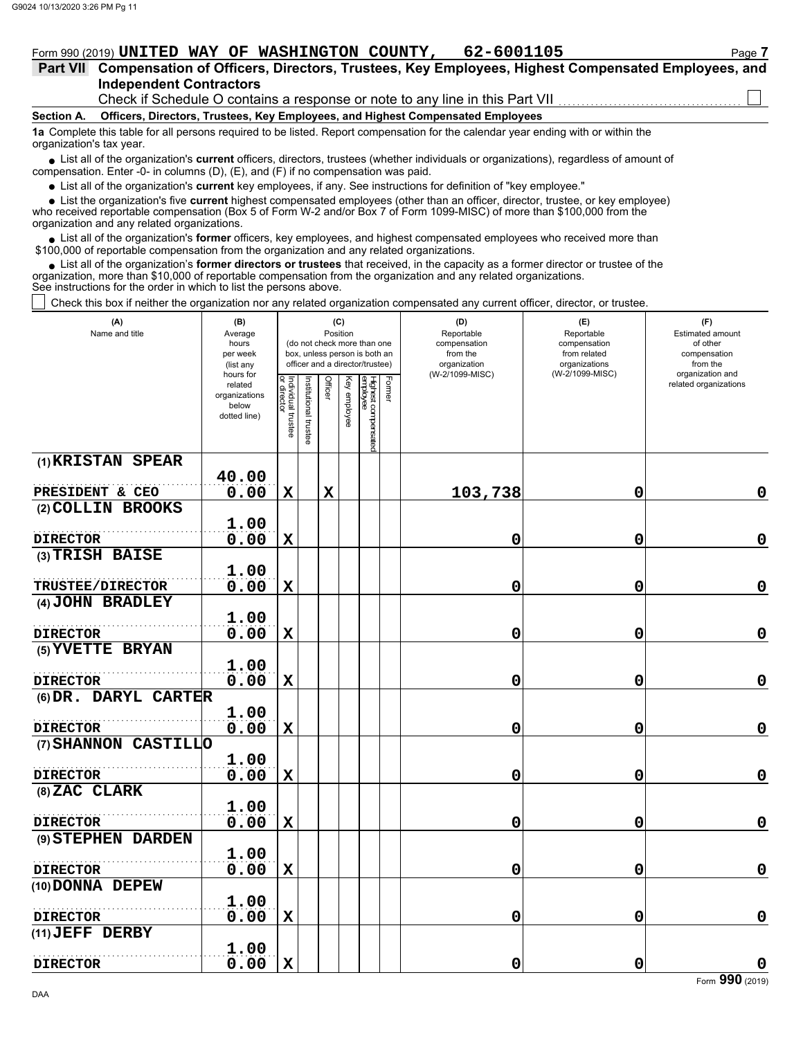| לטאר אס יוויט <b>וייט אינדינומרוי עב המונים ווי</b> ט אינדי של הייט וויט של הייט |  |  |  |                                                                                                           | ayc r |
|----------------------------------------------------------------------------------|--|--|--|-----------------------------------------------------------------------------------------------------------|-------|
|                                                                                  |  |  |  | Part VII Compensation of Officers, Directors, Trustees, Key Employees, Highest Compensated Employees, and |       |
| <b>Independent Contractors</b>                                                   |  |  |  |                                                                                                           |       |

Check if Schedule O contains a response or note to any line in this Part VII

#### **Section A. Officers, Directors, Trustees, Key Employees, and Highest Compensated Employees**

**1a** Complete this table for all persons required to be listed. Report compensation for the calendar year ending with or within the organization's tax year.

■ List all of the organization's **current** officers, directors, trustees (whether individuals or organizations), regardless of amount of compensation. Enter -0- in columns (D), (E), and (F) if no compensation was paid.

List all of the organization's **current** key employees, if any. See instructions for definition of "key employee."

■ List all of the organization's **current** key employees, if any. See instructions for definition of "key employee."<br>■ List the organization's five **current** highest compensated employees (other than an officer, director,

who received reportable compensation (Box 5 of Form W-2 and/or Box 7 of Form 1099-MISC) of more than \$100,000 from the organization and any related organizations.

• List all of the organization's **former** officers, key employees, and highest compensated employees who received more than<br>00,000 of reportable compensation from the organization and any related erganizations. \$100,000 of reportable compensation from the organization and any related organizations.

• List all of the organization's **former directors or trustees** that received, in the capacity as a former director or trustee of the anization more than \$10,000 of reportable compensation from the organization and any rel organization, more than \$10,000 of reportable compensation from the organization and any related organizations. See instructions for the order in which to list the persons above.

Check this box if neither the organization nor any related organization compensated any current officer, director, or trustee.

| (A)<br>Name and title                 | (B)<br>Average<br>hours<br>per week<br>(list any               |                                   |                       | Position    | (C)          | (do not check more than one<br>box, unless person is both an<br>officer and a director/trustee) |        | (D)<br>Reportable<br>compensation<br>from the<br>organization | (E)<br>Reportable<br>compensation<br>from related<br>organizations | (F)<br>Estimated amount<br>of other<br>compensation<br>from the<br>organization and |
|---------------------------------------|----------------------------------------------------------------|-----------------------------------|-----------------------|-------------|--------------|-------------------------------------------------------------------------------------------------|--------|---------------------------------------------------------------|--------------------------------------------------------------------|-------------------------------------------------------------------------------------|
|                                       | hours for<br>related<br>organizations<br>below<br>dotted line) | Individual trustee<br>or director | Institutional trustee | Officer     | Key employee | Highest compensated<br>employee                                                                 | Former | (W-2/1099-MISC)                                               | (W-2/1099-MISC)                                                    | related organizations                                                               |
| (1) KRISTAN SPEAR                     | 40.00                                                          |                                   |                       |             |              |                                                                                                 |        |                                                               |                                                                    |                                                                                     |
| PRESIDENT & CEO                       | 0.00                                                           | $\mathbf X$                       |                       | $\mathbf x$ |              |                                                                                                 |        | 103,738                                                       | 0                                                                  | 0                                                                                   |
| (2) COLLIN BROOKS                     |                                                                |                                   |                       |             |              |                                                                                                 |        |                                                               |                                                                    |                                                                                     |
|                                       | 1.00                                                           |                                   |                       |             |              |                                                                                                 |        |                                                               |                                                                    |                                                                                     |
| <b>DIRECTOR</b>                       | 0.00                                                           | $\mathbf X$                       |                       |             |              |                                                                                                 |        | 0                                                             | 0                                                                  | $\mathbf 0$                                                                         |
| (3) TRISH BAISE                       |                                                                |                                   |                       |             |              |                                                                                                 |        |                                                               |                                                                    |                                                                                     |
| TRUSTEE/DIRECTOR                      | 1.00<br>0.00                                                   | $\mathbf x$                       |                       |             |              |                                                                                                 |        | 0                                                             | 0                                                                  | $\pmb{0}$                                                                           |
| (4) JOHN BRADLEY                      |                                                                |                                   |                       |             |              |                                                                                                 |        |                                                               |                                                                    |                                                                                     |
|                                       | 1.00                                                           |                                   |                       |             |              |                                                                                                 |        |                                                               |                                                                    |                                                                                     |
| <b>DIRECTOR</b>                       | 0.00                                                           | $\mathbf x$                       |                       |             |              |                                                                                                 |        | 0                                                             | 0                                                                  | $\mathbf 0$                                                                         |
| (5) YVETTE BRYAN                      | 1.00                                                           |                                   |                       |             |              |                                                                                                 |        |                                                               |                                                                    |                                                                                     |
| <b>DIRECTOR</b>                       | 0.00                                                           | $\mathbf x$                       |                       |             |              |                                                                                                 |        | 0                                                             | 0                                                                  | $\mathbf 0$                                                                         |
| (6) DR. DARYL CARTER                  |                                                                |                                   |                       |             |              |                                                                                                 |        |                                                               |                                                                    |                                                                                     |
| <b>DIRECTOR</b>                       | 1.00<br>0.00                                                   | X                                 |                       |             |              |                                                                                                 |        | 0                                                             | $\mathbf 0$                                                        | $\mathbf 0$                                                                         |
| (7) SHANNON CASTILLO                  |                                                                |                                   |                       |             |              |                                                                                                 |        |                                                               |                                                                    |                                                                                     |
|                                       | 1.00                                                           |                                   |                       |             |              |                                                                                                 |        |                                                               |                                                                    |                                                                                     |
| <b>DIRECTOR</b>                       | 0.00                                                           | $\mathbf X$                       |                       |             |              |                                                                                                 |        | 0                                                             | 0                                                                  | $\mathbf 0$                                                                         |
| (8) ZAC CLARK                         |                                                                |                                   |                       |             |              |                                                                                                 |        |                                                               |                                                                    |                                                                                     |
|                                       | 1.00                                                           |                                   |                       |             |              |                                                                                                 |        |                                                               |                                                                    |                                                                                     |
| <b>DIRECTOR</b><br>(9) STEPHEN DARDEN | 0.00                                                           | X                                 |                       |             |              |                                                                                                 |        | 0                                                             | 0                                                                  | $\mathbf 0$                                                                         |
|                                       | 1.00                                                           |                                   |                       |             |              |                                                                                                 |        |                                                               |                                                                    |                                                                                     |
| <b>DIRECTOR</b>                       | 0.00                                                           | $\mathbf x$                       |                       |             |              |                                                                                                 |        | 0                                                             | 0                                                                  | $\pmb{0}$                                                                           |
| (10) DONNA DEPEW                      |                                                                |                                   |                       |             |              |                                                                                                 |        |                                                               |                                                                    |                                                                                     |
|                                       | 1.00                                                           |                                   |                       |             |              |                                                                                                 |        |                                                               |                                                                    |                                                                                     |
| <b>DIRECTOR</b>                       | 0.00                                                           | $\mathbf x$                       |                       |             |              |                                                                                                 |        | 0                                                             | 0                                                                  | 0                                                                                   |
| (11) JEFF DERBY                       |                                                                |                                   |                       |             |              |                                                                                                 |        |                                                               |                                                                    |                                                                                     |
| <b>DIRECTOR</b>                       | 1.00<br>0.00                                                   | $\mathbf x$                       |                       |             |              |                                                                                                 |        | $\mathbf 0$                                                   | 0                                                                  | $\mathbf 0$                                                                         |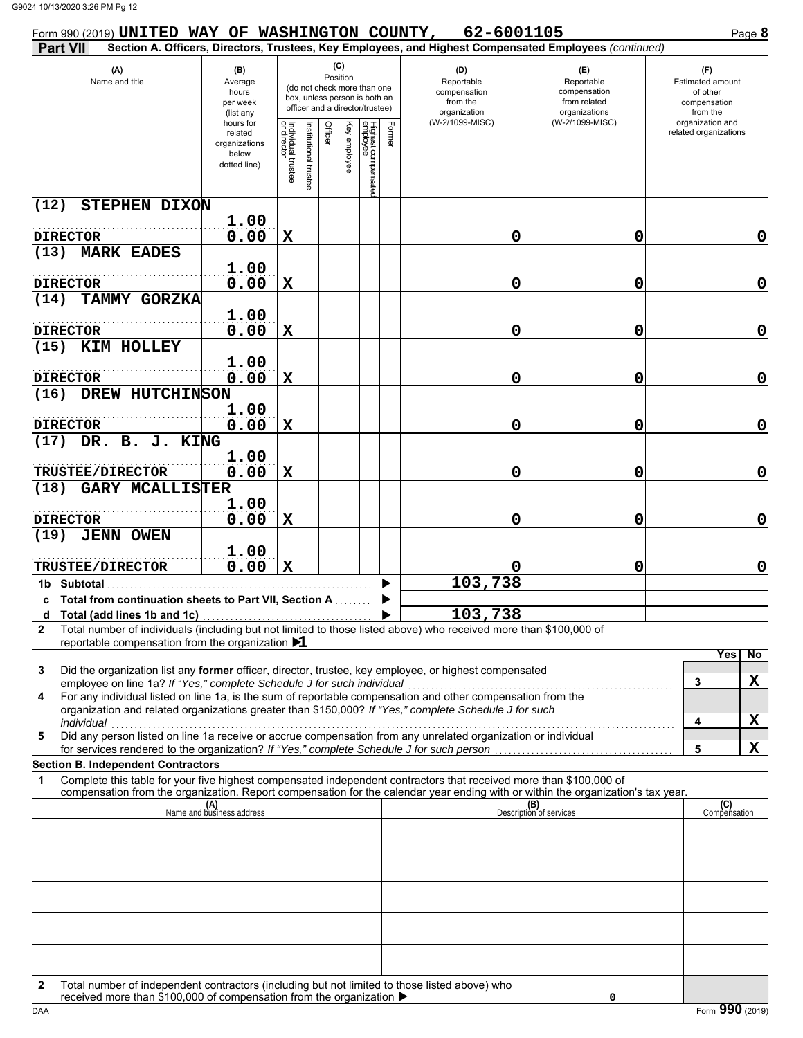| Form 990 (2019) UNITED WAY OF WASHINGTON COUNTY,                                                                                                                                                                                                                                                                                                                                                                                |                                                                                                                                                                  |                                   |                      |         |                 |                                 |        | 62-6001105                                                                                             |                                                                                       | Page 8                                                                              |
|---------------------------------------------------------------------------------------------------------------------------------------------------------------------------------------------------------------------------------------------------------------------------------------------------------------------------------------------------------------------------------------------------------------------------------|------------------------------------------------------------------------------------------------------------------------------------------------------------------|-----------------------------------|----------------------|---------|-----------------|---------------------------------|--------|--------------------------------------------------------------------------------------------------------|---------------------------------------------------------------------------------------|-------------------------------------------------------------------------------------|
| <b>Part VII</b>                                                                                                                                                                                                                                                                                                                                                                                                                 |                                                                                                                                                                  |                                   |                      |         |                 |                                 |        | Section A. Officers, Directors, Trustees, Key Employees, and Highest Compensated Employees (continued) |                                                                                       |                                                                                     |
| (A)<br>Name and title                                                                                                                                                                                                                                                                                                                                                                                                           | (B)<br>Average<br>(do not check more than one<br>hours<br>box, unless person is both an<br>per week<br>officer and a director/trustee)<br>(list any<br>hours for |                                   |                      |         | (C)<br>Position |                                 |        | (D)<br>Reportable<br>compensation<br>from the<br>organization<br>(W-2/1099-MISC)                       | (E)<br>Reportable<br>compensation<br>from related<br>organizations<br>(W-2/1099-MISC) | (F)<br>Estimated amount<br>of other<br>compensation<br>from the<br>organization and |
|                                                                                                                                                                                                                                                                                                                                                                                                                                 | related<br>organizations<br>below<br>dotted line)                                                                                                                | Individual trustee<br>or director | nstitutional trustee | Officer | Key<br>employee | Highest compensatec<br>employee | Former |                                                                                                        |                                                                                       | related organizations                                                               |
| (12)<br><b>STEPHEN DIXON</b>                                                                                                                                                                                                                                                                                                                                                                                                    |                                                                                                                                                                  |                                   |                      |         |                 |                                 |        |                                                                                                        |                                                                                       |                                                                                     |
| <b>DIRECTOR</b>                                                                                                                                                                                                                                                                                                                                                                                                                 | 1.00<br>0.00                                                                                                                                                     | X                                 |                      |         |                 |                                 |        | 0                                                                                                      | 0                                                                                     | 0                                                                                   |
| <b>MARK EADES</b><br>(13)                                                                                                                                                                                                                                                                                                                                                                                                       |                                                                                                                                                                  |                                   |                      |         |                 |                                 |        |                                                                                                        |                                                                                       |                                                                                     |
|                                                                                                                                                                                                                                                                                                                                                                                                                                 | 1.00                                                                                                                                                             |                                   |                      |         |                 |                                 |        |                                                                                                        |                                                                                       |                                                                                     |
| <b>DIRECTOR</b>                                                                                                                                                                                                                                                                                                                                                                                                                 | 0.00                                                                                                                                                             | X                                 |                      |         |                 |                                 |        | 0                                                                                                      | 0                                                                                     | 0                                                                                   |
| <b>TAMMY GORZKA</b><br>(14)                                                                                                                                                                                                                                                                                                                                                                                                     | 1.00                                                                                                                                                             |                                   |                      |         |                 |                                 |        |                                                                                                        |                                                                                       |                                                                                     |
| <b>DIRECTOR</b>                                                                                                                                                                                                                                                                                                                                                                                                                 | 0.00                                                                                                                                                             | X                                 |                      |         |                 |                                 |        | 0                                                                                                      | 0                                                                                     | 0                                                                                   |
| KIM HOLLEY<br>(15)                                                                                                                                                                                                                                                                                                                                                                                                              |                                                                                                                                                                  |                                   |                      |         |                 |                                 |        |                                                                                                        |                                                                                       |                                                                                     |
|                                                                                                                                                                                                                                                                                                                                                                                                                                 | 1.00                                                                                                                                                             |                                   |                      |         |                 |                                 |        |                                                                                                        |                                                                                       |                                                                                     |
| <b>DIRECTOR</b>                                                                                                                                                                                                                                                                                                                                                                                                                 | 0.00                                                                                                                                                             | $\mathbf X$                       |                      |         |                 |                                 |        | 0                                                                                                      | 0                                                                                     | 0                                                                                   |
| DREW HUTCHINSON<br>(16)                                                                                                                                                                                                                                                                                                                                                                                                         | 1.00                                                                                                                                                             |                                   |                      |         |                 |                                 |        |                                                                                                        |                                                                                       |                                                                                     |
| <b>DIRECTOR</b>                                                                                                                                                                                                                                                                                                                                                                                                                 | 0.00                                                                                                                                                             | $\mathbf X$                       |                      |         |                 |                                 |        | 0                                                                                                      | 0                                                                                     | 0                                                                                   |
| DR. B. J.<br><b>KING</b><br>(17)                                                                                                                                                                                                                                                                                                                                                                                                |                                                                                                                                                                  |                                   |                      |         |                 |                                 |        |                                                                                                        |                                                                                       |                                                                                     |
|                                                                                                                                                                                                                                                                                                                                                                                                                                 | 1.00                                                                                                                                                             |                                   |                      |         |                 |                                 |        |                                                                                                        |                                                                                       |                                                                                     |
| TRUSTEE/DIRECTOR                                                                                                                                                                                                                                                                                                                                                                                                                | 0.00                                                                                                                                                             | $\mathbf X$                       |                      |         |                 |                                 |        | 0                                                                                                      | 0                                                                                     | 0                                                                                   |
| <b>GARY MCALLISTER</b><br>(18)                                                                                                                                                                                                                                                                                                                                                                                                  | 1.00                                                                                                                                                             |                                   |                      |         |                 |                                 |        |                                                                                                        |                                                                                       |                                                                                     |
| <b>DIRECTOR</b>                                                                                                                                                                                                                                                                                                                                                                                                                 | 0.00                                                                                                                                                             | $\mathbf x$                       |                      |         |                 |                                 |        | 0                                                                                                      | 0                                                                                     | 0                                                                                   |
| (19)<br><b>JENN OWEN</b>                                                                                                                                                                                                                                                                                                                                                                                                        |                                                                                                                                                                  |                                   |                      |         |                 |                                 |        |                                                                                                        |                                                                                       |                                                                                     |
|                                                                                                                                                                                                                                                                                                                                                                                                                                 | 1.00                                                                                                                                                             |                                   |                      |         |                 |                                 |        |                                                                                                        |                                                                                       |                                                                                     |
| TRUSTEE/DIRECTOR<br>1b Subtotal                                                                                                                                                                                                                                                                                                                                                                                                 | 0.00                                                                                                                                                             | $\mathbf x$                       |                      |         |                 |                                 |        | 103,738                                                                                                | 0                                                                                     | 0                                                                                   |
| c Total from continuation sheets to Part VII, Section A                                                                                                                                                                                                                                                                                                                                                                         |                                                                                                                                                                  |                                   |                      |         |                 |                                 |        |                                                                                                        |                                                                                       |                                                                                     |
|                                                                                                                                                                                                                                                                                                                                                                                                                                 |                                                                                                                                                                  |                                   |                      |         |                 |                                 |        | 103,738                                                                                                |                                                                                       |                                                                                     |
| Total number of individuals (including but not limited to those listed above) who received more than \$100,000 of<br>$\mathbf{2}$<br>reportable compensation from the organization $\blacktriangleright$ 1                                                                                                                                                                                                                      |                                                                                                                                                                  |                                   |                      |         |                 |                                 |        |                                                                                                        |                                                                                       |                                                                                     |
| Did the organization list any former officer, director, trustee, key employee, or highest compensated<br>3<br>employee on line 1a? If "Yes," complete Schedule J for such individual<br>For any individual listed on line 1a, is the sum of reportable compensation and other compensation from the<br>4<br>organization and related organizations greater than \$150,000? If "Yes," complete Schedule J for such<br>individual |                                                                                                                                                                  |                                   |                      |         |                 |                                 |        |                                                                                                        |                                                                                       | $\overline{N}$<br>Yes<br>X<br>3<br>X<br>4                                           |
| marviouar<br>Did any person listed on line 1a receive or accrue compensation from any unrelated organization or individual<br>5                                                                                                                                                                                                                                                                                                 |                                                                                                                                                                  |                                   |                      |         |                 |                                 |        |                                                                                                        |                                                                                       |                                                                                     |
| for services rendered to the organization? If "Yes," complete Schedule J for such person                                                                                                                                                                                                                                                                                                                                        |                                                                                                                                                                  |                                   |                      |         |                 |                                 |        |                                                                                                        |                                                                                       | X<br>5                                                                              |
| <b>Section B. Independent Contractors</b><br>Complete this table for your five highest compensated independent contractors that received more than \$100,000 of<br>1                                                                                                                                                                                                                                                            |                                                                                                                                                                  |                                   |                      |         |                 |                                 |        |                                                                                                        |                                                                                       |                                                                                     |
| compensation from the organization. Report compensation for the calendar year ending with or within the organization's tax year.                                                                                                                                                                                                                                                                                                |                                                                                                                                                                  |                                   |                      |         |                 |                                 |        |                                                                                                        |                                                                                       |                                                                                     |
|                                                                                                                                                                                                                                                                                                                                                                                                                                 | (A)<br>Name and business address                                                                                                                                 |                                   |                      |         |                 |                                 |        |                                                                                                        | (B)<br>Description of services                                                        | (C)<br>Compensation                                                                 |
|                                                                                                                                                                                                                                                                                                                                                                                                                                 |                                                                                                                                                                  |                                   |                      |         |                 |                                 |        |                                                                                                        |                                                                                       |                                                                                     |
|                                                                                                                                                                                                                                                                                                                                                                                                                                 |                                                                                                                                                                  |                                   |                      |         |                 |                                 |        |                                                                                                        |                                                                                       |                                                                                     |
|                                                                                                                                                                                                                                                                                                                                                                                                                                 |                                                                                                                                                                  |                                   |                      |         |                 |                                 |        |                                                                                                        |                                                                                       |                                                                                     |
|                                                                                                                                                                                                                                                                                                                                                                                                                                 |                                                                                                                                                                  |                                   |                      |         |                 |                                 |        |                                                                                                        |                                                                                       |                                                                                     |
|                                                                                                                                                                                                                                                                                                                                                                                                                                 |                                                                                                                                                                  |                                   |                      |         |                 |                                 |        |                                                                                                        |                                                                                       |                                                                                     |
|                                                                                                                                                                                                                                                                                                                                                                                                                                 |                                                                                                                                                                  |                                   |                      |         |                 |                                 |        |                                                                                                        |                                                                                       |                                                                                     |
| Total number of independent contractors (including but not limited to those listed above) who<br>2                                                                                                                                                                                                                                                                                                                              |                                                                                                                                                                  |                                   |                      |         |                 |                                 |        |                                                                                                        |                                                                                       |                                                                                     |
| received more than \$100,000 of compensation from the organization ▶                                                                                                                                                                                                                                                                                                                                                            |                                                                                                                                                                  |                                   |                      |         |                 |                                 |        |                                                                                                        | 0                                                                                     |                                                                                     |

| received more than \$100,000 of compensation from the organization $\blacktriangleright$ |  |  |  |
|------------------------------------------------------------------------------------------|--|--|--|
|                                                                                          |  |  |  |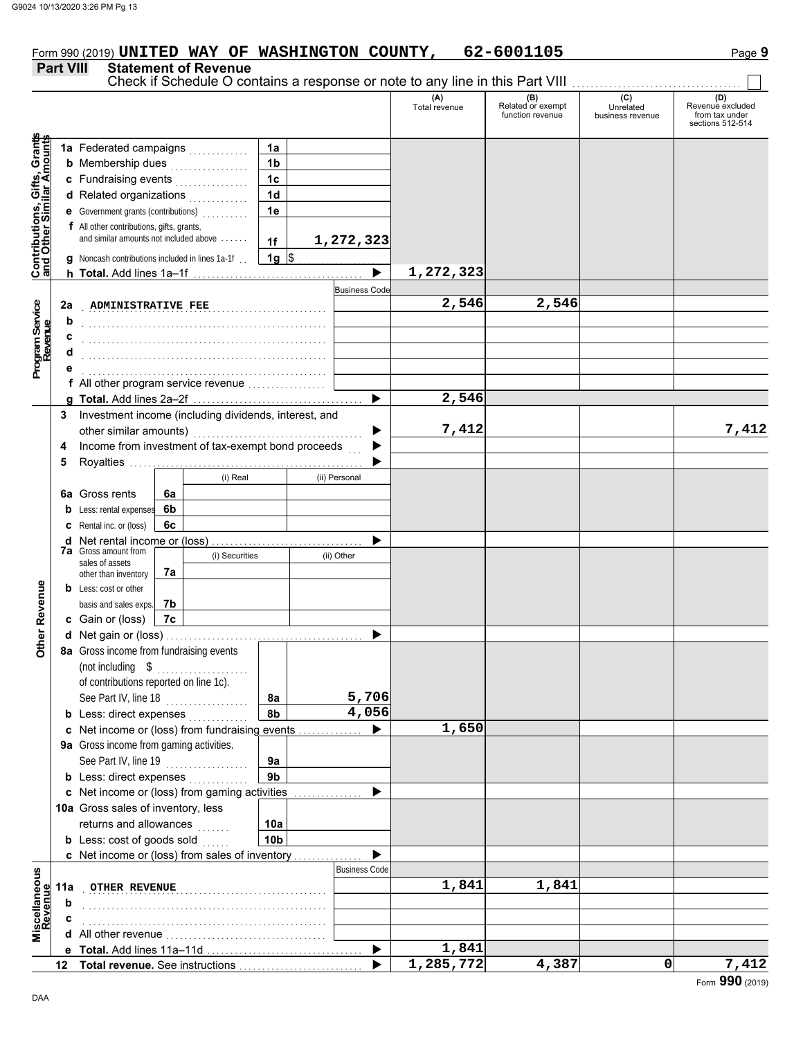Check if Schedule O contains a response or note to any line in this Part VIII

#### **(A) (B) (C) (D)** Total revenue Related or exempt Unrelated Revenue excluded<br>
Total revenue function revenue business revenue from tax under function revenue business revenue from tax under sections 512-514 **Contributions, Gifts, Grants and Other Similar Amounts** Grant **1a 1a** Federated campaigns . . . . . . . . . . . , Gifts, Gra<br>illar Amou **1b b** Membership dues  $\ldots$  . . . . . . . . . . . . **1c c** Fundraising events . . . . . . . . . . . . . . . . **1d d** Related organizations <sub>.</sub> . . . . . . . . . . **Contributions,<br>and Other Simi e** Government grants (contributions) . . . . . . . . . . **1e f** All other contributions, gifts, grants, and similar amounts not included above . . . . . . **1,272,323 1f 1g g** Noncash contributions included in lines 1a-1f . .  $\frac{1}{2}$ **1,272,323**  $\blacktriangleright$ **h Total.** Add lines 1a–1f . . . . . . . . . . . . . . . . . . . . . . . . . . . . . . . . . . . . . Business Cod **Program Service ADMINISTRATIVE FEE** 2,546 2,546 **Program Service 2a b** . . . . . . . . . . . . . . . . . . . . . . . . . . . . . . . . . . . . . . . . . . . . . . . . . . . . . **c** . . . . . . . . . . . . . . . . . . . . . . . . . . . . . . . . . . . . . . . . . . . . . . . . . . . . . **d** . . . . . . . . . . . . . . . . . . . . . . . . . . . . . . . . . . . . . . . . . . . . . . . . . . . . . **e** . . . . . . . . . . . . . . . . . . . . . . . . . . . . . . . . . . . . . . . . . . . . . . . . . . . . . **f** All other program service revenue . . . . . . . . . . . . . . . . . **2,546 g Total.** Add lines 2a–2f . . . . . . . . . . . . . . . . . . . . . . . . . . . . . . . . . . . . . **3** Investment income (including dividends, interest, and other similar amounts) ь **7,412 7,412** Income from investment of tax-exempt bond proceeds **4** b **5** Royalties .... ▶ (i) Real (ii) Personal **6a** Gross rents **6a 6b b** Less: rental expenses **c** Rental inc. or (loss) **6c** ь **d** Net rental income or (loss) . . . . . . . . . . . . . . . . . . . . . . . . . . . . . . . . . **7a** Gross amount from (i) Securities (ii) Other sales of assets **7a** other than inventory **Other Revenue Other Revenue b** Less: cost or other **7b** basis and sales exps. **7c c** Gain or (loss) **d** Net gain or (loss) . . . . . . . . . . . . . . . . . . . . . . . . . . . . . . . . . . . . . . . . . . . **8a** Gross income from fundraising events (not including \$ . . . . . . . . . . . . . . . . . . . . of contributions reported on line 1c). See Part IV, line 18 . . . . . . . . . . . . . . . . . . **5,706 8a 8b 4,056 b** Less: direct expenses <sub>.</sub> . . . . . . . . . . **1,650 c** Net income or (loss) from fundraising events . . . . . . . . . . . . . . ▶ **9a** Gross income from gaming activities. See Part IV, line 19 . . . . . . . . . . . . . . . . . . **9a 9b b** Less: direct expenses  $\ldots$  $\blacktriangleright$ Net income or (loss) from gaming activities . . . . . . . . . . . . . . . **c** 10a Gross sales of inventory, less returns and allowances **10a 10b b** Less:  $\cosh$  of goods  $\sinh$ ь Net income or (loss) from sales of inventory . . . . . . . . . . . . . . . **c** cellaneous<br>Revenue Business Code **Miscellaneous OTHER REVENUE 1,841 1,841 11a Revenue b** . . . . . . . . . . . . . . . . . . . . . . . . . . . . . . . . . . . . . . . . . . . . . . . . . . . . . **c** . . . . . . . . . . . . . . . . . . . . . . . . . . . . . . . . . . . . . . . . . . . . . . . . . . . . . ă<br>Nă **d** All other revenue . . . . . . . . . . . . . . . . . . . . . . . . . . . . . . . . . . . ь **1,841** Total. Add lines 11a-11d **e 1,285,772 4,387 0 7,412 Total revenue.** See instructions  $\blacktriangleright$ **12**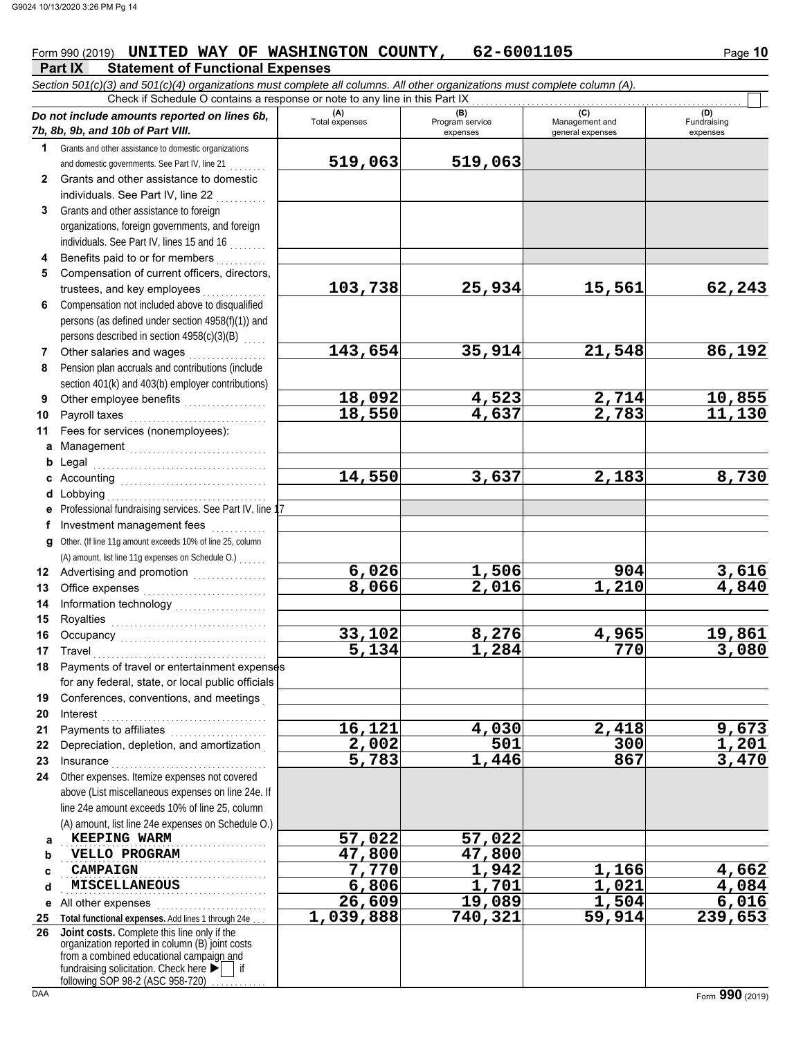$\Box$ 

**Part IX Statement of Functional Expenses** *Section 501(c)(3) and 501(c)(4) organizations must complete all columns. All other organizations must complete column (A).* Check if Schedule O contains a response or note to any line in this Part IX

|                | Do not include amounts reported on lines 6b,<br>7b, 8b, 9b, and 10b of Part VIII.           | (A)<br><b>Total expenses</b> | (B)<br>Program service | (C)<br>Management and | (D)<br>Fundraising      |
|----------------|---------------------------------------------------------------------------------------------|------------------------------|------------------------|-----------------------|-------------------------|
| $\mathbf 1$    | Grants and other assistance to domestic organizations                                       |                              | expenses               | general expenses      | expenses                |
|                | and domestic governments. See Part IV, line 21                                              | 519,063                      | 519,063                |                       |                         |
| $\mathbf{2}$   | Grants and other assistance to domestic                                                     |                              |                        |                       |                         |
|                | individuals. See Part IV, line 22                                                           |                              |                        |                       |                         |
| 3              | Grants and other assistance to foreign                                                      |                              |                        |                       |                         |
|                | organizations, foreign governments, and foreign                                             |                              |                        |                       |                         |
|                | individuals. See Part IV, lines 15 and 16                                                   |                              |                        |                       |                         |
| 4              | Benefits paid to or for members                                                             |                              |                        |                       |                         |
| 5              | Compensation of current officers, directors,                                                |                              |                        |                       |                         |
|                | trustees, and key employees                                                                 | 103,738                      | 25,934                 | 15,561                | 62,243                  |
| 6              | Compensation not included above to disqualified                                             |                              |                        |                       |                         |
|                | persons (as defined under section 4958(f)(1)) and                                           |                              |                        |                       |                         |
|                | persons described in section 4958(c)(3)(B)                                                  |                              |                        |                       |                         |
| $\overline{7}$ | Other salaries and wages                                                                    | 143,654                      | 35,914                 | 21,548                | 86,192                  |
| 8              | Pension plan accruals and contributions (include                                            |                              |                        |                       |                         |
|                | section 401(k) and 403(b) employer contributions)                                           |                              |                        |                       |                         |
| 9              |                                                                                             | 18,092                       | 4,523                  | $\frac{2,714}{2,783}$ | $\frac{10,855}{11,130}$ |
| 10             | Payroll taxes                                                                               | 18,550                       | 4,637                  |                       |                         |
| 11             | Fees for services (nonemployees):                                                           |                              |                        |                       |                         |
|                | a Management                                                                                |                              |                        |                       |                         |
| b              |                                                                                             |                              |                        |                       |                         |
|                |                                                                                             | 14,550                       | 3,637                  | 2,183                 | 8,730                   |
|                | d Lobbying                                                                                  |                              |                        |                       |                         |
|                | e Professional fundraising services. See Part IV, line 1                                    |                              |                        |                       |                         |
| f              | Investment management fees<br>.                                                             |                              |                        |                       |                         |
| g              | Other. (If line 11g amount exceeds 10% of line 25, column                                   |                              |                        |                       |                         |
|                | (A) amount, list line 11g expenses on Schedule O.)                                          |                              |                        |                       |                         |
| 12             |                                                                                             | 6,026                        | 1,506                  | 904                   | $\frac{3,616}{4,840}$   |
| 13             | Office expenses                                                                             | 8,066                        | 2,016                  | 1,210                 |                         |
| 14             |                                                                                             |                              |                        |                       |                         |
| 15             |                                                                                             |                              |                        |                       |                         |
| 16             |                                                                                             | 33,102<br>$\overline{5,134}$ | 8,276<br>1,284         | 4,965<br>770          | 19,861<br>3,080         |
| 17             | Travel<br>Payments of travel or entertainment expenses                                      |                              |                        |                       |                         |
| 18             | for any federal, state, or local public officials                                           |                              |                        |                       |                         |
|                | Conferences, conventions, and meetings                                                      |                              |                        |                       |                         |
| 19<br>20       | Interest                                                                                    |                              |                        |                       |                         |
| 21             | Payments to affiliates                                                                      | 16,121                       | 4,030                  | 2,418                 | 9,673                   |
| 22             | Depreciation, depletion, and amortization                                                   | 2,002                        | 501                    | 300                   | 1,201                   |
| 23             | Insurance                                                                                   | 5,783                        | 1,446                  | 867                   | 3,470                   |
| 24             | Other expenses. Itemize expenses not covered                                                |                              |                        |                       |                         |
|                | above (List miscellaneous expenses on line 24e. If                                          |                              |                        |                       |                         |
|                | line 24e amount exceeds 10% of line 25, column                                              |                              |                        |                       |                         |
|                | (A) amount, list line 24e expenses on Schedule O.)                                          |                              |                        |                       |                         |
| a              | <b>KEEPING WARM</b>                                                                         | 57,022                       | 57,022                 |                       |                         |
| b              | VELLO PROGRAM                                                                               | 47,800                       | 47,800                 |                       |                         |
| c              | <b>CAMPAIGN</b>                                                                             | 7,770                        | 1,942                  | 1,166                 | 4,662                   |
| d              | <b>MISCELLANEOUS</b>                                                                        | 6,806                        | 1,701                  | 1,021                 | 4,084                   |
| е              | All other expenses                                                                          | 26,609                       | 19,089                 | 1,504                 | 6,016                   |
| 25             | Total functional expenses. Add lines 1 through 24e                                          | 1,039,888                    | 740,321                | 59,914                | 239,653                 |
| 26             | Joint costs. Complete this line only if the                                                 |                              |                        |                       |                         |
|                | organization reported in column (B) joint costs<br>from a combined educational campaign and |                              |                        |                       |                         |
|                | fundraising solicitation. Check here ▶                                                      |                              |                        |                       |                         |
|                | following SOP 98-2 (ASC 958-720)                                                            |                              |                        |                       |                         |
| DAA            |                                                                                             |                              |                        |                       | Form 990 (2019)         |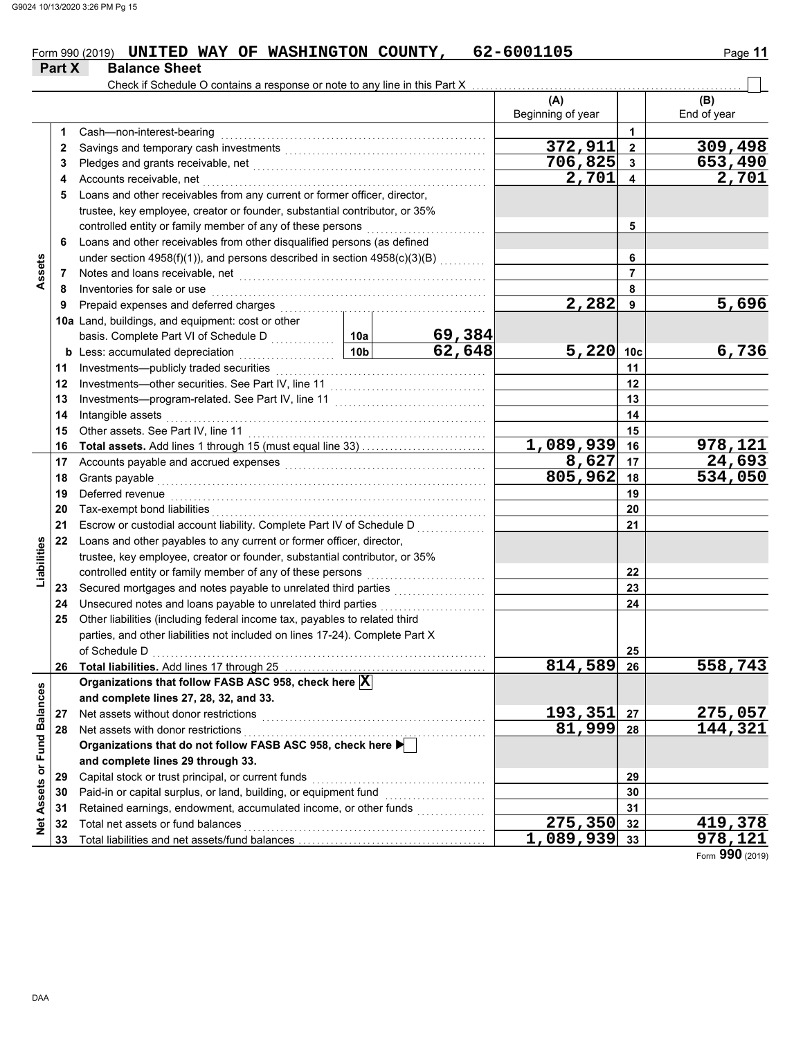## Form 990 (2019) **UNITED WAY OF WASHINGTON COUNTY, 62-6001105** Page 11 **Part X Balance Sheet**

|                             |    | Check if Schedule O contains a response or note to any line in this Part X                     |                                                                       |                         |                          |                 |                    |  |  |  |
|-----------------------------|----|------------------------------------------------------------------------------------------------|-----------------------------------------------------------------------|-------------------------|--------------------------|-----------------|--------------------|--|--|--|
|                             |    |                                                                                                |                                                                       |                         | (A)<br>Beginning of year |                 | (B)<br>End of year |  |  |  |
|                             | 1. | Cash-non-interest-bearing                                                                      |                                                                       |                         |                          | 1               |                    |  |  |  |
|                             | 2  | Savings and temporary cash investments                                                         |                                                                       |                         | 372,911                  | $\mathbf{2}$    | 309,498            |  |  |  |
|                             | 3  | Pledges and grants receivable, net                                                             |                                                                       |                         | 706,825                  | $\mathbf{3}$    | 653,490            |  |  |  |
|                             | 4  | Accounts receivable, net                                                                       |                                                                       |                         | 2,701                    | 4               | 2,701              |  |  |  |
|                             | 5  | Loans and other receivables from any current or former officer, director,                      |                                                                       |                         |                          |                 |                    |  |  |  |
|                             |    | trustee, key employee, creator or founder, substantial contributor, or 35%                     |                                                                       |                         |                          |                 |                    |  |  |  |
|                             |    |                                                                                                | controlled entity or family member of any of these persons            |                         |                          |                 |                    |  |  |  |
|                             | 6  | Loans and other receivables from other disqualified persons (as defined                        |                                                                       |                         |                          |                 |                    |  |  |  |
| Assets                      |    | under section $4958(f)(1)$ , and persons described in section $4958(c)(3)(B)$                  |                                                                       |                         |                          | 6               |                    |  |  |  |
|                             | 7  | Notes and loans receivable, net                                                                |                                                                       | $\overline{7}$          |                          |                 |                    |  |  |  |
|                             | 8  | Inventories for sale or use                                                                    |                                                                       | 8                       |                          |                 |                    |  |  |  |
|                             | 9  | Prepaid expenses and deferred charges                                                          |                                                                       |                         | 2,282                    | 9               | 5,696              |  |  |  |
|                             |    | 10a Land, buildings, and equipment: cost or other                                              |                                                                       |                         |                          |                 |                    |  |  |  |
|                             |    | basis. Complete Part VI of Schedule D                                                          | 10a                                                                   | $\frac{69,384}{62,648}$ |                          |                 |                    |  |  |  |
|                             |    | <b>b</b> Less: accumulated depreciation                                                        | 10 <sub>b</sub>                                                       |                         | 5,220                    | 10 <sub>c</sub> | 6,736              |  |  |  |
|                             | 11 | Investments-publicly traded securities                                                         |                                                                       |                         |                          | 11              |                    |  |  |  |
|                             | 12 | Investments-other securities. See Part IV, line 11                                             |                                                                       | 12                      |                          |                 |                    |  |  |  |
|                             | 13 | Investments-program-related. See Part IV, line 11                                              |                                                                       |                         |                          | 13              |                    |  |  |  |
|                             | 14 | Intangible assets                                                                              |                                                                       |                         |                          | 14              |                    |  |  |  |
|                             | 15 | Other assets. See Part IV, line 11                                                             |                                                                       |                         |                          | 15              |                    |  |  |  |
|                             | 16 | Total assets. Add lines 1 through 15 (must equal line 33)                                      |                                                                       |                         | 1,089,939                | 16              | 978,121            |  |  |  |
|                             | 17 | Accounts payable and accrued expenses                                                          |                                                                       |                         | 8,627<br>805,962         | 17<br>18        | 24,693<br>534,050  |  |  |  |
|                             | 18 | Grants payable                                                                                 |                                                                       |                         |                          |                 |                    |  |  |  |
|                             | 19 | Deferred revenue                                                                               |                                                                       |                         | 19                       |                 |                    |  |  |  |
|                             | 20 | Tax-exempt bond liabilities                                                                    |                                                                       |                         | 20<br>21                 |                 |                    |  |  |  |
|                             | 21 |                                                                                                | Escrow or custodial account liability. Complete Part IV of Schedule D |                         |                          |                 |                    |  |  |  |
| Liabilities                 | 22 | Loans and other payables to any current or former officer, director,                           |                                                                       |                         |                          |                 |                    |  |  |  |
|                             |    | trustee, key employee, creator or founder, substantial contributor, or 35%                     |                                                                       |                         |                          |                 |                    |  |  |  |
|                             |    | controlled entity or family member of any of these persons                                     |                                                                       |                         |                          | 22              |                    |  |  |  |
|                             | 23 | Secured mortgages and notes payable to unrelated third parties                                 |                                                                       |                         |                          | 23              |                    |  |  |  |
|                             | 24 | Unsecured notes and loans payable to unrelated third parties                                   |                                                                       |                         |                          | 24              |                    |  |  |  |
|                             | 25 | Other liabilities (including federal income tax, payables to related third                     |                                                                       |                         |                          |                 |                    |  |  |  |
|                             |    | parties, and other liabilities not included on lines 17-24). Complete Part X                   |                                                                       |                         |                          |                 |                    |  |  |  |
|                             |    | of Schedule D                                                                                  |                                                                       |                         |                          | 25              |                    |  |  |  |
|                             | 26 |                                                                                                |                                                                       |                         | 814,589                  | 26              | <u>558,743</u>     |  |  |  |
|                             |    | Organizations that follow FASB ASC 958, check here X<br>and complete lines 27, 28, 32, and 33. |                                                                       |                         |                          |                 |                    |  |  |  |
|                             |    | Net assets without donor restrictions                                                          |                                                                       |                         | 193,351                  |                 |                    |  |  |  |
|                             | 27 | Net assets with donor restrictions                                                             |                                                                       |                         | 81,999                   | 27<br>28        | 275,057<br>144,321 |  |  |  |
|                             | 28 | Organizations that do not follow FASB ASC 958, check here ▶                                    |                                                                       |                         |                          |                 |                    |  |  |  |
|                             |    | and complete lines 29 through 33.                                                              |                                                                       |                         |                          |                 |                    |  |  |  |
|                             | 29 | Capital stock or trust principal, or current funds                                             |                                                                       |                         | 29                       |                 |                    |  |  |  |
|                             | 30 | Paid-in or capital surplus, or land, building, or equipment fund                               |                                                                       |                         |                          | 30              |                    |  |  |  |
|                             | 31 | Retained earnings, endowment, accumulated income, or other funds                               |                                                                       |                         |                          | 31              |                    |  |  |  |
| Net Assets or Fund Balances | 32 | Total net assets or fund balances                                                              |                                                                       |                         | 275,350                  | 32              | 419,378            |  |  |  |
|                             | 33 |                                                                                                |                                                                       |                         | 1,089,939                | 33              | 978,121            |  |  |  |
|                             |    |                                                                                                |                                                                       |                         |                          |                 |                    |  |  |  |

Form **990** (2019)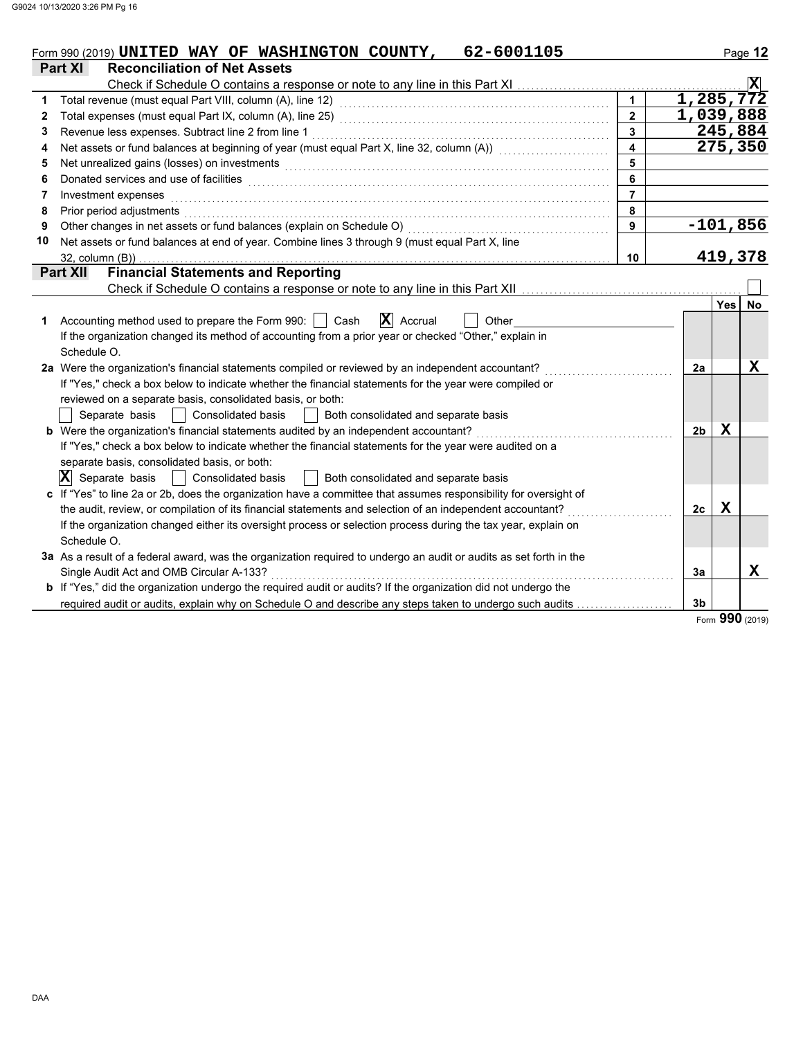|    | 62-6001105<br>Form 990 (2019) UNITED WAY OF WASHINGTON COUNTY,                                                        |                         |                |                        | Page 12     |
|----|-----------------------------------------------------------------------------------------------------------------------|-------------------------|----------------|------------------------|-------------|
|    | <b>Part XI</b><br><b>Reconciliation of Net Assets</b>                                                                 |                         |                |                        |             |
|    |                                                                                                                       |                         |                |                        | $ {\bf X} $ |
| 1  |                                                                                                                       |                         | 1,285,772      |                        |             |
| 2  |                                                                                                                       | $\overline{2}$          | 1,039,888      |                        |             |
| 3  | Revenue less expenses. Subtract line 2 from line 1                                                                    | 3                       |                | 245,884                |             |
| 4  | Net assets or fund balances at beginning of year (must equal Part X, line 32, column (A)) [[[[[[[[[[[[[[[[[[[         | $\overline{\mathbf{4}}$ |                | $\overline{275}$ , 350 |             |
| 5  | Net unrealized gains (losses) on investments                                                                          | 5                       |                |                        |             |
| 6  | Donated services and use of facilities                                                                                | 6                       |                |                        |             |
| 7  | Investment expenses                                                                                                   | $\overline{7}$          |                |                        |             |
| 8  | Prior period adjustments                                                                                              | 8                       |                |                        |             |
| 9  | Other changes in net assets or fund balances (explain on Schedule O)                                                  | 9                       |                | $-101,856$             |             |
| 10 | Net assets or fund balances at end of year. Combine lines 3 through 9 (must equal Part X, line                        |                         |                |                        |             |
|    | $32$ , column $(B)$ )                                                                                                 | 10                      |                | 419,378                |             |
|    | <b>Financial Statements and Reporting</b><br><b>Part XII</b>                                                          |                         |                |                        |             |
|    | Check if Schedule O contains a response or note to any line in this Part XII                                          |                         |                |                        |             |
|    |                                                                                                                       |                         |                | <b>Yes</b>             | No          |
| 1  | $\mathbf{X}$ Accrual<br>Accounting method used to prepare the Form 990:<br>Cash<br>Other                              |                         |                |                        |             |
|    | If the organization changed its method of accounting from a prior year or checked "Other," explain in                 |                         |                |                        |             |
|    | Schedule O.                                                                                                           |                         |                |                        |             |
|    | 2a Were the organization's financial statements compiled or reviewed by an independent accountant?                    |                         | 2a             |                        | $\mathbf x$ |
|    | If "Yes," check a box below to indicate whether the financial statements for the year were compiled or                |                         |                |                        |             |
|    | reviewed on a separate basis, consolidated basis, or both:                                                            |                         |                |                        |             |
|    | Separate basis<br><b>Consolidated basis</b><br>Both consolidated and separate basis                                   |                         |                |                        |             |
|    | <b>b</b> Were the organization's financial statements audited by an independent accountant?                           |                         | 2 <sub>b</sub> | x                      |             |
|    | If "Yes," check a box below to indicate whether the financial statements for the year were audited on a               |                         |                |                        |             |
|    | separate basis, consolidated basis, or both:                                                                          |                         |                |                        |             |
|    | $ \mathbf{X} $ Separate basis<br><b>Consolidated basis</b><br>Both consolidated and separate basis                    |                         |                |                        |             |
|    | c If "Yes" to line 2a or 2b, does the organization have a committee that assumes responsibility for oversight of      |                         |                |                        |             |
|    | the audit, review, or compilation of its financial statements and selection of an independent accountant?             |                         | 2c             | Х                      |             |
|    | If the organization changed either its oversight process or selection process during the tax year, explain on         |                         |                |                        |             |
|    | Schedule O.                                                                                                           |                         |                |                        |             |
|    | 3a As a result of a federal award, was the organization required to undergo an audit or audits as set forth in the    |                         |                |                        |             |
|    | Single Audit Act and OMB Circular A-133?                                                                              |                         | 3a             |                        | Χ           |
|    | <b>b</b> If "Yes," did the organization undergo the required audit or audits? If the organization did not undergo the |                         |                |                        |             |
|    | required audit or audits, explain why on Schedule O and describe any steps taken to undergo such audits               |                         | 3 <sub>b</sub> | nnn                    |             |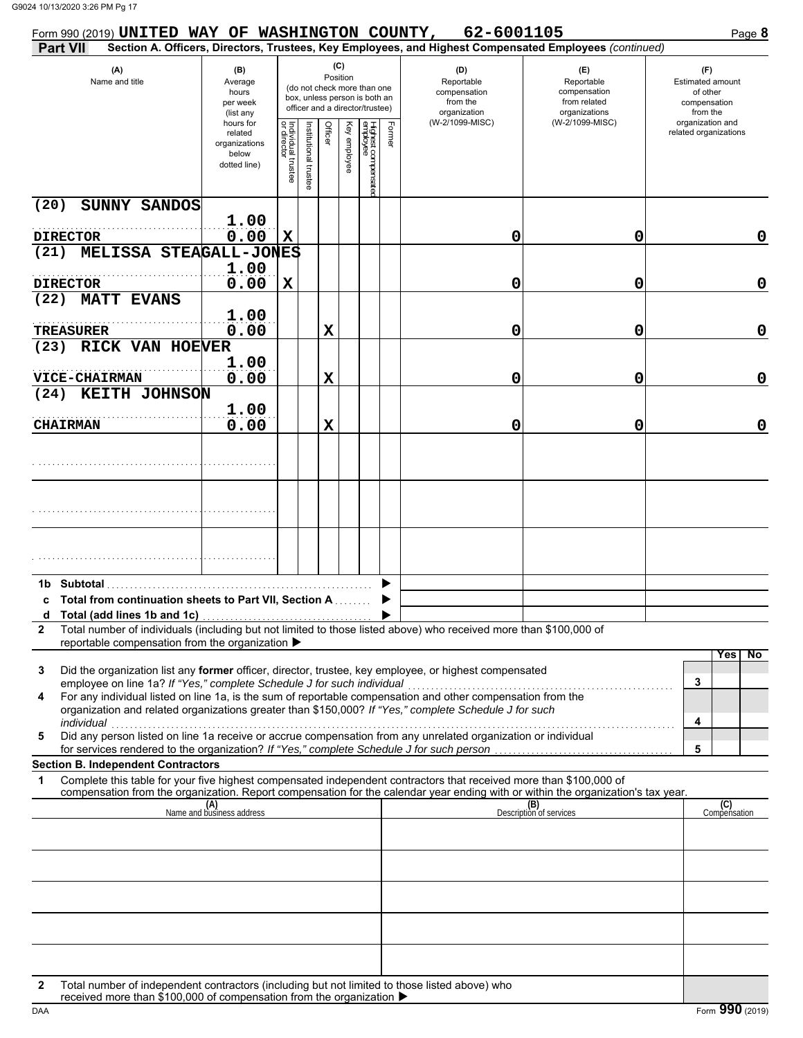| Form 990 (2019) UNITED WAY OF WASHINGTON COUNTY,                                                                                                                                                                                                                                                                                                                                                                  |                                                                                                                                                                             |                                   |                       |                 |              |                                 |                                                               | 62-6001105                                                                                             |                                                                 | Page 8                                    |
|-------------------------------------------------------------------------------------------------------------------------------------------------------------------------------------------------------------------------------------------------------------------------------------------------------------------------------------------------------------------------------------------------------------------|-----------------------------------------------------------------------------------------------------------------------------------------------------------------------------|-----------------------------------|-----------------------|-----------------|--------------|---------------------------------|---------------------------------------------------------------|--------------------------------------------------------------------------------------------------------|-----------------------------------------------------------------|-------------------------------------------|
| <b>Part VII</b>                                                                                                                                                                                                                                                                                                                                                                                                   |                                                                                                                                                                             |                                   |                       |                 |              |                                 |                                                               | Section A. Officers, Directors, Trustees, Key Employees, and Highest Compensated Employees (continued) |                                                                 |                                           |
| (A)<br>Name and title                                                                                                                                                                                                                                                                                                                                                                                             | (B)<br>Average<br>(do not check more than one<br>hours<br>box, unless person is both an<br>per week<br>officer and a director/trustee)<br>(list any<br>hours for<br>related |                                   |                       | (C)<br>Position |              |                                 | (D)<br>Reportable<br>compensation<br>from the<br>organization | (E)<br>Reportable<br>compensation<br>from related<br>organizations                                     | (F)<br>Estimated amount<br>of other<br>compensation<br>from the |                                           |
|                                                                                                                                                                                                                                                                                                                                                                                                                   | organizations<br>below<br>dotted line)                                                                                                                                      | Individual trustee<br>or director | Institutional trustee | Officer         | Key employee | Highest compensatec<br>employee | Former                                                        | (W-2/1099-MISC)                                                                                        | (W-2/1099-MISC)                                                 | organization and<br>related organizations |
| <b>SUNNY SANDOS</b><br>(20)                                                                                                                                                                                                                                                                                                                                                                                       |                                                                                                                                                                             |                                   |                       |                 |              |                                 |                                                               |                                                                                                        |                                                                 |                                           |
|                                                                                                                                                                                                                                                                                                                                                                                                                   | 1.00                                                                                                                                                                        |                                   |                       |                 |              |                                 |                                                               |                                                                                                        |                                                                 |                                           |
| <b>DIRECTOR</b><br>MELISSA STEAGALL-JONES<br>(21)                                                                                                                                                                                                                                                                                                                                                                 | 0.00                                                                                                                                                                        | $\mathbf X$                       |                       |                 |              |                                 |                                                               | 0                                                                                                      | 0                                                               | 0                                         |
|                                                                                                                                                                                                                                                                                                                                                                                                                   | 1.00                                                                                                                                                                        |                                   |                       |                 |              |                                 |                                                               |                                                                                                        |                                                                 |                                           |
| <b>DIRECTOR</b>                                                                                                                                                                                                                                                                                                                                                                                                   | 0.00                                                                                                                                                                        | $\mathbf x$                       |                       |                 |              |                                 |                                                               | 0                                                                                                      | 0                                                               | 0                                         |
| <b>MATT EVANS</b><br>(22)                                                                                                                                                                                                                                                                                                                                                                                         |                                                                                                                                                                             |                                   |                       |                 |              |                                 |                                                               |                                                                                                        |                                                                 |                                           |
| <b>TREASURER</b>                                                                                                                                                                                                                                                                                                                                                                                                  | 1.00<br>0.00                                                                                                                                                                |                                   |                       |                 |              |                                 |                                                               |                                                                                                        |                                                                 | 0                                         |
| RICK VAN HOEVER<br>(23)                                                                                                                                                                                                                                                                                                                                                                                           |                                                                                                                                                                             |                                   |                       | X               |              |                                 |                                                               | 0                                                                                                      | 0                                                               |                                           |
|                                                                                                                                                                                                                                                                                                                                                                                                                   | 1.00                                                                                                                                                                        |                                   |                       |                 |              |                                 |                                                               |                                                                                                        |                                                                 |                                           |
| VICE-CHAIRMAN                                                                                                                                                                                                                                                                                                                                                                                                     | 0.00                                                                                                                                                                        |                                   |                       | х               |              |                                 |                                                               | 0                                                                                                      | 0                                                               | 0                                         |
| KEITH JOHNSON<br>(24)                                                                                                                                                                                                                                                                                                                                                                                             |                                                                                                                                                                             |                                   |                       |                 |              |                                 |                                                               |                                                                                                        |                                                                 |                                           |
| <b>CHAIRMAN</b>                                                                                                                                                                                                                                                                                                                                                                                                   | 1.00<br>0.00                                                                                                                                                                |                                   |                       | х               |              |                                 |                                                               | 0                                                                                                      | 0                                                               | 0                                         |
|                                                                                                                                                                                                                                                                                                                                                                                                                   |                                                                                                                                                                             |                                   |                       |                 |              |                                 |                                                               |                                                                                                        |                                                                 |                                           |
|                                                                                                                                                                                                                                                                                                                                                                                                                   |                                                                                                                                                                             |                                   |                       |                 |              |                                 |                                                               |                                                                                                        |                                                                 |                                           |
|                                                                                                                                                                                                                                                                                                                                                                                                                   |                                                                                                                                                                             |                                   |                       |                 |              |                                 |                                                               |                                                                                                        |                                                                 |                                           |
|                                                                                                                                                                                                                                                                                                                                                                                                                   |                                                                                                                                                                             |                                   |                       |                 |              |                                 |                                                               |                                                                                                        |                                                                 |                                           |
| 1b Subtotal<br>c Total from continuation sheets to Part VII, Section A                                                                                                                                                                                                                                                                                                                                            |                                                                                                                                                                             |                                   |                       |                 |              |                                 |                                                               |                                                                                                        |                                                                 |                                           |
|                                                                                                                                                                                                                                                                                                                                                                                                                   |                                                                                                                                                                             |                                   |                       |                 |              |                                 |                                                               |                                                                                                        |                                                                 |                                           |
| Total number of individuals (including but not limited to those listed above) who received more than \$100,000 of<br>$\mathbf{2}$<br>reportable compensation from the organization ▶                                                                                                                                                                                                                              |                                                                                                                                                                             |                                   |                       |                 |              |                                 |                                                               |                                                                                                        |                                                                 |                                           |
| Did the organization list any former officer, director, trustee, key employee, or highest compensated<br>3<br>employee on line 1a? If "Yes," complete Schedule J for such individual<br>For any individual listed on line 1a, is the sum of reportable compensation and other compensation from the<br>4<br>organization and related organizations greater than \$150,000? If "Yes," complete Schedule J for such |                                                                                                                                                                             |                                   |                       |                 |              |                                 |                                                               |                                                                                                        |                                                                 | Yes<br>No.<br>3                           |
| individual<br>Did any person listed on line 1a receive or accrue compensation from any unrelated organization or individual<br>5                                                                                                                                                                                                                                                                                  |                                                                                                                                                                             |                                   |                       |                 |              |                                 |                                                               |                                                                                                        |                                                                 | 4                                         |
| for services rendered to the organization? If "Yes," complete Schedule J for such person<br><b>Section B. Independent Contractors</b>                                                                                                                                                                                                                                                                             |                                                                                                                                                                             |                                   |                       |                 |              |                                 |                                                               |                                                                                                        |                                                                 | 5                                         |
| Complete this table for your five highest compensated independent contractors that received more than \$100,000 of<br>1<br>compensation from the organization. Report compensation for the calendar year ending with or within the organization's tax year.                                                                                                                                                       |                                                                                                                                                                             |                                   |                       |                 |              |                                 |                                                               |                                                                                                        |                                                                 |                                           |
|                                                                                                                                                                                                                                                                                                                                                                                                                   | (A)<br>Name and business address                                                                                                                                            |                                   |                       |                 |              |                                 |                                                               |                                                                                                        | (B)<br>Description of services                                  | (C)<br>Compensation                       |
|                                                                                                                                                                                                                                                                                                                                                                                                                   |                                                                                                                                                                             |                                   |                       |                 |              |                                 |                                                               |                                                                                                        |                                                                 |                                           |
|                                                                                                                                                                                                                                                                                                                                                                                                                   |                                                                                                                                                                             |                                   |                       |                 |              |                                 |                                                               |                                                                                                        |                                                                 |                                           |
|                                                                                                                                                                                                                                                                                                                                                                                                                   |                                                                                                                                                                             |                                   |                       |                 |              |                                 |                                                               |                                                                                                        |                                                                 |                                           |
|                                                                                                                                                                                                                                                                                                                                                                                                                   |                                                                                                                                                                             |                                   |                       |                 |              |                                 |                                                               |                                                                                                        |                                                                 |                                           |
|                                                                                                                                                                                                                                                                                                                                                                                                                   |                                                                                                                                                                             |                                   |                       |                 |              |                                 |                                                               |                                                                                                        |                                                                 |                                           |
| Total number of independent contractors (including but not limited to those listed above) who<br>2<br>received more than \$100,000 of compensation from the organization ▶                                                                                                                                                                                                                                        |                                                                                                                                                                             |                                   |                       |                 |              |                                 |                                                               |                                                                                                        |                                                                 |                                           |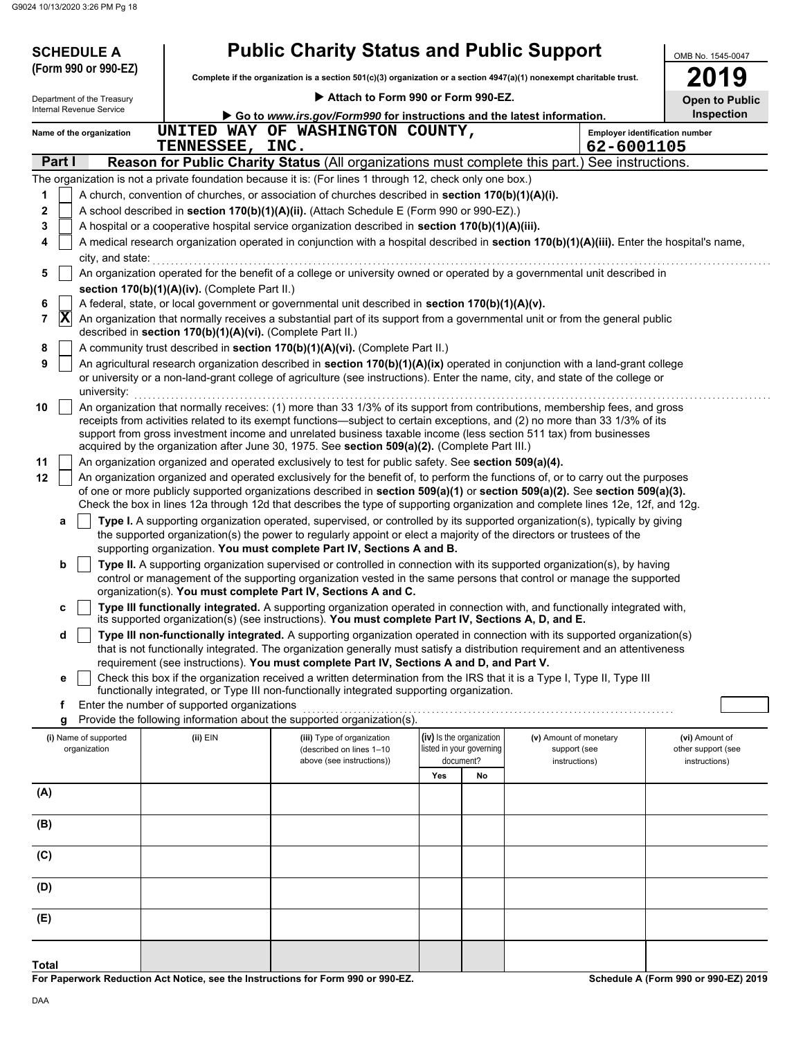| <b>SCHEDULE A</b>          |                                                            | <b>Public Charity Status and Public Support</b>                                                                                                                                                                                                                 |                                       |    |                                       | OMB No. 1545-0047                   |
|----------------------------|------------------------------------------------------------|-----------------------------------------------------------------------------------------------------------------------------------------------------------------------------------------------------------------------------------------------------------------|---------------------------------------|----|---------------------------------------|-------------------------------------|
| (Form 990 or 990-EZ)       |                                                            | Complete if the organization is a section $501(c)(3)$ organization or a section $4947(a)(1)$ nonexempt charitable trust.                                                                                                                                        |                                       |    |                                       | 2019                                |
| Department of the Treasury |                                                            | Attach to Form 990 or Form 990-EZ.                                                                                                                                                                                                                              |                                       |    |                                       | <b>Open to Public</b>               |
| Internal Revenue Service   |                                                            | Go to www.irs.gov/Form990 for instructions and the latest information.                                                                                                                                                                                          |                                       |    |                                       | <b>Inspection</b>                   |
| Name of the organization   |                                                            | UNITED WAY OF WASHINGTON COUNTY,                                                                                                                                                                                                                                |                                       |    | <b>Employer identification number</b> |                                     |
|                            | TENNESSEE, INC.                                            |                                                                                                                                                                                                                                                                 |                                       |    | 62-6001105                            |                                     |
| Part I                     |                                                            | Reason for Public Charity Status (All organizations must complete this part.)                                                                                                                                                                                   |                                       |    | See instructions.                     |                                     |
|                            |                                                            | The organization is not a private foundation because it is: (For lines 1 through 12, check only one box.)                                                                                                                                                       |                                       |    |                                       |                                     |
| 1                          |                                                            | A church, convention of churches, or association of churches described in section 170(b)(1)(A)(i).                                                                                                                                                              |                                       |    |                                       |                                     |
| 2                          |                                                            | A school described in section 170(b)(1)(A)(ii). (Attach Schedule E (Form 990 or 990-EZ).)                                                                                                                                                                       |                                       |    |                                       |                                     |
| 3                          |                                                            | A hospital or a cooperative hospital service organization described in section 170(b)(1)(A)(iii).                                                                                                                                                               |                                       |    |                                       |                                     |
| 4<br>city, and state:      |                                                            | A medical research organization operated in conjunction with a hospital described in section 170(b)(1)(A)(iii). Enter the hospital's name,                                                                                                                      |                                       |    |                                       |                                     |
| 5                          |                                                            | An organization operated for the benefit of a college or university owned or operated by a governmental unit described in                                                                                                                                       |                                       |    |                                       |                                     |
|                            | section 170(b)(1)(A)(iv). (Complete Part II.)              |                                                                                                                                                                                                                                                                 |                                       |    |                                       |                                     |
| 6                          |                                                            | A federal, state, or local government or governmental unit described in section 170(b)(1)(A)(v).                                                                                                                                                                |                                       |    |                                       |                                     |
| $ \mathbf{X} $<br>7        | described in section 170(b)(1)(A)(vi). (Complete Part II.) | An organization that normally receives a substantial part of its support from a governmental unit or from the general public                                                                                                                                    |                                       |    |                                       |                                     |
| 8                          |                                                            | A community trust described in section 170(b)(1)(A)(vi). (Complete Part II.)                                                                                                                                                                                    |                                       |    |                                       |                                     |
| 9<br>university:           |                                                            | An agricultural research organization described in section 170(b)(1)(A)(ix) operated in conjunction with a land-grant college<br>or university or a non-land-grant college of agriculture (see instructions). Enter the name, city, and state of the college or |                                       |    |                                       |                                     |
| 10                         |                                                            | An organization that normally receives: (1) more than 33 1/3% of its support from contributions, membership fees, and gross                                                                                                                                     |                                       |    |                                       |                                     |
|                            |                                                            | receipts from activities related to its exempt functions—subject to certain exceptions, and (2) no more than 33 1/3% of its                                                                                                                                     |                                       |    |                                       |                                     |
|                            |                                                            | support from gross investment income and unrelated business taxable income (less section 511 tax) from businesses<br>acquired by the organization after June 30, 1975. See section 509(a)(2). (Complete Part III.)                                              |                                       |    |                                       |                                     |
| 11                         |                                                            | An organization organized and operated exclusively to test for public safety. See section 509(a)(4).                                                                                                                                                            |                                       |    |                                       |                                     |
| 12                         |                                                            | An organization organized and operated exclusively for the benefit of, to perform the functions of, or to carry out the purposes                                                                                                                                |                                       |    |                                       |                                     |
|                            |                                                            | of one or more publicly supported organizations described in section 509(a)(1) or section 509(a)(2). See section 509(a)(3).                                                                                                                                     |                                       |    |                                       |                                     |
|                            |                                                            | Check the box in lines 12a through 12d that describes the type of supporting organization and complete lines 12e, 12f, and 12g.                                                                                                                                 |                                       |    |                                       |                                     |
| a                          |                                                            | Type I. A supporting organization operated, supervised, or controlled by its supported organization(s), typically by giving<br>the supported organization(s) the power to regularly appoint or elect a majority of the directors or trustees of the             |                                       |    |                                       |                                     |
| b                          |                                                            | supporting organization. You must complete Part IV, Sections A and B.<br>Type II. A supporting organization supervised or controlled in connection with its supported organization(s), by having                                                                |                                       |    |                                       |                                     |
|                            |                                                            | control or management of the supporting organization vested in the same persons that control or manage the supported                                                                                                                                            |                                       |    |                                       |                                     |
|                            |                                                            | organization(s). You must complete Part IV, Sections A and C.                                                                                                                                                                                                   |                                       |    |                                       |                                     |
| c                          |                                                            | Type III functionally integrated. A supporting organization operated in connection with, and functionally integrated with,<br>its supported organization(s) (see instructions). You must complete Part IV, Sections A, D, and E.                                |                                       |    |                                       |                                     |
| d                          |                                                            | Type III non-functionally integrated. A supporting organization operated in connection with its supported organization(s)<br>that is not functionally integrated. The organization generally must satisfy a distribution requirement and an attentiveness       |                                       |    |                                       |                                     |
|                            |                                                            | requirement (see instructions). You must complete Part IV, Sections A and D, and Part V.                                                                                                                                                                        |                                       |    |                                       |                                     |
| e                          |                                                            | Check this box if the organization received a written determination from the IRS that it is a Type I, Type II, Type III<br>functionally integrated, or Type III non-functionally integrated supporting organization.                                            |                                       |    |                                       |                                     |
| f                          | Enter the number of supported organizations                |                                                                                                                                                                                                                                                                 |                                       |    |                                       |                                     |
| g                          |                                                            | Provide the following information about the supported organization(s).                                                                                                                                                                                          |                                       |    |                                       |                                     |
| (i) Name of supported      | (ii) EIN                                                   | (iii) Type of organization                                                                                                                                                                                                                                      | (iv) Is the organization              |    | (v) Amount of monetary                | (vi) Amount of                      |
| organization               |                                                            | (described on lines 1-10<br>above (see instructions))                                                                                                                                                                                                           | listed in your governing<br>document? |    | support (see<br>instructions)         | other support (see<br>instructions) |
|                            |                                                            |                                                                                                                                                                                                                                                                 | Yes                                   | No |                                       |                                     |
| (A)                        |                                                            |                                                                                                                                                                                                                                                                 |                                       |    |                                       |                                     |
|                            |                                                            |                                                                                                                                                                                                                                                                 |                                       |    |                                       |                                     |
| (B)                        |                                                            |                                                                                                                                                                                                                                                                 |                                       |    |                                       |                                     |
| (C)                        |                                                            |                                                                                                                                                                                                                                                                 |                                       |    |                                       |                                     |
|                            |                                                            |                                                                                                                                                                                                                                                                 |                                       |    |                                       |                                     |
| (D)                        |                                                            |                                                                                                                                                                                                                                                                 |                                       |    |                                       |                                     |
| (E)                        |                                                            |                                                                                                                                                                                                                                                                 |                                       |    |                                       |                                     |
|                            |                                                            |                                                                                                                                                                                                                                                                 |                                       |    |                                       |                                     |
| <b>Total</b>               |                                                            |                                                                                                                                                                                                                                                                 |                                       |    |                                       |                                     |

**For Paperwork Reduction Act Notice, see the Instructions for Form 990 or 990-EZ.**

**Schedule A (Form 990 or 990-EZ) 2019**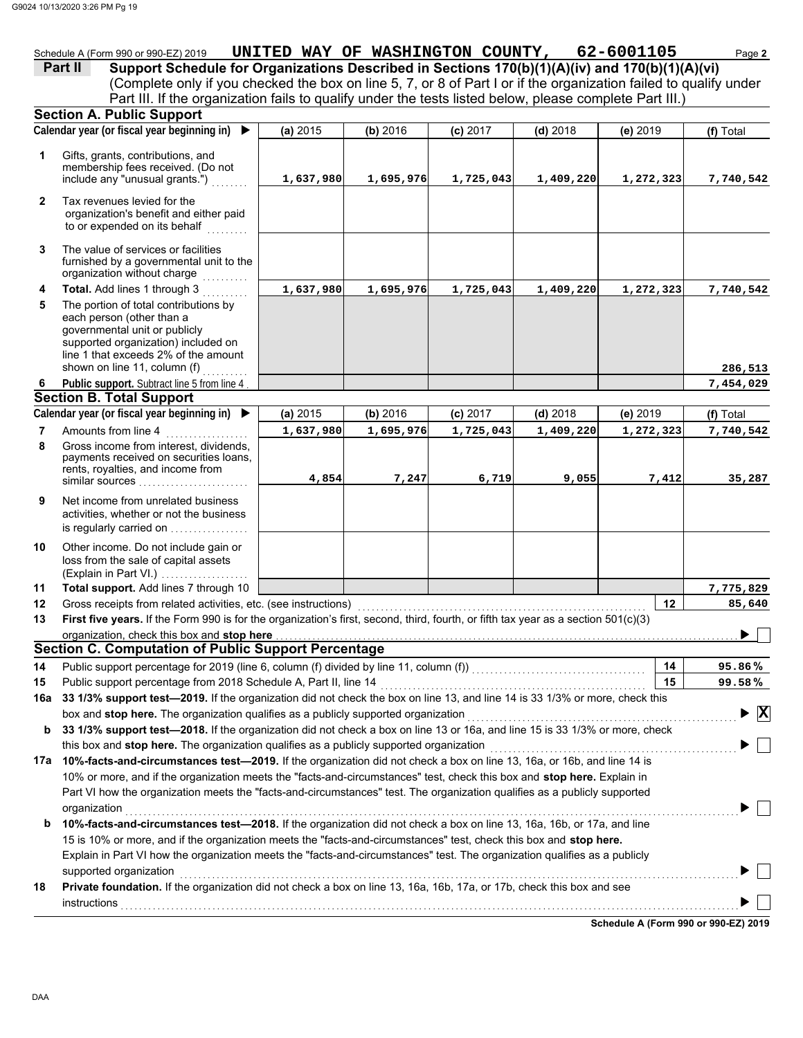|   | Schedule A (Form 990 or 990-EZ) 2019                                                                              | UNITED WAY OF WASHINGTON COUNTY, |           |            |            | 62-6001105 | Page 2    |
|---|-------------------------------------------------------------------------------------------------------------------|----------------------------------|-----------|------------|------------|------------|-----------|
|   | Part II<br>Support Schedule for Organizations Described in Sections 170(b)(1)(A)(iv) and 170(b)(1)(A)(vi)         |                                  |           |            |            |            |           |
|   | (Complete only if you checked the box on line 5, 7, or 8 of Part I or if the organization failed to qualify under |                                  |           |            |            |            |           |
|   | Part III. If the organization fails to qualify under the tests listed below, please complete Part III.)           |                                  |           |            |            |            |           |
|   | <b>Section A. Public Support</b>                                                                                  |                                  |           |            |            |            |           |
|   | Calendar year (or fiscal year beginning in)                                                                       | (a) 2015                         | (b) 2016  | $(c)$ 2017 | $(d)$ 2018 | (e) 2019   | (f) Total |
|   | Gifts, grants, contributions, and<br>membership fees received. (Do not<br>include any "unusual grants.")          | 1,637,980                        | 1,695,976 | 1,725,043  | 1,409,220  | 1,272,323  | 7,740,542 |
| 2 | Tax revenues levied for the<br>organization's benefit and either paid<br>to or expended on its behalf             |                                  |           |            |            |            |           |

First five years. If the Form 990 is for the organization's first, second, third, fourth, or fifth tax year as a section 501(c)(3)

Calendar year (or fiscal year beginning in) ▶ (a) 2015 | (b) 2016 | (c) 2017 | (d) 2018 | (e) 2019 | (f) Total

**(b)** 2016 **(c)** 2017 **(d)** 2018 **(e)** 2019

**1,637,980 1,695,976 1,725,043 1,409,220 1,272,323 7,740,542**

**1,637,980 1,695,976 1,725,043 1,409,220 1,272,323 7,740,542**

**4,854 7,247 6,719 9,055 7,412 35,287**

**b 33 1/3% support test—2018.** If the organization did not check a box on line 13 or 16a, and line 15 is 33 1/3% or more, check

Public support percentage from 2018 Schedule A, Part II, line 14 . . . . . . . . . . . . . . . . . . . . . . . . . . . . . . . . . . . . . . . . . . . . . . . . . . . . . . . . . . **15 16a 33 1/3% support test—2019.** If the organization did not check the box on line 13, and line 14 is 33 1/3% or more, check this

**17a 10%-facts-and-circumstances test—2019.** If the organization did not check a box on line 13, 16a, or 16b, and line 14 is 10% or more, and if the organization meets the "facts-and-circumstances" test, check this box and **stop here.** Explain in Part VI how the organization meets the "facts-and-circumstances" test. The organization qualifies as a publicly supported

**b 10%-facts-and-circumstances test—2018.** If the organization did not check a box on line 13, 16a, 16b, or 17a, and line

**18 Private foundation.** If the organization did not check a box on line 13, 16a, 16b, 17a, or 17b, check this box and see

Explain in Part VI how the organization meets the "facts-and-circumstances" test. The organization qualifies as a publicly 15 is 10% or more, and if the organization meets the "facts-and-circumstances" test, check this box and **stop here.**

organization . . . . . . . . . . . . . . . . . . . . . . . . . . . . . . . . . . . . . . . . . . . . . . . . . . . . . . . . . . . . . . . . . . . . . . . . . . . . . . . . . . . . . . . . . . . . . . . . . . . . . . . . . . . . . . . . . . . . . . . . . . . . . . . . . . . . . .

instructions . . . . . . . . . . . . . . . . . . . . . . . . . . . . . . . . . . . . . . . . . . . . . . . . . . . . . . . . . . . . . . . . . . . . . . . . . . . . . . . . . . . . . . . . . . . . . . . . . . . . . . . . . . . . . . . . . . . . . . . . . . . . . . . . . . . . . . .

**14** Public support percentage for 2019 (line 6, column (f) divided by line 11, column (f)) . . . . . . . . . . . . . . . . . . . . . . . . . . . . . . . . . . . . . .

**(a)** 2015

box and stop here. The organization qualifies as a publicly supported organization ........

this box and stop here. The organization qualifies as a publicly supported organization

| Schedule A (Form 990 or 990-EZ) 2019 |  |  |
|--------------------------------------|--|--|
|                                      |  |  |

**12**

**14 15** **% 95.86 % 99.58**

▶.

**X**

**7,775,829 85,640**

**286,513 7,454,029**

supported organization

DAA

**13 12 11**

**9**

**10**

**8**

**7**

**6**

**4**

**5**

**3**

(Explain in Part VI.) . . . . . . . . . . . . . . . . . .

loss from the sale of capital assets Other income. Do not include gain or is regularly carried on . . . . . . . . . . . . . . . . activities, whether or not the business Net income from unrelated business

rents, royalties, and income from payments received on securities loans, Gross income from interest, dividends,

similar sources . . . . . . . . . . . . . . . . . . . . . . . .

**Total support.** Add lines 7 through 10

organization, check this box and stop here

Gross receipts from related activities, etc. (see instructions) .........

**Section C. Computation of Public Support Percentage**

governmental unit or publicly

shown on line 11, column (f)

each person (other than a

Amounts from line 4

**Section B. Total Support**

line 1 that exceeds 2% of the amount supported organization) included on

Public support. Subtract line 5 from line 4

The portion of total contributions by **Total.** Add lines 1 through 3 . . . . . . . . .

furnished by a governmental unit to the organization without charge ...........

The value of services or facilities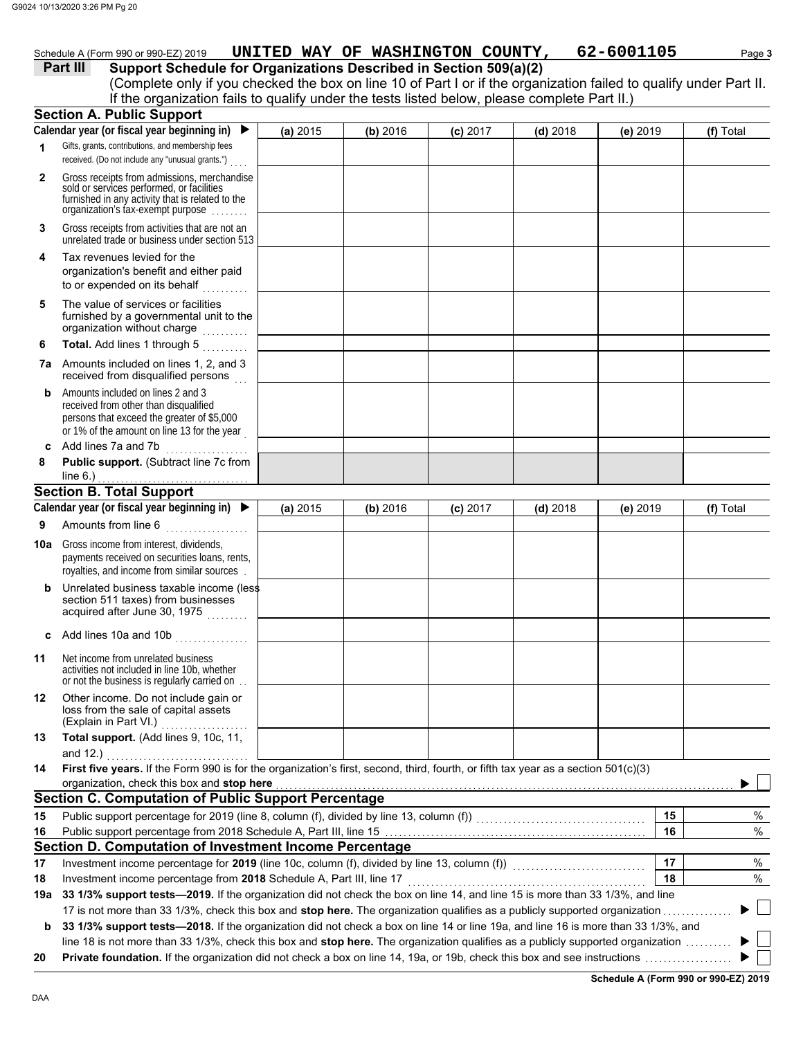| Schedule A (Form 990 or 990-EZ) 2019 | <b>UNITED</b> |  | WAY OF WASHINGTON COUNTY, | 2-6001105 | Page 3 |
|--------------------------------------|---------------|--|---------------------------|-----------|--------|
|                                      |               |  |                           |           |        |

**Part III Support Schedule for Organizations Described in Section 509(a)(2)**

(Complete only if you checked the box on line 10 of Part I or if the organization failed to qualify under Part II. If the organization fails to qualify under the tests listed below, please complete Part II.)

|     | <b>Section A. Public Support</b>                                                                                                                                                  |          |          |            |            |          |    |           |
|-----|-----------------------------------------------------------------------------------------------------------------------------------------------------------------------------------|----------|----------|------------|------------|----------|----|-----------|
|     | Calendar year (or fiscal year beginning in)<br>▶                                                                                                                                  | (a) 2015 | (b) 2016 | $(c)$ 2017 | $(d)$ 2018 | (e) 2019 |    | (f) Total |
| 1   | Gifts, grants, contributions, and membership fees<br>received. (Do not include any "unusual grants.")                                                                             |          |          |            |            |          |    |           |
| 2   | Gross receipts from admissions, merchandise<br>sold or services performed, or facilities<br>furnished in any activity that is related to the<br>organization's tax-exempt purpose |          |          |            |            |          |    |           |
| 3   | Gross receipts from activities that are not an<br>unrelated trade or business under section 513                                                                                   |          |          |            |            |          |    |           |
| 4   | Tax revenues levied for the<br>organization's benefit and either paid<br>to or expended on its behalf<br>.                                                                        |          |          |            |            |          |    |           |
| 5   | The value of services or facilities<br>furnished by a governmental unit to the<br>organization without charge                                                                     |          |          |            |            |          |    |           |
| 6   | Total. Add lines 1 through 5                                                                                                                                                      |          |          |            |            |          |    |           |
|     | <b>7a</b> Amounts included on lines 1, 2, and 3<br>received from disqualified persons                                                                                             |          |          |            |            |          |    |           |
| b   | Amounts included on lines 2 and 3<br>received from other than disqualified<br>persons that exceed the greater of \$5,000<br>or 1% of the amount on line 13 for the year           |          |          |            |            |          |    |           |
| c   | Add lines 7a and 7b                                                                                                                                                               |          |          |            |            |          |    |           |
| 8   | Public support. (Subtract line 7c from                                                                                                                                            |          |          |            |            |          |    |           |
|     | line $6.$ )                                                                                                                                                                       |          |          |            |            |          |    |           |
|     | <b>Section B. Total Support</b>                                                                                                                                                   |          |          |            |            |          |    |           |
|     | Calendar year (or fiscal year beginning in)                                                                                                                                       | (a) 2015 | (b) 2016 | $(c)$ 2017 | $(d)$ 2018 | (e) 2019 |    | (f) Total |
| 9   | Amounts from line 6                                                                                                                                                               |          |          |            |            |          |    |           |
| 10a | Gross income from interest, dividends,<br>payments received on securities loans, rents,<br>royalties, and income from similar sources                                             |          |          |            |            |          |    |           |
| b   | Unrelated business taxable income (less<br>section 511 taxes) from businesses<br>acquired after June 30, 1975                                                                     |          |          |            |            |          |    |           |
| C   | Add lines 10a and 10b                                                                                                                                                             |          |          |            |            |          |    |           |
| 11  | Net income from unrelated business<br>activities not included in line 10b, whether<br>or not the business is regularly carried on.                                                |          |          |            |            |          |    |           |
| 12  | Other income. Do not include gain or<br>loss from the sale of capital assets<br>(Explain in Part VI.)                                                                             |          |          |            |            |          |    |           |
| 13  | Total support. (Add lines 9, 10c, 11,<br>and 12.)                                                                                                                                 |          |          |            |            |          |    |           |
| 14  | First five years. If the Form 990 is for the organization's first, second, third, fourth, or fifth tax year as a section 501(c)(3)                                                |          |          |            |            |          |    |           |
|     | organization, check this box and stop here                                                                                                                                        |          |          |            |            |          |    |           |
|     | <b>Section C. Computation of Public Support Percentage</b>                                                                                                                        |          |          |            |            |          |    |           |
| 15  | Public support percentage for 2019 (line 8, column (f), divided by line 13, column (f)) [[[[[[[[[[[[[[[[[[[[[                                                                     |          |          |            |            |          | 15 | %         |
| 16  |                                                                                                                                                                                   |          |          |            |            |          | 16 | $\%$      |
|     | <b>Section D. Computation of Investment Income Percentage</b>                                                                                                                     |          |          |            |            |          |    |           |
| 17  | Investment income percentage for 2019 (line 10c, column (f), divided by line 13, column (f)) [[[[[[[[[[[[[[[[                                                                     |          |          |            |            |          | 17 | $\%$      |
| 18  | Investment income percentage from 2018 Schedule A, Part III, line 17                                                                                                              |          |          |            |            |          | 18 | %         |
| 19a | 33 1/3% support tests-2019. If the organization did not check the box on line 14, and line 15 is more than 33 1/3%, and line                                                      |          |          |            |            |          |    |           |
|     | 17 is not more than 33 1/3%, check this box and stop here. The organization qualifies as a publicly supported organization                                                        |          |          |            |            |          |    |           |
| b   | 33 1/3% support tests-2018. If the organization did not check a box on line 14 or line 19a, and line 16 is more than 33 1/3%, and                                                 |          |          |            |            |          |    |           |
|     | line 18 is not more than 33 1/3%, check this box and stop here. The organization qualifies as a publicly supported organization                                                   |          |          |            |            |          |    |           |
| 20  |                                                                                                                                                                                   |          |          |            |            |          |    |           |

**Schedule A (Form 990 or 990-EZ) 2019**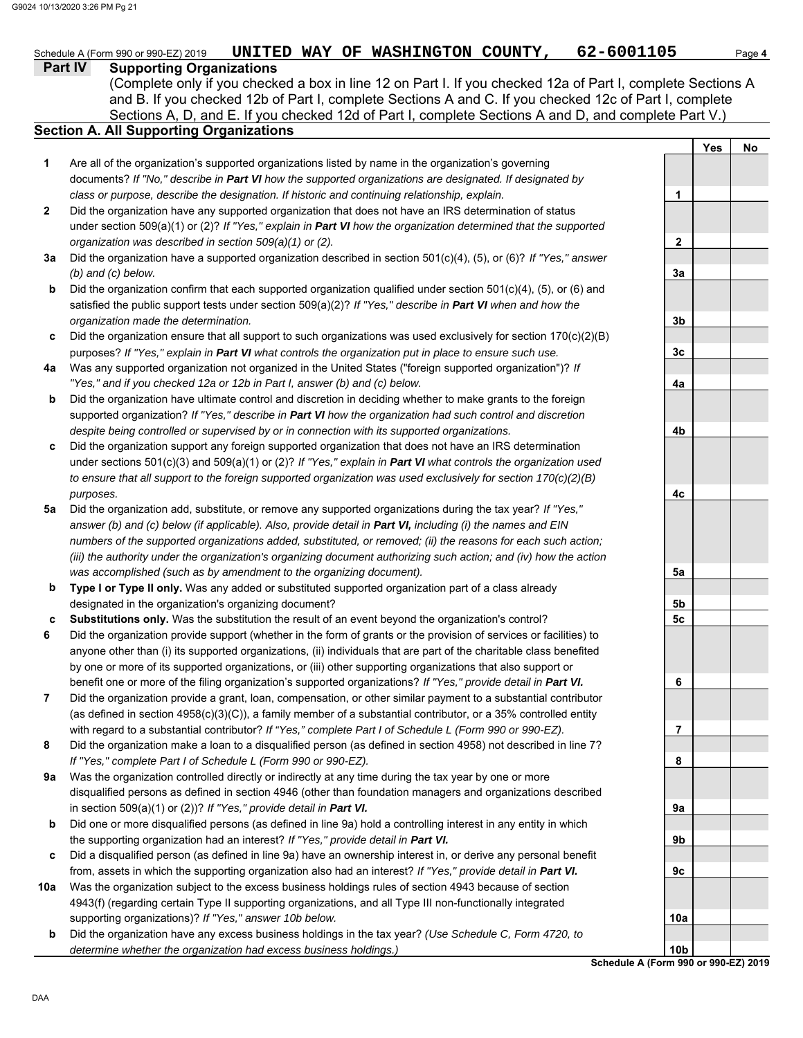## Schedule A (Form 990 or 990-EZ) 2019 **UNITED WAY OF WASHINGTON COUNTY , 62-6001105** Page 4

### **Part IV Supporting Organizations**

Sections A, D, and E. If you checked 12d of Part I, complete Sections A and D, and complete Part V.) (Complete only if you checked a box in line 12 on Part I. If you checked 12a of Part I, complete Sections A and B. If you checked 12b of Part I, complete Sections A and C. If you checked 12c of Part I, complete

## **Section A. All Supporting Organizations**

- Are all of the organization's supported organizations listed by name in the organization's governing documents? *If "No," describe in Part VI how the supported organizations are designated. If designated by class or purpose, describe the designation. If historic and continuing relationship, explain.* **1**
- Did the organization have any supported organization that does not have an IRS determination of status under section 509(a)(1) or (2)? *If "Yes," explain in Part VI how the organization determined that the supported organization was described in section 509(a)(1) or (2).* **2**
- **3a** Did the organization have a supported organization described in section 501(c)(4), (5), or (6)? *If "Yes," answer (b) and (c) below.*
- **b** Did the organization confirm that each supported organization qualified under section  $501(c)(4)$ ,  $(5)$ , or  $(6)$  and satisfied the public support tests under section 509(a)(2)? *If "Yes," describe in Part VI when and how the organization made the determination.*
- **c** Did the organization ensure that all support to such organizations was used exclusively for section  $170(c)(2)(B)$ purposes? *If "Yes," explain in Part VI what controls the organization put in place to ensure such use.*
- **4a** Was any supported organization not organized in the United States ("foreign supported organization")? *If "Yes," and if you checked 12a or 12b in Part I, answer (b) and (c) below.*
- **b** Did the organization have ultimate control and discretion in deciding whether to make grants to the foreign supported organization? *If "Yes," describe in Part VI how the organization had such control and discretion despite being controlled or supervised by or in connection with its supported organizations.*
- **c** Did the organization support any foreign supported organization that does not have an IRS determination under sections 501(c)(3) and 509(a)(1) or (2)? *If "Yes," explain in Part VI what controls the organization used to ensure that all support to the foreign supported organization was used exclusively for section 170(c)(2)(B) purposes.*
- **5a** Did the organization add, substitute, or remove any supported organizations during the tax year? *If "Yes," answer (b) and (c) below (if applicable). Also, provide detail in Part VI, including (i) the names and EIN numbers of the supported organizations added, substituted, or removed; (ii) the reasons for each such action; (iii) the authority under the organization's organizing document authorizing such action; and (iv) how the action was accomplished (such as by amendment to the organizing document).*
- **b Type I or Type II only.** Was any added or substituted supported organization part of a class already designated in the organization's organizing document?
- **c Substitutions only.** Was the substitution the result of an event beyond the organization's control?
- **6** Did the organization provide support (whether in the form of grants or the provision of services or facilities) to anyone other than (i) its supported organizations, (ii) individuals that are part of the charitable class benefited by one or more of its supported organizations, or (iii) other supporting organizations that also support or benefit one or more of the filing organization's supported organizations? *If "Yes," provide detail in Part VI.*
- **7** Did the organization provide a grant, loan, compensation, or other similar payment to a substantial contributor (as defined in section 4958(c)(3)(C)), a family member of a substantial contributor, or a 35% controlled entity with regard to a substantial contributor? *If "Yes," complete Part I of Schedule L (Form 990 or 990-EZ).*
- **8** Did the organization make a loan to a disqualified person (as defined in section 4958) not described in line 7? *If "Yes," complete Part I of Schedule L (Form 990 or 990-EZ).*
- **9a** Was the organization controlled directly or indirectly at any time during the tax year by one or more disqualified persons as defined in section 4946 (other than foundation managers and organizations described in section 509(a)(1) or (2))? *If "Yes," provide detail in Part VI.*
- **b** Did one or more disqualified persons (as defined in line 9a) hold a controlling interest in any entity in which the supporting organization had an interest? *If "Yes," provide detail in Part VI.*
- **c** Did a disqualified person (as defined in line 9a) have an ownership interest in, or derive any personal benefit from, assets in which the supporting organization also had an interest? *If "Yes," provide detail in Part VI.*
- **10a** Was the organization subject to the excess business holdings rules of section 4943 because of section 4943(f) (regarding certain Type II supporting organizations, and all Type III non-functionally integrated supporting organizations)? *If "Yes," answer 10b below.*
- **b** Did the organization have any excess business holdings in the tax year? *(Use Schedule C, Form 4720, to determine whether the organization had excess business holdings.)*

|                 | <b>Yes</b> | No    |
|-----------------|------------|-------|
| 1               |            |       |
| 2               |            |       |
| За              |            | e e   |
| 3b              |            |       |
| 3c              |            | 88888 |
| 4a              |            |       |
|                 |            |       |
| 4b              |            |       |
| 4c              |            |       |
| 5a              |            |       |
| 5b<br>5c        |            |       |
| 6               |            |       |
| 7               |            |       |
| 8               |            |       |
|                 |            |       |
| 9a<br>9b        |            |       |
| 9c              |            |       |
| 10a             |            |       |
| 10 <sub>b</sub> |            |       |

**Schedule A (Form 990 or 990-EZ) 2019**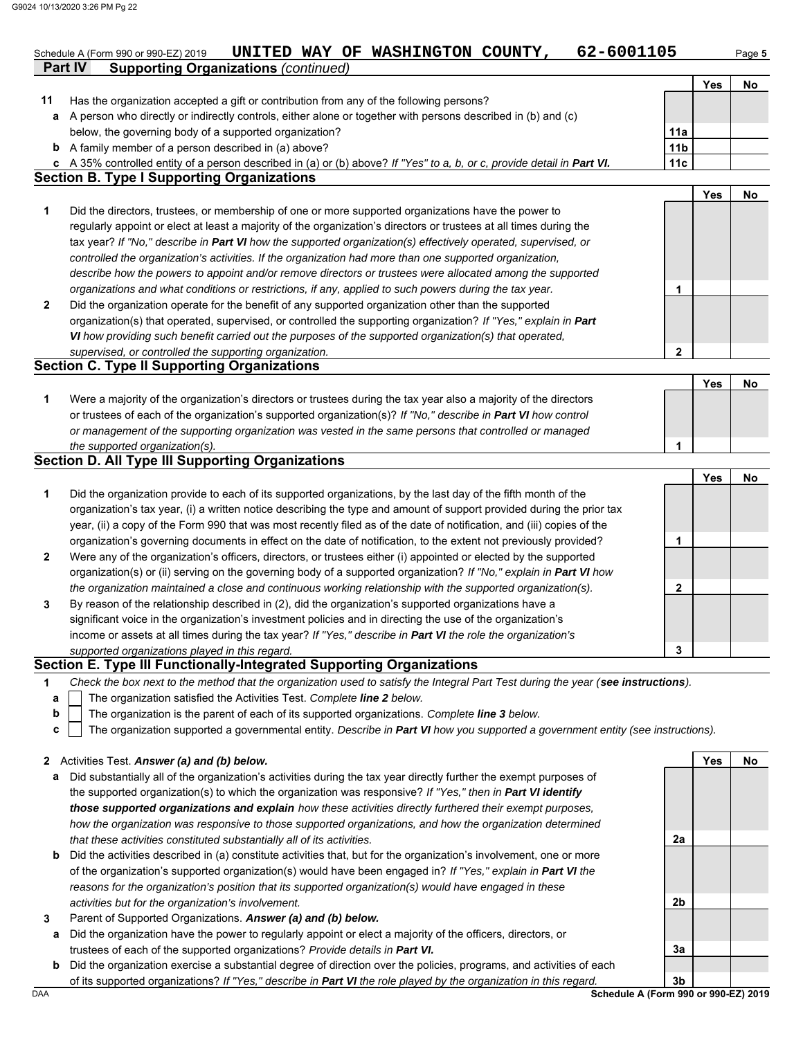|    | 62-6001105<br>UNITED WAY OF WASHINGTON COUNTY,<br>Schedule A (Form 990 or 990-EZ) 2019                                            |                 |            | Page 5 |
|----|-----------------------------------------------------------------------------------------------------------------------------------|-----------------|------------|--------|
|    | Part IV<br><b>Supporting Organizations (continued)</b>                                                                            |                 |            |        |
|    |                                                                                                                                   |                 | <b>Yes</b> | No     |
| 11 | Has the organization accepted a gift or contribution from any of the following persons?                                           |                 |            |        |
| а  | A person who directly or indirectly controls, either alone or together with persons described in (b) and (c)                      |                 |            |        |
|    | below, the governing body of a supported organization?                                                                            | 11a             |            |        |
| b  | A family member of a person described in (a) above?                                                                               | 11 <sub>b</sub> |            |        |
| C  | A 35% controlled entity of a person described in (a) or (b) above? If "Yes" to a, b, or c, provide detail in Part VI.             | 11c             |            |        |
|    | <b>Section B. Type I Supporting Organizations</b>                                                                                 |                 |            |        |
|    |                                                                                                                                   |                 | <b>Yes</b> | No     |
| 1  | Did the directors, trustees, or membership of one or more supported organizations have the power to                               |                 |            |        |
|    | regularly appoint or elect at least a majority of the organization's directors or trustees at all times during the                |                 |            |        |
|    | tax year? If "No," describe in Part VI how the supported organization(s) effectively operated, supervised, or                     |                 |            |        |
|    | controlled the organization's activities. If the organization had more than one supported organization,                           |                 |            |        |
|    | describe how the powers to appoint and/or remove directors or trustees were allocated among the supported                         |                 |            |        |
|    | organizations and what conditions or restrictions, if any, applied to such powers during the tax year.                            | 1               |            |        |
| 2  | Did the organization operate for the benefit of any supported organization other than the supported                               |                 |            |        |
|    | organization(s) that operated, supervised, or controlled the supporting organization? If "Yes," explain in Part                   |                 |            |        |
|    | VI how providing such benefit carried out the purposes of the supported organization(s) that operated,                            |                 |            |        |
|    | supervised, or controlled the supporting organization.                                                                            | $\mathbf{2}$    |            |        |
|    | <b>Section C. Type II Supporting Organizations</b>                                                                                |                 |            |        |
|    |                                                                                                                                   |                 | <b>Yes</b> | No     |
| 1  | Were a majority of the organization's directors or trustees during the tax year also a majority of the directors                  |                 |            |        |
|    | or trustees of each of the organization's supported organization(s)? If "No," describe in Part VI how control                     |                 |            |        |
|    |                                                                                                                                   |                 |            |        |
|    | or management of the supporting organization was vested in the same persons that controlled or managed                            | 1               |            |        |
|    | the supported organization(s).<br><b>Section D. All Type III Supporting Organizations</b>                                         |                 |            |        |
|    |                                                                                                                                   |                 |            |        |
|    |                                                                                                                                   |                 | <b>Yes</b> | No     |
| 1  | Did the organization provide to each of its supported organizations, by the last day of the fifth month of the                    |                 |            |        |
|    | organization's tax year, (i) a written notice describing the type and amount of support provided during the prior tax             |                 |            |        |
|    | year, (ii) a copy of the Form 990 that was most recently filed as of the date of notification, and (iii) copies of the            |                 |            |        |
|    | organization's governing documents in effect on the date of notification, to the extent not previously provided?                  | 1               |            |        |
| 2  | Were any of the organization's officers, directors, or trustees either (i) appointed or elected by the supported                  |                 |            |        |
|    | organization(s) or (ii) serving on the governing body of a supported organization? If "No," explain in Part VI how                |                 |            |        |
|    | the organization maintained a close and continuous working relationship with the supported organization(s).                       | 2               |            |        |
| 3  | By reason of the relationship described in (2), did the organization's supported organizations have a                             |                 |            |        |
|    | significant voice in the organization's investment policies and in directing the use of the organization's                        |                 |            |        |
|    | income or assets at all times during the tax year? If "Yes," describe in Part VI the role the organization's                      |                 |            |        |
|    | supported organizations played in this regard.                                                                                    | 3               |            |        |
|    | Section E. Type III Functionally-Integrated Supporting Organizations                                                              |                 |            |        |
| 1  | Check the box next to the method that the organization used to satisfy the Integral Part Test during the year (see instructions). |                 |            |        |
| а  | The organization satisfied the Activities Test. Complete line 2 below.                                                            |                 |            |        |
| b  | The organization is the parent of each of its supported organizations. Complete line 3 below.                                     |                 |            |        |

The organization supported a governmental entity. *Describe in Part VI how you supported a government entity (see instructions).* **c**

## **2** Activities Test. *Answer (a) and (b) below.*

- **a** Did substantially all of the organization's activities during the tax year directly further the exempt purposes of the supported organization(s) to which the organization was responsive? *If "Yes," then in Part VI identify those supported organizations and explain how these activities directly furthered their exempt purposes, how the organization was responsive to those supported organizations, and how the organization determined that these activities constituted substantially all of its activities.*
- **b** Did the activities described in (a) constitute activities that, but for the organization's involvement, one or more of the organization's supported organization(s) would have been engaged in? *If "Yes," explain in Part VI the reasons for the organization's position that its supported organization(s) would have engaged in these activities but for the organization's involvement.*
- **3** Parent of Supported Organizations. *Answer (a) and (b) below.*
- **a** Did the organization have the power to regularly appoint or elect a majority of the officers, directors, or trustees of each of the supported organizations? *Provide details in Part VI.*
- **b** Did the organization exercise a substantial degree of direction over the policies, programs, and activities of each of its supported organizations? *If "Yes," describe in Part VI the role played by the organization in this regard.*

**2a**

**2b**

**3a**

**Yes No**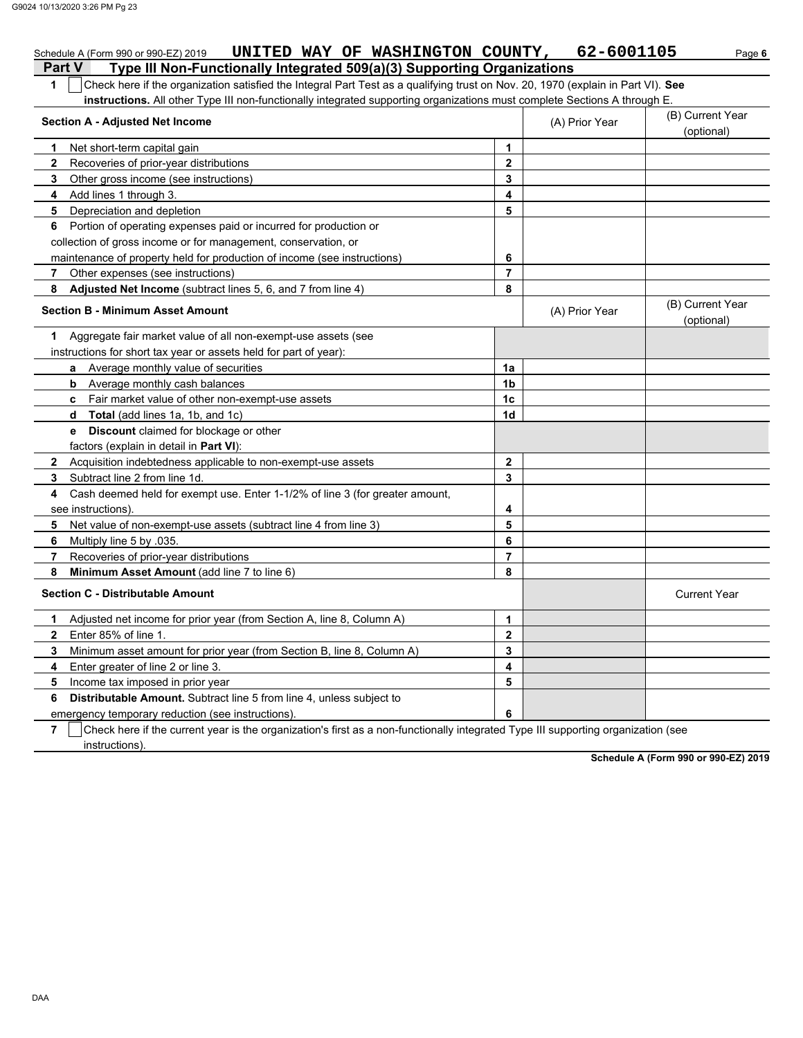| UNITED WAY OF WASHINGTON COUNTY,<br>Schedule A (Form 990 or 990-EZ) 2019                                                              |                         | 62-6001105     | Page 6                         |
|---------------------------------------------------------------------------------------------------------------------------------------|-------------------------|----------------|--------------------------------|
| Type III Non-Functionally Integrated 509(a)(3) Supporting Organizations<br><b>Part V</b>                                              |                         |                |                                |
| Check here if the organization satisfied the Integral Part Test as a qualifying trust on Nov. 20, 1970 (explain in Part VI). See<br>1 |                         |                |                                |
| <b>instructions.</b> All other Type III non-functionally integrated supporting organizations must complete Sections A through E.      |                         |                |                                |
| <b>Section A - Adjusted Net Income</b>                                                                                                |                         | (A) Prior Year | (B) Current Year<br>(optional) |
| Net short-term capital gain<br>1                                                                                                      | 1                       |                |                                |
| $\mathbf{2}$<br>Recoveries of prior-year distributions                                                                                | $\mathbf 2$             |                |                                |
| 3<br>Other gross income (see instructions)                                                                                            | 3                       |                |                                |
| Add lines 1 through 3.<br>4                                                                                                           | 4                       |                |                                |
| 5<br>Depreciation and depletion                                                                                                       | 5                       |                |                                |
| Portion of operating expenses paid or incurred for production or<br>6                                                                 |                         |                |                                |
| collection of gross income or for management, conservation, or                                                                        |                         |                |                                |
| maintenance of property held for production of income (see instructions)                                                              | 6                       |                |                                |
| 7<br>Other expenses (see instructions)                                                                                                | $\overline{7}$          |                |                                |
| Adjusted Net Income (subtract lines 5, 6, and 7 from line 4)<br>8                                                                     | 8                       |                |                                |
| <b>Section B - Minimum Asset Amount</b>                                                                                               |                         | (A) Prior Year | (B) Current Year<br>(optional) |
| Aggregate fair market value of all non-exempt-use assets (see<br>1                                                                    |                         |                |                                |
| instructions for short tax year or assets held for part of year):                                                                     |                         |                |                                |
| a Average monthly value of securities                                                                                                 | 1a                      |                |                                |
| Average monthly cash balances<br>b                                                                                                    | 1b                      |                |                                |
| <b>c</b> Fair market value of other non-exempt-use assets                                                                             | 1c                      |                |                                |
| <b>Total</b> (add lines 1a, 1b, and 1c)<br>d                                                                                          | 1d                      |                |                                |
| Discount claimed for blockage or other<br>е                                                                                           |                         |                |                                |
| factors (explain in detail in Part VI):                                                                                               |                         |                |                                |
| Acquisition indebtedness applicable to non-exempt-use assets<br>$\mathbf{2}$                                                          | $\mathbf{2}$            |                |                                |
| 3<br>Subtract line 2 from line 1d.                                                                                                    | 3                       |                |                                |
| Cash deemed held for exempt use. Enter 1-1/2% of line 3 (for greater amount,<br>4                                                     |                         |                |                                |
| see instructions)                                                                                                                     | 4                       |                |                                |
| Net value of non-exempt-use assets (subtract line 4 from line 3)<br>5                                                                 | 5                       |                |                                |
| 6<br>Multiply line 5 by .035.                                                                                                         | 6                       |                |                                |
| $\overline{7}$<br>Recoveries of prior-year distributions                                                                              | $\overline{\mathbf{r}}$ |                |                                |
| 8<br>Minimum Asset Amount (add line 7 to line 6)                                                                                      | 8                       |                |                                |
| <b>Section C - Distributable Amount</b>                                                                                               |                         |                | <b>Current Year</b>            |
| Adjusted net income for prior year (from Section A, line 8, Column A)<br>1                                                            | 1                       |                |                                |
| Enter 85% of line 1.<br>2                                                                                                             | $\mathbf{2}$            |                |                                |
| Minimum asset amount for prior year (from Section B, line 8, Column A)<br>3                                                           | 3                       |                |                                |
| 4<br>Enter greater of line 2 or line 3.                                                                                               | 4                       |                |                                |
| 5<br>Income tax imposed in prior year                                                                                                 | 5                       |                |                                |
| 6<br>Distributable Amount. Subtract line 5 from line 4, unless subject to                                                             |                         |                |                                |
| emergency temporary reduction (see instructions).                                                                                     | 6                       |                |                                |

**7**  $\mid$  Check here if the current year is the organization's first as a non-functionally integrated Type III supporting organization (see instructions).

**Schedule A (Form 990 or 990-EZ) 2019**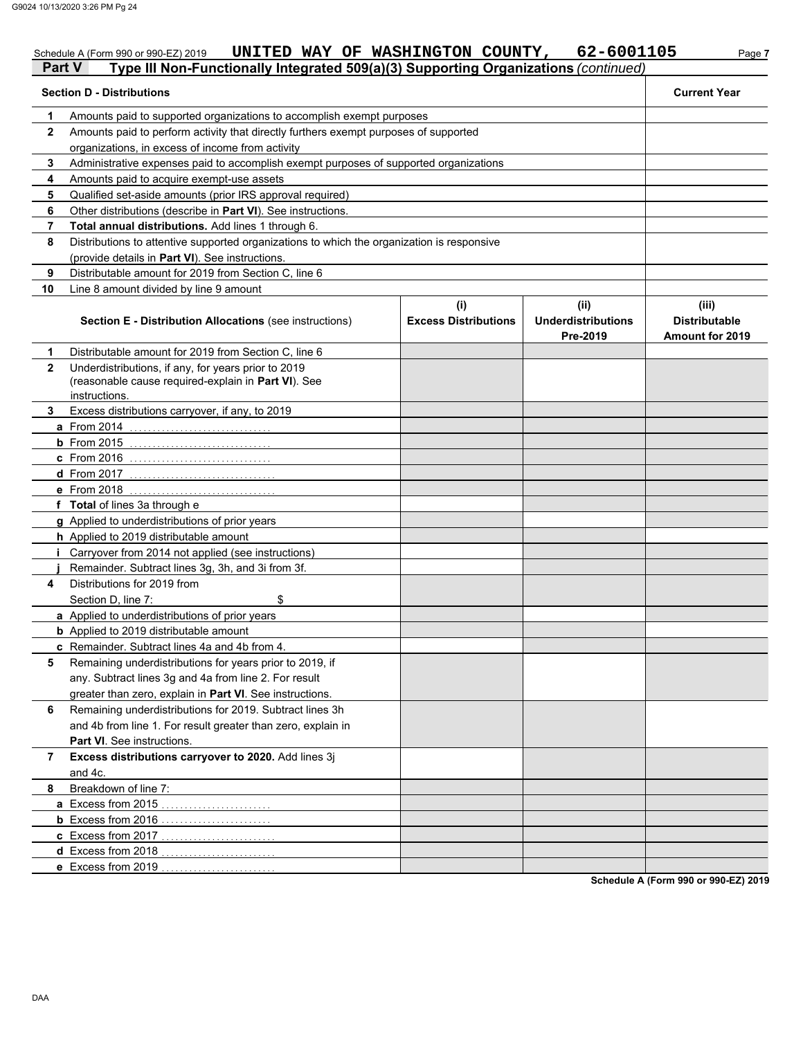|              | UNITED WAY OF WASHINGTON COUNTY,<br>Schedule A (Form 990 or 990-EZ) 2019<br>Part V<br>Type III Non-Functionally Integrated 509(a)(3) Supporting Organizations (continued) |                                    | 62-6001105                                    | Page 7                                                  |
|--------------|---------------------------------------------------------------------------------------------------------------------------------------------------------------------------|------------------------------------|-----------------------------------------------|---------------------------------------------------------|
|              | <b>Section D - Distributions</b>                                                                                                                                          |                                    |                                               | <b>Current Year</b>                                     |
| 1            | Amounts paid to supported organizations to accomplish exempt purposes                                                                                                     |                                    |                                               |                                                         |
| $\mathbf{2}$ | Amounts paid to perform activity that directly furthers exempt purposes of supported                                                                                      |                                    |                                               |                                                         |
|              | organizations, in excess of income from activity                                                                                                                          |                                    |                                               |                                                         |
| 3            | Administrative expenses paid to accomplish exempt purposes of supported organizations                                                                                     |                                    |                                               |                                                         |
| 4            | Amounts paid to acquire exempt-use assets                                                                                                                                 |                                    |                                               |                                                         |
| 5            | Qualified set-aside amounts (prior IRS approval required)                                                                                                                 |                                    |                                               |                                                         |
| 6            | Other distributions (describe in Part VI). See instructions.                                                                                                              |                                    |                                               |                                                         |
| 7            | Total annual distributions. Add lines 1 through 6.                                                                                                                        |                                    |                                               |                                                         |
| 8            | Distributions to attentive supported organizations to which the organization is responsive                                                                                |                                    |                                               |                                                         |
|              | (provide details in Part VI). See instructions.                                                                                                                           |                                    |                                               |                                                         |
| 9            | Distributable amount for 2019 from Section C, line 6                                                                                                                      |                                    |                                               |                                                         |
| 10           | Line 8 amount divided by line 9 amount                                                                                                                                    |                                    |                                               |                                                         |
|              | <b>Section E - Distribution Allocations (see instructions)</b>                                                                                                            | (i)<br><b>Excess Distributions</b> | (ii)<br><b>Underdistributions</b><br>Pre-2019 | (iii)<br><b>Distributable</b><br><b>Amount for 2019</b> |
| 1            | Distributable amount for 2019 from Section C, line 6                                                                                                                      |                                    |                                               |                                                         |
| $\mathbf{2}$ | Underdistributions, if any, for years prior to 2019<br>(reasonable cause required-explain in Part VI). See<br>instructions.                                               |                                    |                                               |                                                         |
| 3.           | Excess distributions carryover, if any, to 2019                                                                                                                           |                                    |                                               |                                                         |
|              | a From 2014                                                                                                                                                               |                                    |                                               |                                                         |
|              |                                                                                                                                                                           |                                    |                                               |                                                         |
|              | c From 2016                                                                                                                                                               |                                    |                                               |                                                         |
|              | <b>d</b> From 2017                                                                                                                                                        |                                    |                                               |                                                         |
|              | e From 2018<br>. <u>.</u>                                                                                                                                                 |                                    |                                               |                                                         |
|              | f Total of lines 3a through e                                                                                                                                             |                                    |                                               |                                                         |
|              | g Applied to underdistributions of prior years                                                                                                                            |                                    |                                               |                                                         |
|              | h Applied to 2019 distributable amount                                                                                                                                    |                                    |                                               |                                                         |
| Ť.           | Carryover from 2014 not applied (see instructions)                                                                                                                        |                                    |                                               |                                                         |
|              | Remainder. Subtract lines 3g, 3h, and 3i from 3f.                                                                                                                         |                                    |                                               |                                                         |
| 4            | Distributions for 2019 from                                                                                                                                               |                                    |                                               |                                                         |
|              | \$<br>Section D, line 7:                                                                                                                                                  |                                    |                                               |                                                         |
|              | a Applied to underdistributions of prior years                                                                                                                            |                                    |                                               |                                                         |
|              | <b>b</b> Applied to 2019 distributable amount                                                                                                                             |                                    |                                               |                                                         |
|              | c Remainder. Subtract lines 4a and 4b from 4.                                                                                                                             |                                    |                                               |                                                         |
| 5            | Remaining underdistributions for years prior to 2019, if                                                                                                                  |                                    |                                               |                                                         |
|              | any. Subtract lines 3g and 4a from line 2. For result                                                                                                                     |                                    |                                               |                                                         |
|              | greater than zero, explain in Part VI. See instructions.                                                                                                                  |                                    |                                               |                                                         |
| 6            | Remaining underdistributions for 2019. Subtract lines 3h                                                                                                                  |                                    |                                               |                                                         |
|              | and 4b from line 1. For result greater than zero, explain in                                                                                                              |                                    |                                               |                                                         |
|              | Part VI. See instructions.                                                                                                                                                |                                    |                                               |                                                         |
| 7            | Excess distributions carryover to 2020. Add lines 3j                                                                                                                      |                                    |                                               |                                                         |
|              | and 4c.                                                                                                                                                                   |                                    |                                               |                                                         |
| 8            | Breakdown of line 7:                                                                                                                                                      |                                    |                                               |                                                         |
|              | a Excess from 2015<br>.                                                                                                                                                   |                                    |                                               |                                                         |
|              | <b>b</b> Excess from 2016                                                                                                                                                 |                                    |                                               |                                                         |
|              | c Excess from 2017                                                                                                                                                        |                                    |                                               |                                                         |
|              | d Excess from 2018<br>.                                                                                                                                                   |                                    |                                               |                                                         |
|              | e Excess from 2019                                                                                                                                                        |                                    |                                               |                                                         |
|              |                                                                                                                                                                           |                                    |                                               |                                                         |

**Schedule A (Form 990 or 990-EZ) 2019**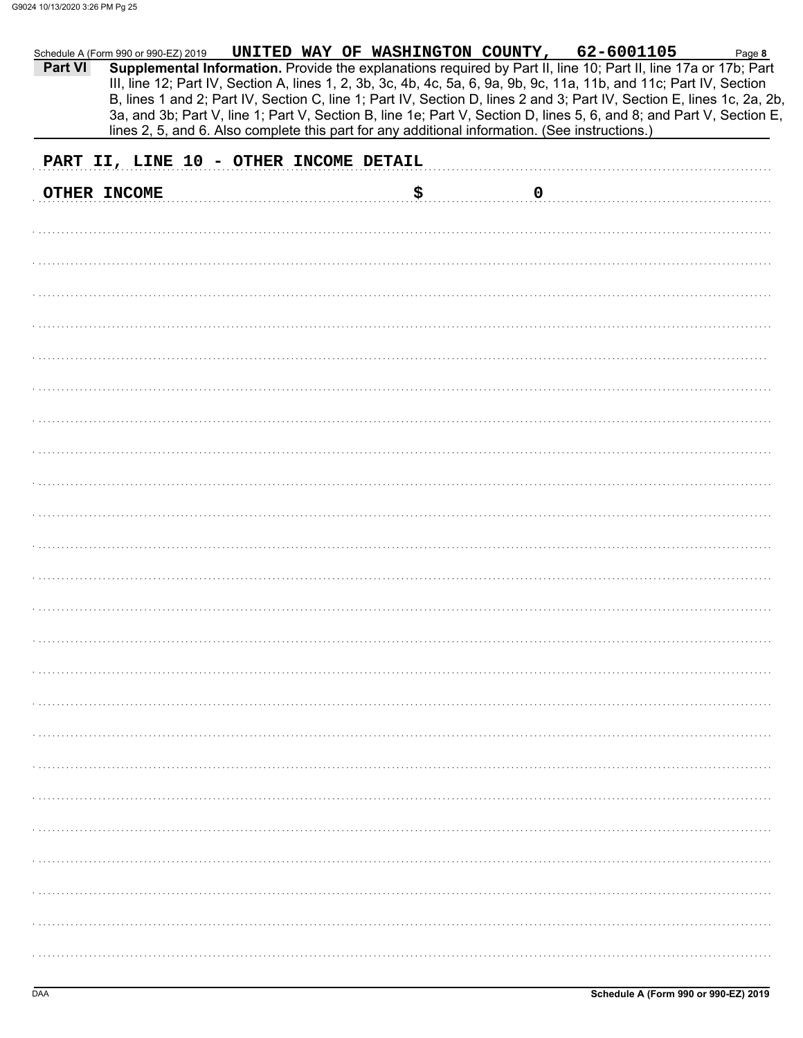|                |                                        |  |                                                                                                | Schedule A (Form 990 or 990-EZ) 2019 UNITED WAY OF WASHINGTON COUNTY, 62-6001105                                                                                                                                                               | Page 8 |
|----------------|----------------------------------------|--|------------------------------------------------------------------------------------------------|------------------------------------------------------------------------------------------------------------------------------------------------------------------------------------------------------------------------------------------------|--------|
| <b>Part VI</b> |                                        |  |                                                                                                | Supplemental Information. Provide the explanations required by Part II, line 10; Part II, line 17a or 17b; Part                                                                                                                                |        |
|                |                                        |  |                                                                                                | III, line 12; Part IV, Section A, lines 1, 2, 3b, 3c, 4b, 4c, 5a, 6, 9a, 9b, 9c, 11a, 11b, and 11c; Part IV, Section<br>B, lines 1 and 2; Part IV, Section C, line 1; Part IV, Section D, lines 2 and 3; Part IV, Section E, lines 1c, 2a, 2b, |        |
|                |                                        |  |                                                                                                | 3a, and 3b; Part V, line 1; Part V, Section B, line 1e; Part V, Section D, lines 5, 6, and 8; and Part V, Section E,                                                                                                                           |        |
|                |                                        |  | lines 2, 5, and 6. Also complete this part for any additional information. (See instructions.) |                                                                                                                                                                                                                                                |        |
|                |                                        |  |                                                                                                |                                                                                                                                                                                                                                                |        |
|                | PART II, LINE 10 - OTHER INCOME DETAIL |  |                                                                                                |                                                                                                                                                                                                                                                |        |
|                | OTHER INCOME                           |  | \$<br>$\mathbf 0$                                                                              |                                                                                                                                                                                                                                                |        |
|                |                                        |  |                                                                                                |                                                                                                                                                                                                                                                |        |
|                |                                        |  |                                                                                                |                                                                                                                                                                                                                                                |        |
|                |                                        |  |                                                                                                |                                                                                                                                                                                                                                                |        |
|                |                                        |  |                                                                                                |                                                                                                                                                                                                                                                |        |
|                |                                        |  |                                                                                                |                                                                                                                                                                                                                                                |        |
|                |                                        |  |                                                                                                |                                                                                                                                                                                                                                                |        |
|                |                                        |  |                                                                                                |                                                                                                                                                                                                                                                |        |
|                |                                        |  |                                                                                                |                                                                                                                                                                                                                                                |        |
|                |                                        |  |                                                                                                |                                                                                                                                                                                                                                                |        |
|                |                                        |  |                                                                                                |                                                                                                                                                                                                                                                |        |
|                |                                        |  |                                                                                                |                                                                                                                                                                                                                                                |        |
|                |                                        |  |                                                                                                |                                                                                                                                                                                                                                                |        |
|                |                                        |  |                                                                                                |                                                                                                                                                                                                                                                |        |
|                |                                        |  |                                                                                                |                                                                                                                                                                                                                                                |        |
|                |                                        |  |                                                                                                |                                                                                                                                                                                                                                                |        |
|                |                                        |  |                                                                                                |                                                                                                                                                                                                                                                |        |
|                |                                        |  |                                                                                                |                                                                                                                                                                                                                                                |        |
|                |                                        |  |                                                                                                |                                                                                                                                                                                                                                                |        |
|                |                                        |  |                                                                                                |                                                                                                                                                                                                                                                |        |
|                |                                        |  |                                                                                                |                                                                                                                                                                                                                                                |        |
|                |                                        |  |                                                                                                |                                                                                                                                                                                                                                                |        |
|                |                                        |  |                                                                                                |                                                                                                                                                                                                                                                |        |
|                |                                        |  |                                                                                                |                                                                                                                                                                                                                                                |        |
|                |                                        |  |                                                                                                |                                                                                                                                                                                                                                                |        |
|                |                                        |  |                                                                                                |                                                                                                                                                                                                                                                |        |
|                |                                        |  |                                                                                                |                                                                                                                                                                                                                                                |        |
|                |                                        |  |                                                                                                |                                                                                                                                                                                                                                                |        |
|                |                                        |  |                                                                                                |                                                                                                                                                                                                                                                |        |
|                |                                        |  |                                                                                                |                                                                                                                                                                                                                                                |        |
|                |                                        |  |                                                                                                |                                                                                                                                                                                                                                                |        |
|                |                                        |  |                                                                                                |                                                                                                                                                                                                                                                |        |
|                |                                        |  |                                                                                                |                                                                                                                                                                                                                                                |        |
|                |                                        |  |                                                                                                |                                                                                                                                                                                                                                                |        |
|                |                                        |  |                                                                                                |                                                                                                                                                                                                                                                |        |
|                |                                        |  |                                                                                                |                                                                                                                                                                                                                                                |        |
|                |                                        |  |                                                                                                |                                                                                                                                                                                                                                                |        |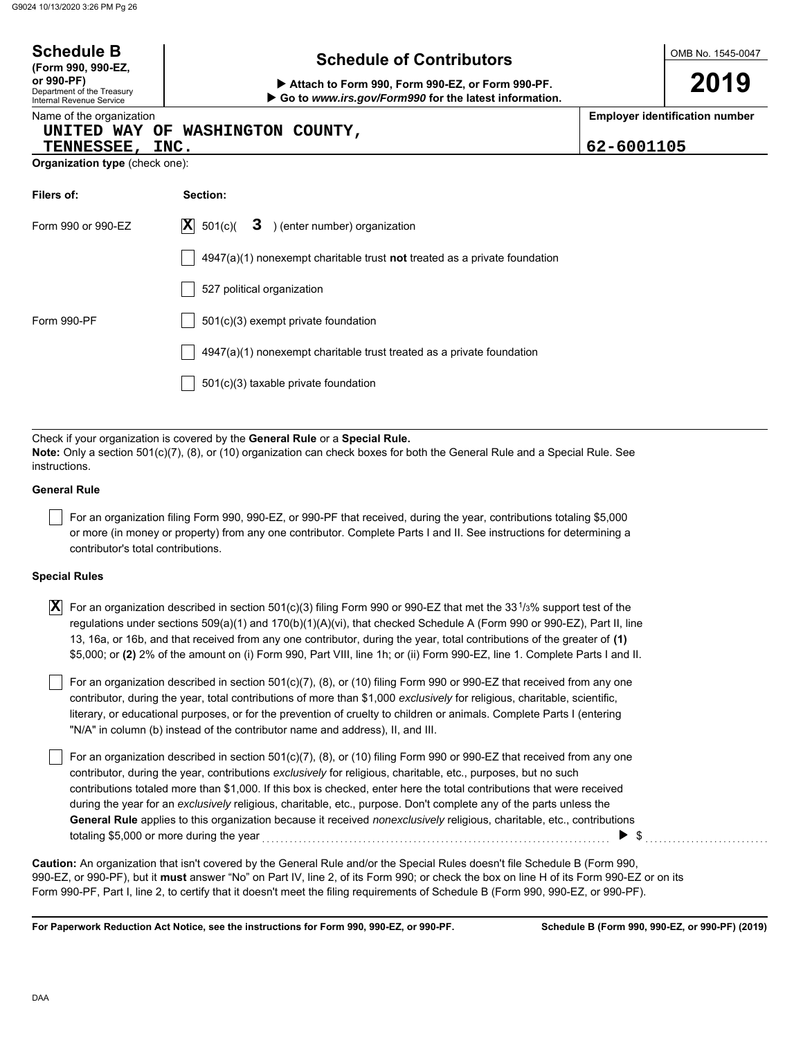| <b>Schedule B</b>                                                                          | <b>Schedule of Contributors</b>                                                                                                                                                                                                              |            | OMB No. 1545-0047                     |
|--------------------------------------------------------------------------------------------|----------------------------------------------------------------------------------------------------------------------------------------------------------------------------------------------------------------------------------------------|------------|---------------------------------------|
| (Form 990, 990-EZ,<br>or 990-PF)<br>Department of the Treasury<br>Internal Revenue Service | Attach to Form 990, Form 990-EZ, or Form 990-PF.<br>Go to www.irs.gov/Form990 for the latest information.                                                                                                                                    |            | 2019                                  |
| Name of the organization                                                                   | UNITED WAY OF WASHINGTON COUNTY,                                                                                                                                                                                                             |            | <b>Employer identification number</b> |
| <b>TENNESSEE,</b>                                                                          | INC.                                                                                                                                                                                                                                         | 62-6001105 |                                       |
| Organization type (check one):                                                             |                                                                                                                                                                                                                                              |            |                                       |
| Filers of:                                                                                 | Section:                                                                                                                                                                                                                                     |            |                                       |
| Form 990 or 990-EZ                                                                         | $ \mathbf{X} $<br>501(c)<br>3 ) (enter number) organization                                                                                                                                                                                  |            |                                       |
|                                                                                            | $4947(a)(1)$ nonexempt charitable trust <b>not</b> treated as a private foundation                                                                                                                                                           |            |                                       |
|                                                                                            | 527 political organization                                                                                                                                                                                                                   |            |                                       |
| Form 990-PF                                                                                | $501(c)(3)$ exempt private foundation                                                                                                                                                                                                        |            |                                       |
|                                                                                            | $4947(a)(1)$ nonexempt charitable trust treated as a private foundation                                                                                                                                                                      |            |                                       |
|                                                                                            | 501(c)(3) taxable private foundation                                                                                                                                                                                                         |            |                                       |
|                                                                                            |                                                                                                                                                                                                                                              |            |                                       |
| instructions.                                                                              | Check if your organization is covered by the General Rule or a Special Rule.<br>Note: Only a section 501(c)(7), (8), or (10) organization can check boxes for both the General Rule and a Special Rule. See                                  |            |                                       |
| <b>General Rule</b>                                                                        |                                                                                                                                                                                                                                              |            |                                       |
|                                                                                            | For an organization filing Form 990, 990-EZ, or 990-PF that received, during the year, contributions totaling \$5,000<br>or more (in money or property) from any one contributor. Complete Parts Land II, See instructions for determining a |            |                                       |

or more (in money or property) from any one contributor. Complete Parts I and II. See instructions for determining a contributor's total contributions.

### **Special Rules**

| <b>X</b> For an organization described in section 501(c)(3) filing Form 990 or 990-EZ that met the 33 <sup>1</sup> /3% support test of the |
|--------------------------------------------------------------------------------------------------------------------------------------------|
| regulations under sections 509(a)(1) and 170(b)(1)(A)(vi), that checked Schedule A (Form 990 or 990-EZ), Part II, line                     |
| 13, 16a, or 16b, and that received from any one contributor, during the year, total contributions of the greater of (1)                    |
| \$5,000; or (2) 2% of the amount on (i) Form 990, Part VIII, line 1h; or (ii) Form 990-EZ, line 1. Complete Parts I and II.                |

literary, or educational purposes, or for the prevention of cruelty to children or animals. Complete Parts I (entering For an organization described in section 501(c)(7), (8), or (10) filing Form 990 or 990-EZ that received from any one contributor, during the year, total contributions of more than \$1,000 *exclusively* for religious, charitable, scientific, "N/A" in column (b) instead of the contributor name and address), II, and III.

For an organization described in section 501(c)(7), (8), or (10) filing Form 990 or 990-EZ that received from any one contributor, during the year, contributions *exclusively* for religious, charitable, etc., purposes, but no such contributions totaled more than \$1,000. If this box is checked, enter here the total contributions that were received during the year for an *exclusively* religious, charitable, etc., purpose. Don't complete any of the parts unless the **General Rule** applies to this organization because it received *nonexclusively* religious, charitable, etc., contributions totaling \$5,000 or more during the year . . . . . . . . . . . . . . . . . . . . . . . . . . . . . . . . . . . . . . . . . . . . . . . . . . . . . . . . . . . . . . . . . . . . . . . . . . . . \$ . . . . . . . . . . . . . . . . . . . . . . . . . . .

990-EZ, or 990-PF), but it **must** answer "No" on Part IV, line 2, of its Form 990; or check the box on line H of its Form 990-EZ or on its Form 990-PF, Part I, line 2, to certify that it doesn't meet the filing requirements of Schedule B (Form 990, 990-EZ, or 990-PF). **Caution:** An organization that isn't covered by the General Rule and/or the Special Rules doesn't file Schedule B (Form 990,

**For Paperwork Reduction Act Notice, see the instructions for Form 990, 990-EZ, or 990-PF.**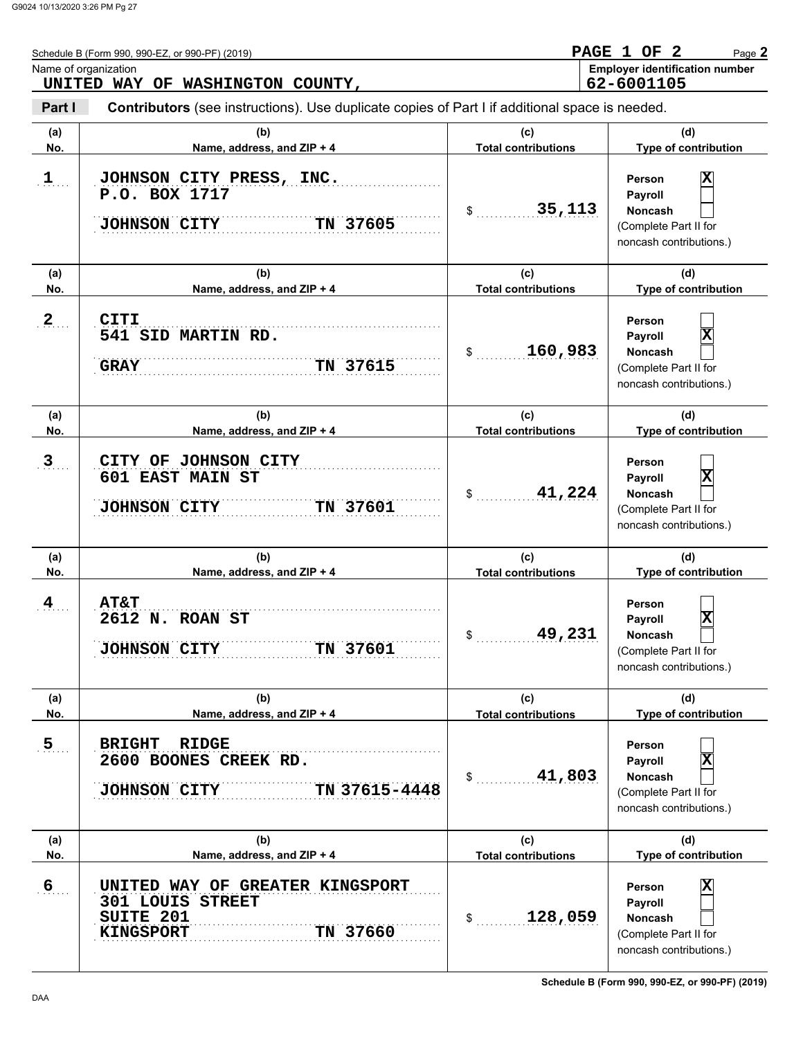|                         | Schedule B (Form 990, 990-EZ, or 990-PF) (2019)                                                  |                                   | $\mathbf{2}$<br>PAGE 1 OF<br>Page 2                                                                         |
|-------------------------|--------------------------------------------------------------------------------------------------|-----------------------------------|-------------------------------------------------------------------------------------------------------------|
|                         | Name of organization                                                                             |                                   | <b>Employer identification number</b>                                                                       |
|                         | UNITED WAY OF WASHINGTON COUNTY,                                                                 |                                   | 62-6001105                                                                                                  |
| Part I                  | Contributors (see instructions). Use duplicate copies of Part I if additional space is needed.   |                                   |                                                                                                             |
| (a)                     | (b)                                                                                              | (c)                               | (d)                                                                                                         |
| No.                     | Name, address, and ZIP + 4                                                                       | <b>Total contributions</b>        | Type of contribution                                                                                        |
| $1$                     | JOHNSON CITY PRESS, INC.<br>P.O. BOX 1717<br>TN 37605<br><b>JOHNSON CITY</b>                     | 35,113<br>\$                      | x<br><b>Person</b><br>Payroll<br><b>Noncash</b><br>(Complete Part II for<br>noncash contributions.)         |
| (a)                     | (b)                                                                                              | (c)                               | (d)                                                                                                         |
| No.                     | Name, address, and ZIP + 4                                                                       | <b>Total contributions</b>        | Type of contribution                                                                                        |
| 2 <sub>1</sub>          | <b>CITI</b><br>541 SID MARTIN RD.<br>TN 37615<br><b>GRAY</b>                                     | 160,983<br>\$                     | Person<br>X<br>Payroll<br><b>Noncash</b><br>(Complete Part II for<br>noncash contributions.)                |
| (a)                     | (b)                                                                                              | (c)                               | (d)                                                                                                         |
| No.                     | Name, address, and ZIP + 4                                                                       | <b>Total contributions</b>        | Type of contribution                                                                                        |
| 3 <sub>1</sub>          | CITY OF JOHNSON CITY<br>601 EAST MAIN ST<br><b>JOHNSON CITY</b><br>TN 37601                      | 41,224<br>\$                      | Person<br>X<br>Payroll<br><b>Noncash</b><br>(Complete Part II for<br>noncash contributions.)                |
| (a)                     | (b)                                                                                              | (c)                               | (d)                                                                                                         |
| No.                     | Name, address, and ZIP + 4                                                                       | <b>Total contributions</b>        | Type of contribution                                                                                        |
| $\overline{\mathbf{4}}$ | <b>AT&amp;T</b><br>2612 N. ROAN ST<br><b>JOHNSON CITY</b><br>TN 37601                            | 49,231                            | Person<br>$\overline{\mathbf{x}}$<br>Payroll<br>Noncash<br>(Complete Part II for<br>noncash contributions.) |
| (a)                     | (b)                                                                                              | (c)                               | (d)                                                                                                         |
| No.                     | Name, address, and ZIP + 4                                                                       | <b>Total contributions</b>        | Type of contribution                                                                                        |
| $\overline{5}$          | <b>BRIGHT</b><br><b>RIDGE</b><br>2600 BOONES CREEK RD.<br>TN 37615-4448<br><b>JOHNSON CITY</b>   | 41,803<br>$\mathsf{\$}$           | Person<br>X<br>Payroll<br><b>Noncash</b><br>(Complete Part II for<br>noncash contributions.)                |
| (a)<br>No.              | (b)<br>Name, address, and ZIP + 4                                                                | (c)<br><b>Total contributions</b> | (d)<br>Type of contribution                                                                                 |
| $6 \overline{6}$        | UNITED WAY OF GREATER KINGSPORT<br>301 LOUIS STREET<br>SUITE 201<br><b>KINGSPORT</b><br>TN 37660 | 128,059<br>$\frac{1}{2}$          | X<br>Person<br>Payroll<br><b>Noncash</b><br>(Complete Part II for<br>noncash contributions.)                |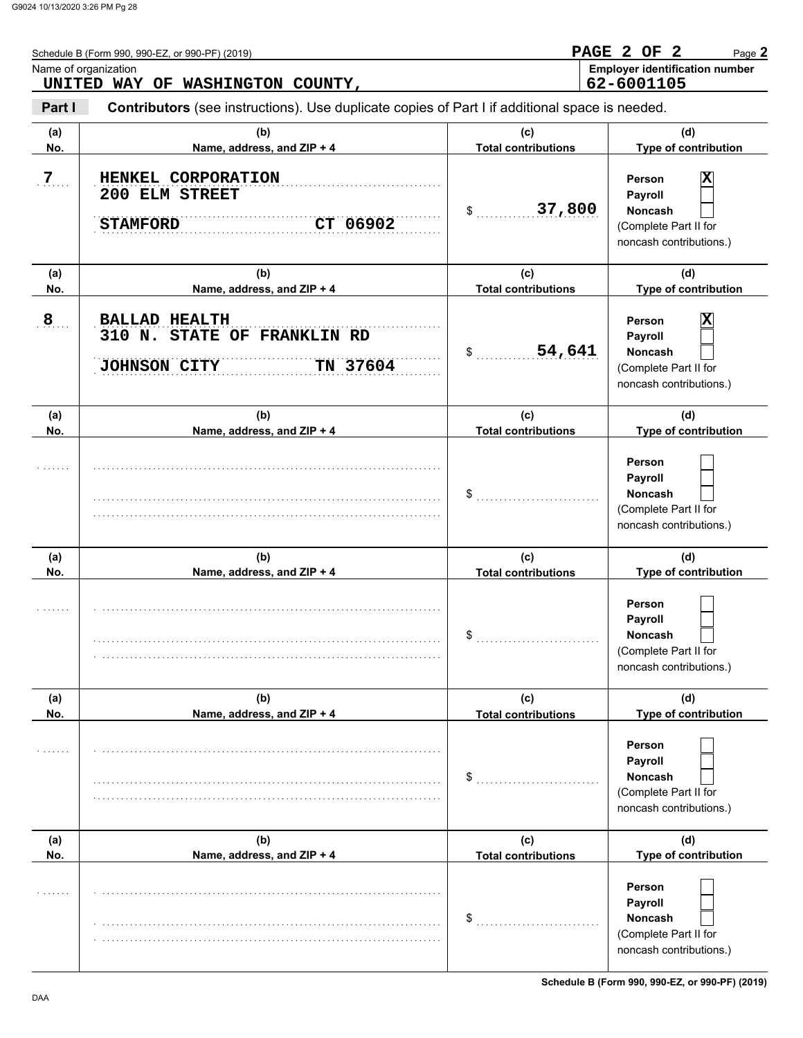|            | Schedule B (Form 990, 990-EZ, or 990-PF) (2019)<br>Name of organization<br>UNITED WAY OF WASHINGTON COUNTY, |                                   | PAGE 2 OF 2<br>Page 2<br><b>Employer identification number</b><br>62-6001105                                       |
|------------|-------------------------------------------------------------------------------------------------------------|-----------------------------------|--------------------------------------------------------------------------------------------------------------------|
| Part I     | Contributors (see instructions). Use duplicate copies of Part I if additional space is needed.              |                                   |                                                                                                                    |
| (a)<br>No. | (b)<br>Name, address, and ZIP + 4                                                                           | (c)<br><b>Total contributions</b> | (d)<br>Type of contribution                                                                                        |
| 7          | HENKEL CORPORATION<br>200 ELM STREET<br>CT 06902<br><b>STAMFORD</b>                                         | 37,800<br>$\frac{1}{2}$           | $\overline{\mathbf{x}}$<br>Person<br>Payroll<br>Noncash<br>(Complete Part II for<br>noncash contributions.)        |
| (a)<br>No. | (b)<br>Name, address, and ZIP + 4                                                                           | (c)<br><b>Total contributions</b> | (d)<br>Type of contribution                                                                                        |
| 8          | <b>BALLAD HEALTH</b><br>310 N. STATE OF FRANKLIN RD<br>TN 37604<br><b>JOHNSON CITY</b>                      | 54,641<br>\$                      | $\overline{\mathbf{x}}$<br>Person<br>Payroll<br><b>Noncash</b><br>(Complete Part II for<br>noncash contributions.) |
| (a)<br>No. | (b)<br>Name, address, and ZIP + 4                                                                           | (c)<br><b>Total contributions</b> | (d)<br>Type of contribution                                                                                        |
|            |                                                                                                             | \$                                | Person<br>Payroll<br><b>Noncash</b><br>(Complete Part II for<br>noncash contributions.)                            |
| (a)<br>No. | (b)<br>Name, address, and ZIP + 4                                                                           | (c)<br><b>Total contributions</b> | (d)<br>Type of contribution                                                                                        |
|            |                                                                                                             | \$                                | Person<br>Payroll<br>Noncash<br>(Complete Part II for<br>noncash contributions.)                                   |
| (a)<br>No. | (b)<br>Name, address, and ZIP + 4                                                                           | (c)<br><b>Total contributions</b> | (d)<br>Type of contribution                                                                                        |
|            |                                                                                                             | \$                                | Person<br>Payroll<br><b>Noncash</b><br>(Complete Part II for<br>noncash contributions.)                            |
| (a)<br>No. | (b)<br>Name, address, and ZIP + 4                                                                           | (c)<br><b>Total contributions</b> | (d)<br>Type of contribution                                                                                        |
|            |                                                                                                             | \$                                | Person<br>Payroll<br><b>Noncash</b><br>(Complete Part II for<br>noncash contributions.)                            |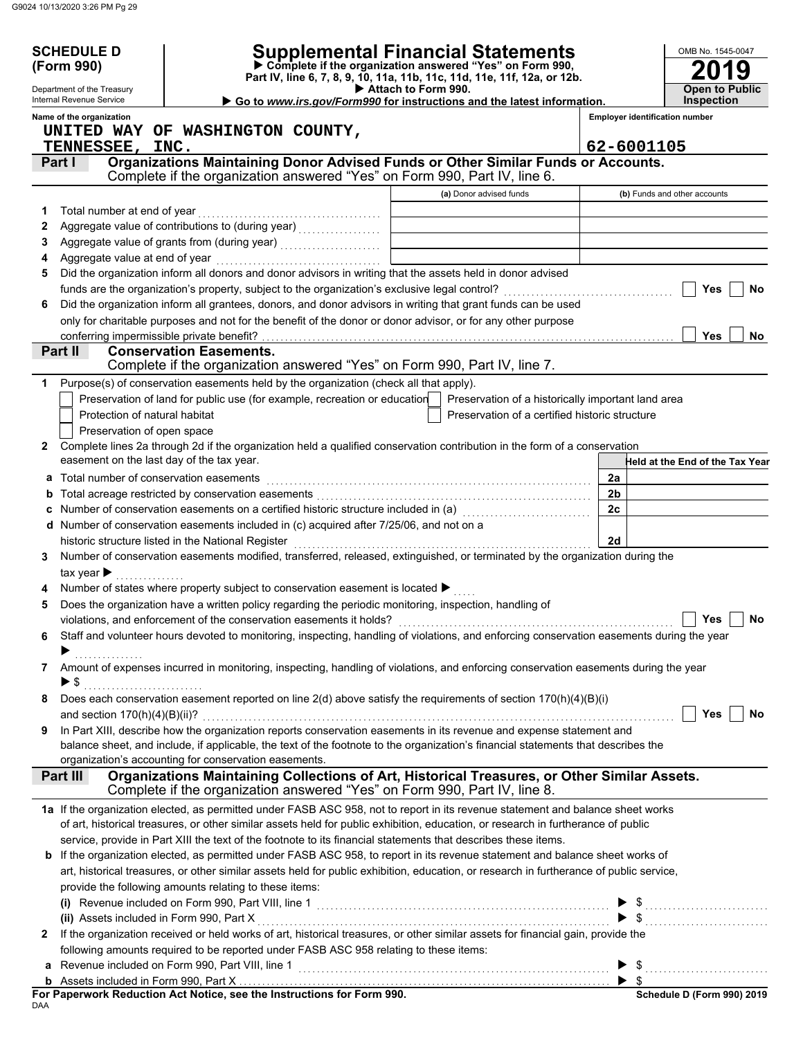|   | <b>SCHEDULE D</b><br>(Form 990)                        |                                                                                                                                                                           | <b>Supplemental Financial Statements</b><br>Complete if the organization answered "Yes" on Form 990,<br>Part IV, line 6, 7, 8, 9, 10, 11a, 11b, 11c, 11d, 11e, 11f, 12a, or 12b. |                                       | OMB No. 1545-0047<br>9                     |
|---|--------------------------------------------------------|---------------------------------------------------------------------------------------------------------------------------------------------------------------------------|----------------------------------------------------------------------------------------------------------------------------------------------------------------------------------|---------------------------------------|--------------------------------------------|
|   | Department of the Treasury<br>Internal Revenue Service |                                                                                                                                                                           | Attach to Form 990.<br>Go to www.irs.gov/Form990 for instructions and the latest information.                                                                                    |                                       | <b>Open to Public</b><br><b>Inspection</b> |
|   | Name of the organization                               |                                                                                                                                                                           |                                                                                                                                                                                  | <b>Employer identification number</b> |                                            |
|   |                                                        | UNITED WAY OF WASHINGTON COUNTY,                                                                                                                                          |                                                                                                                                                                                  |                                       |                                            |
|   | TENNESSEE, INC.                                        |                                                                                                                                                                           |                                                                                                                                                                                  | 62-6001105                            |                                            |
|   | Part I                                                 | Organizations Maintaining Donor Advised Funds or Other Similar Funds or Accounts.<br>Complete if the organization answered "Yes" on Form 990, Part IV, line 6.            |                                                                                                                                                                                  |                                       |                                            |
|   |                                                        |                                                                                                                                                                           | (a) Donor advised funds                                                                                                                                                          |                                       | (b) Funds and other accounts               |
| 1 | Total number at end of year                            |                                                                                                                                                                           |                                                                                                                                                                                  |                                       |                                            |
| 2 |                                                        |                                                                                                                                                                           |                                                                                                                                                                                  |                                       |                                            |
| 3 |                                                        |                                                                                                                                                                           |                                                                                                                                                                                  |                                       |                                            |
| 4 |                                                        |                                                                                                                                                                           |                                                                                                                                                                                  |                                       |                                            |
| 5 |                                                        | Did the organization inform all donors and donor advisors in writing that the assets held in donor advised                                                                |                                                                                                                                                                                  |                                       |                                            |
|   |                                                        |                                                                                                                                                                           |                                                                                                                                                                                  |                                       | Yes<br>No                                  |
| 6 |                                                        | Did the organization inform all grantees, donors, and donor advisors in writing that grant funds can be used                                                              |                                                                                                                                                                                  |                                       |                                            |
|   |                                                        | only for charitable purposes and not for the benefit of the donor or donor advisor, or for any other purpose                                                              |                                                                                                                                                                                  |                                       |                                            |
|   | conferring impermissible private benefit?              |                                                                                                                                                                           |                                                                                                                                                                                  |                                       | Yes<br>No                                  |
|   | Part II                                                | <b>Conservation Easements.</b>                                                                                                                                            |                                                                                                                                                                                  |                                       |                                            |
|   |                                                        | Complete if the organization answered "Yes" on Form 990, Part IV, line 7.                                                                                                 |                                                                                                                                                                                  |                                       |                                            |
| 1 |                                                        | Purpose(s) of conservation easements held by the organization (check all that apply).                                                                                     |                                                                                                                                                                                  |                                       |                                            |
|   |                                                        | Preservation of land for public use (for example, recreation or education                                                                                                 | Preservation of a historically important land area                                                                                                                               |                                       |                                            |
|   | Protection of natural habitat                          |                                                                                                                                                                           | Preservation of a certified historic structure                                                                                                                                   |                                       |                                            |
|   | Preservation of open space                             |                                                                                                                                                                           |                                                                                                                                                                                  |                                       |                                            |
| 2 |                                                        | Complete lines 2a through 2d if the organization held a qualified conservation contribution in the form of a conservation                                                 |                                                                                                                                                                                  |                                       |                                            |
|   | easement on the last day of the tax year.              |                                                                                                                                                                           |                                                                                                                                                                                  |                                       | Held at the End of the Tax Year            |
|   | a Total number of conservation easements               |                                                                                                                                                                           |                                                                                                                                                                                  | 2a                                    |                                            |
|   |                                                        |                                                                                                                                                                           |                                                                                                                                                                                  | 2b                                    |                                            |
|   |                                                        | Number of conservation easements on a certified historic structure included in (a) [[[[[[[[[[[[[[[[[[[[[[[[[[                                                             |                                                                                                                                                                                  | 2c                                    |                                            |
|   |                                                        | d Number of conservation easements included in (c) acquired after 7/25/06, and not on a                                                                                   |                                                                                                                                                                                  |                                       |                                            |
|   |                                                        | historic structure listed in the National Register                                                                                                                        |                                                                                                                                                                                  | 2d                                    |                                            |
| 3 |                                                        | Number of conservation easements modified, transferred, released, extinguished, or terminated by the organization during the                                              |                                                                                                                                                                                  |                                       |                                            |
|   | tax year $\blacktriangleright$                         |                                                                                                                                                                           |                                                                                                                                                                                  |                                       |                                            |
|   |                                                        | Number of states where property subject to conservation easement is located ▶                                                                                             |                                                                                                                                                                                  |                                       |                                            |
| 5 |                                                        | Does the organization have a written policy regarding the periodic monitoring, inspection, handling of                                                                    |                                                                                                                                                                                  |                                       |                                            |
|   |                                                        | violations. and enforcement of the conservation easements it holds?                                                                                                       |                                                                                                                                                                                  |                                       | Yes<br>No                                  |
| 6 |                                                        | Staff and volunteer hours devoted to monitoring, inspecting, handling of violations, and enforcing conservation easements during the year                                 |                                                                                                                                                                                  |                                       |                                            |
|   |                                                        |                                                                                                                                                                           |                                                                                                                                                                                  |                                       |                                            |
| 7 |                                                        | Amount of expenses incurred in monitoring, inspecting, handling of violations, and enforcing conservation easements during the year                                       |                                                                                                                                                                                  |                                       |                                            |
|   | $\blacktriangleright$ \$                               |                                                                                                                                                                           |                                                                                                                                                                                  |                                       |                                            |
| 8 |                                                        | Does each conservation easement reported on line 2(d) above satisfy the requirements of section 170(h)(4)(B)(i)                                                           |                                                                                                                                                                                  |                                       |                                            |
|   |                                                        |                                                                                                                                                                           |                                                                                                                                                                                  |                                       | Yes<br>No                                  |
| 9 |                                                        | In Part XIII, describe how the organization reports conservation easements in its revenue and expense statement and                                                       |                                                                                                                                                                                  |                                       |                                            |
|   |                                                        | balance sheet, and include, if applicable, the text of the footnote to the organization's financial statements that describes the                                         |                                                                                                                                                                                  |                                       |                                            |
|   |                                                        | organization's accounting for conservation easements.                                                                                                                     |                                                                                                                                                                                  |                                       |                                            |
|   | Part III                                               | Organizations Maintaining Collections of Art, Historical Treasures, or Other Similar Assets.<br>Complete if the organization answered "Yes" on Form 990, Part IV, line 8. |                                                                                                                                                                                  |                                       |                                            |
|   |                                                        | 1a If the organization elected, as permitted under FASB ASC 958, not to report in its revenue statement and balance sheet works                                           |                                                                                                                                                                                  |                                       |                                            |
|   |                                                        | of art, historical treasures, or other similar assets held for public exhibition, education, or research in furtherance of public                                         |                                                                                                                                                                                  |                                       |                                            |
|   |                                                        | service, provide in Part XIII the text of the footnote to its financial statements that describes these items.                                                            |                                                                                                                                                                                  |                                       |                                            |
|   |                                                        | b If the organization elected, as permitted under FASB ASC 958, to report in its revenue statement and balance sheet works of                                             |                                                                                                                                                                                  |                                       |                                            |
|   |                                                        | art, historical treasures, or other similar assets held for public exhibition, education, or research in furtherance of public service,                                   |                                                                                                                                                                                  |                                       |                                            |
|   |                                                        | provide the following amounts relating to these items:                                                                                                                    |                                                                                                                                                                                  |                                       |                                            |
|   |                                                        |                                                                                                                                                                           |                                                                                                                                                                                  |                                       |                                            |
|   |                                                        |                                                                                                                                                                           |                                                                                                                                                                                  |                                       |                                            |
| 2 |                                                        | If the organization received or held works of art, historical treasures, or other similar assets for financial gain, provide the                                          |                                                                                                                                                                                  |                                       |                                            |
|   |                                                        | following amounts required to be reported under FASB ASC 958 relating to these items:                                                                                     |                                                                                                                                                                                  |                                       |                                            |
|   |                                                        |                                                                                                                                                                           |                                                                                                                                                                                  |                                       | $\blacktriangleright$ \$                   |
|   |                                                        |                                                                                                                                                                           |                                                                                                                                                                                  |                                       |                                            |
|   |                                                        | For Paperwork Reduction Act Notice, see the Instructions for Form 990.                                                                                                    |                                                                                                                                                                                  |                                       | Schedule D (Form 990) 2019                 |

**For Paperwork Reduction Act Notice, see the Instructions for Form 990.**<br><sub>DAA</sub>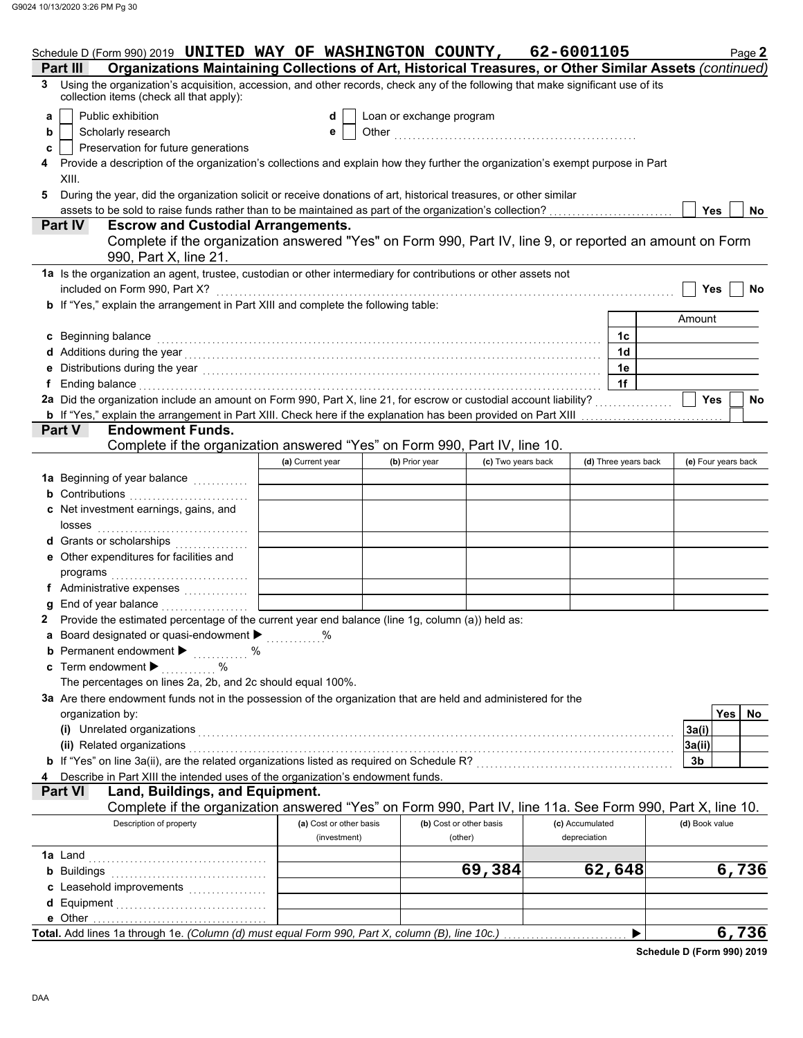|   | Schedule D (Form 990) 2019 UNITED WAY OF WASHINGTON COUNTY, 62-6001105                                                                                                                                                              |                         |                          |                         |                 |                      |                | Page 2              |
|---|-------------------------------------------------------------------------------------------------------------------------------------------------------------------------------------------------------------------------------------|-------------------------|--------------------------|-------------------------|-----------------|----------------------|----------------|---------------------|
|   | Organizations Maintaining Collections of Art, Historical Treasures, or Other Similar Assets (continued)<br>Part III                                                                                                                 |                         |                          |                         |                 |                      |                |                     |
| 3 | Using the organization's acquisition, accession, and other records, check any of the following that make significant use of its<br>collection items (check all that apply):                                                         |                         |                          |                         |                 |                      |                |                     |
| a | Public exhibition                                                                                                                                                                                                                   | d                       | Loan or exchange program |                         |                 |                      |                |                     |
| b | Scholarly research                                                                                                                                                                                                                  | е                       |                          |                         |                 |                      |                |                     |
| c | Preservation for future generations                                                                                                                                                                                                 |                         |                          |                         |                 |                      |                |                     |
|   | Provide a description of the organization's collections and explain how they further the organization's exempt purpose in Part                                                                                                      |                         |                          |                         |                 |                      |                |                     |
|   | XIII.                                                                                                                                                                                                                               |                         |                          |                         |                 |                      |                |                     |
| 5 | During the year, did the organization solicit or receive donations of art, historical treasures, or other similar                                                                                                                   |                         |                          |                         |                 |                      |                |                     |
|   | assets to be sold to raise funds rather than to be maintained as part of the organization's collection?                                                                                                                             |                         |                          |                         |                 |                      | Yes            | No.                 |
|   | <b>Escrow and Custodial Arrangements.</b><br><b>Part IV</b>                                                                                                                                                                         |                         |                          |                         |                 |                      |                |                     |
|   | Complete if the organization answered "Yes" on Form 990, Part IV, line 9, or reported an amount on Form                                                                                                                             |                         |                          |                         |                 |                      |                |                     |
|   | 990, Part X, line 21.                                                                                                                                                                                                               |                         |                          |                         |                 |                      |                |                     |
|   | 1a Is the organization an agent, trustee, custodian or other intermediary for contributions or other assets not                                                                                                                     |                         |                          |                         |                 |                      |                |                     |
|   | included on Form 990, Part X?                                                                                                                                                                                                       |                         |                          |                         |                 |                      | Yes            | No                  |
|   | b If "Yes," explain the arrangement in Part XIII and complete the following table:                                                                                                                                                  |                         |                          |                         |                 |                      |                |                     |
|   |                                                                                                                                                                                                                                     |                         |                          |                         |                 |                      | Amount         |                     |
|   | c Beginning balance                                                                                                                                                                                                                 |                         |                          |                         |                 | 1c                   |                |                     |
|   |                                                                                                                                                                                                                                     |                         |                          |                         |                 | 1d                   |                |                     |
|   |                                                                                                                                                                                                                                     |                         |                          |                         |                 | 1e                   |                |                     |
|   | Ending balance with a construction of the construction of the construction of the construction of the construction of the construction of the construction of the construction of the construction of the construction of the       |                         |                          |                         |                 | 1f                   |                |                     |
|   | 2a Did the organization include an amount on Form 990, Part X, line 21, for escrow or custodial account liability?                                                                                                                  |                         |                          |                         |                 |                      | <b>Yes</b>     | No                  |
|   | <b>b</b> If "Yes," explain the arrangement in Part XIII. Check here if the explanation has been provided on Part XIII                                                                                                               |                         |                          |                         |                 |                      |                |                     |
|   | <b>Endowment Funds.</b><br>Part V                                                                                                                                                                                                   |                         |                          |                         |                 |                      |                |                     |
|   | Complete if the organization answered "Yes" on Form 990, Part IV, line 10.                                                                                                                                                          |                         |                          |                         |                 |                      |                |                     |
|   |                                                                                                                                                                                                                                     | (a) Current year        | (b) Prior year           | (c) Two years back      |                 | (d) Three years back |                | (e) Four years back |
|   | 1a Beginning of year balance <i>minimum</i>                                                                                                                                                                                         |                         |                          |                         |                 |                      |                |                     |
|   |                                                                                                                                                                                                                                     |                         |                          |                         |                 |                      |                |                     |
|   | <b>b</b> Contributions <b>contributions</b>                                                                                                                                                                                         |                         |                          |                         |                 |                      |                |                     |
|   | c Net investment earnings, gains, and                                                                                                                                                                                               |                         |                          |                         |                 |                      |                |                     |
|   |                                                                                                                                                                                                                                     |                         |                          |                         |                 |                      |                |                     |
|   | d Grants or scholarships                                                                                                                                                                                                            |                         |                          |                         |                 |                      |                |                     |
|   | e Other expenditures for facilities and                                                                                                                                                                                             |                         |                          |                         |                 |                      |                |                     |
|   |                                                                                                                                                                                                                                     |                         |                          |                         |                 |                      |                |                     |
|   |                                                                                                                                                                                                                                     |                         |                          |                         |                 |                      |                |                     |
|   | g End of year balance                                                                                                                                                                                                               |                         |                          |                         |                 |                      |                |                     |
|   | 2 Provide the estimated percentage of the current year end balance (line 1g, column (a)) held as:                                                                                                                                   |                         |                          |                         |                 |                      |                |                     |
|   | <b>a</b> Board designated or quasi-endowment $\blacktriangleright$                                                                                                                                                                  |                         |                          |                         |                 |                      |                |                     |
|   | <b>b</b> Permanent endowment $\blacktriangleright$<br>. %                                                                                                                                                                           |                         |                          |                         |                 |                      |                |                     |
|   | c Term endowment $\blacktriangleright$<br>$\%$                                                                                                                                                                                      |                         |                          |                         |                 |                      |                |                     |
|   | The percentages on lines 2a, 2b, and 2c should equal 100%.                                                                                                                                                                          |                         |                          |                         |                 |                      |                |                     |
|   | 3a Are there endowment funds not in the possession of the organization that are held and administered for the                                                                                                                       |                         |                          |                         |                 |                      |                |                     |
|   | organization by:                                                                                                                                                                                                                    |                         |                          |                         |                 |                      |                | Yes  <br>No.        |
|   | (i) Unrelated organizations <b>constants</b> and constants a series of the constant of the constant of the constant of the constant of the constant of the constant of the constant of the constant of the constant of the constant |                         |                          |                         |                 |                      | 3a(i)          |                     |
|   | (ii) Related organizations <i>contractions</i> and all the contract of the contract of the contract of the contract or the contract of the contract of the contract of the contract of the contract of the contract of the contract |                         |                          |                         |                 |                      | 3a(ii)         |                     |
|   |                                                                                                                                                                                                                                     |                         |                          |                         |                 |                      | 3b             |                     |
|   | Describe in Part XIII the intended uses of the organization's endowment funds.                                                                                                                                                      |                         |                          |                         |                 |                      |                |                     |
|   | Land, Buildings, and Equipment.<br><b>Part VI</b>                                                                                                                                                                                   |                         |                          |                         |                 |                      |                |                     |
|   | Complete if the organization answered "Yes" on Form 990, Part IV, line 11a. See Form 990, Part X, line 10.                                                                                                                          |                         |                          |                         |                 |                      |                |                     |
|   | Description of property                                                                                                                                                                                                             | (a) Cost or other basis |                          | (b) Cost or other basis | (c) Accumulated |                      | (d) Book value |                     |
|   |                                                                                                                                                                                                                                     | (investment)            |                          | (other)                 | depreciation    |                      |                |                     |
|   |                                                                                                                                                                                                                                     |                         |                          |                         |                 |                      |                |                     |
|   | <b>b</b> Buildings <b>Multiples b</b>                                                                                                                                                                                               |                         |                          | 69,384                  |                 | 62,648               |                | 6,736               |
|   |                                                                                                                                                                                                                                     |                         |                          |                         |                 |                      |                |                     |
|   |                                                                                                                                                                                                                                     |                         |                          |                         |                 |                      |                |                     |
|   | e Other                                                                                                                                                                                                                             |                         |                          |                         |                 |                      |                |                     |
|   | Total. Add lines 1a through 1e. (Column (d) must equal Form 990, Part X, column (B), line 10c.)                                                                                                                                     |                         |                          |                         |                 | ▶                    |                | 6,736               |

**Schedule D (Form 990) 2019**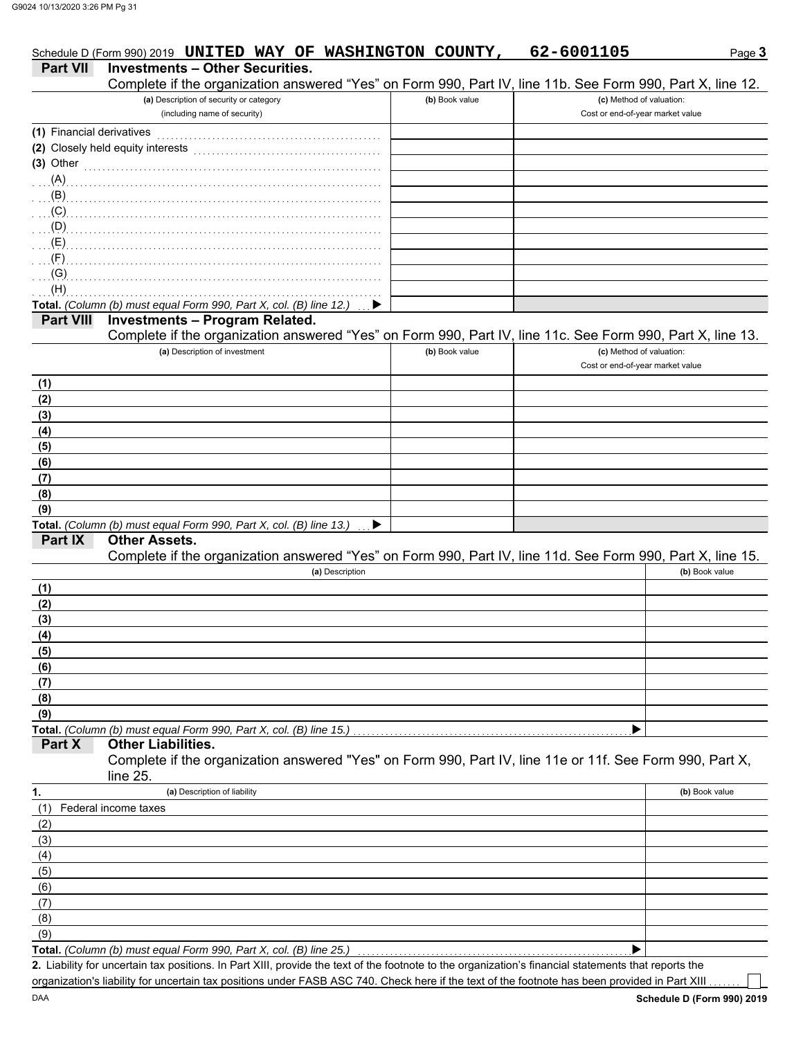| <b>Part VII</b>           | <b>Investments - Other Securities.</b>                                                                     |                |                                  |                |
|---------------------------|------------------------------------------------------------------------------------------------------------|----------------|----------------------------------|----------------|
|                           | Complete if the organization answered "Yes" on Form 990, Part IV, line 11b. See Form 990, Part X, line 12. |                |                                  |                |
|                           | (a) Description of security or category                                                                    | (b) Book value | (c) Method of valuation:         |                |
|                           | (including name of security)                                                                               |                | Cost or end-of-year market value |                |
| (1) Financial derivatives |                                                                                                            |                |                                  |                |
|                           | (2) Closely held equity interests                                                                          |                |                                  |                |
| $(3)$ Other               |                                                                                                            |                |                                  |                |
| (A)                       |                                                                                                            |                |                                  |                |
| (B)                       |                                                                                                            |                |                                  |                |
| (C)                       |                                                                                                            |                |                                  |                |
| (D)                       |                                                                                                            |                |                                  |                |
| (E)                       |                                                                                                            |                |                                  |                |
|                           |                                                                                                            |                |                                  |                |
| (F)                       |                                                                                                            |                |                                  |                |
| (G)                       |                                                                                                            |                |                                  |                |
| (H)                       | Total. (Column (b) must equal Form 990, Part X, col. (B) line 12.)                                         |                |                                  |                |
| <b>Part VIII</b>          | <b>Investments - Program Related.</b>                                                                      |                |                                  |                |
|                           |                                                                                                            |                |                                  |                |
|                           | Complete if the organization answered "Yes" on Form 990, Part IV, line 11c. See Form 990, Part X, line 13. |                |                                  |                |
|                           | (a) Description of investment                                                                              | (b) Book value | (c) Method of valuation:         |                |
|                           |                                                                                                            |                | Cost or end-of-year market value |                |
| (1)                       |                                                                                                            |                |                                  |                |
| (2)                       |                                                                                                            |                |                                  |                |
| (3)                       |                                                                                                            |                |                                  |                |
| (4)                       |                                                                                                            |                |                                  |                |
| (5)                       |                                                                                                            |                |                                  |                |
| (6)                       |                                                                                                            |                |                                  |                |
| (7)                       |                                                                                                            |                |                                  |                |
| (8)                       |                                                                                                            |                |                                  |                |
| (9)                       |                                                                                                            |                |                                  |                |
|                           | Total. (Column (b) must equal Form 990, Part X, col. (B) line 13.)<br>▶                                    |                |                                  |                |
| Part IX                   | <b>Other Assets.</b>                                                                                       |                |                                  |                |
|                           | Complete if the organization answered "Yes" on Form 990, Part IV, line 11d. See Form 990, Part X, line 15. |                |                                  |                |
|                           | (a) Description                                                                                            |                |                                  | (b) Book value |
| (1)                       |                                                                                                            |                |                                  |                |
| (2)                       |                                                                                                            |                |                                  |                |
| (3)                       |                                                                                                            |                |                                  |                |
| (4)                       |                                                                                                            |                |                                  |                |
| (5)                       |                                                                                                            |                |                                  |                |
| (6)                       |                                                                                                            |                |                                  |                |
| (7)                       |                                                                                                            |                |                                  |                |
| (8)                       |                                                                                                            |                |                                  |                |
| (9)                       |                                                                                                            |                |                                  |                |
|                           | Total. (Column (b) must equal Form 990, Part X, col. (B) line 15.)                                         |                |                                  |                |
| Part X                    | <b>Other Liabilities.</b>                                                                                  |                |                                  |                |
|                           | Complete if the organization answered "Yes" on Form 990, Part IV, line 11e or 11f. See Form 990, Part X,   |                |                                  |                |
|                           | line 25.                                                                                                   |                |                                  |                |
| 1.                        | (a) Description of liability                                                                               |                |                                  | (b) Book value |
|                           | Federal income taxes                                                                                       |                |                                  |                |
| (1)                       |                                                                                                            |                |                                  |                |
| (2)                       |                                                                                                            |                |                                  |                |
| (3)                       |                                                                                                            |                |                                  |                |
| (4)                       |                                                                                                            |                |                                  |                |
| (5)                       |                                                                                                            |                |                                  |                |
| (6)                       |                                                                                                            |                |                                  |                |
| (7)                       |                                                                                                            |                |                                  |                |
| (8)                       |                                                                                                            |                |                                  |                |
| (9)                       |                                                                                                            |                |                                  |                |
|                           | Total. (Column (b) must equal Form 990, Part X, col. (B) line 25.)                                         |                |                                  |                |

organization's liability for uncertain tax positions under FASB ASC 740. Check here if the text of the footnote has been provided in Part XIII . . . . . . .

┐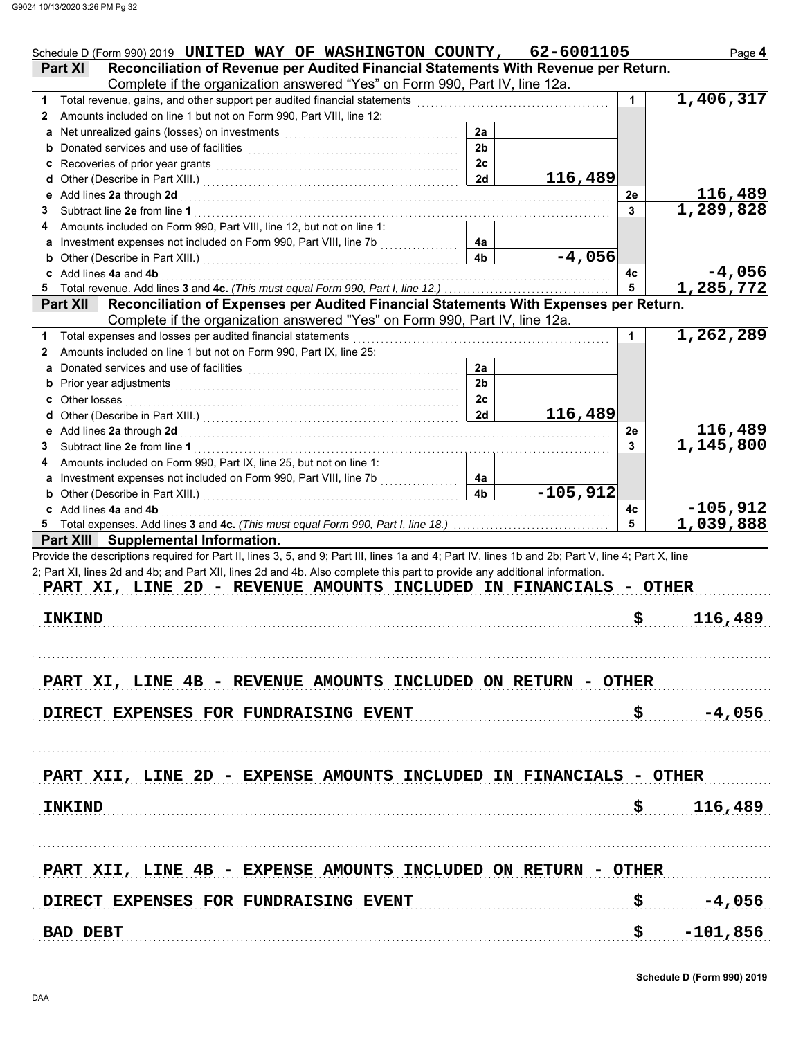| Schedule D (Form 990) 2019 UNITED WAY OF WASHINGTON COUNTY, 62-6001105                                                                             |                |            |                           | Page 4         |
|----------------------------------------------------------------------------------------------------------------------------------------------------|----------------|------------|---------------------------|----------------|
| Reconciliation of Revenue per Audited Financial Statements With Revenue per Return.<br><b>Part XI</b>                                              |                |            |                           |                |
| Complete if the organization answered "Yes" on Form 990, Part IV, line 12a.                                                                        |                |            |                           |                |
| Total revenue, gains, and other support per audited financial statements<br>1                                                                      |                |            | 1                         | 1,406,317      |
| Amounts included on line 1 but not on Form 990, Part VIII, line 12:<br>2                                                                           |                |            |                           |                |
|                                                                                                                                                    | 2a             |            |                           |                |
|                                                                                                                                                    | 2 <sub>b</sub> |            |                           |                |
|                                                                                                                                                    | 2c             |            |                           |                |
|                                                                                                                                                    | 2d             | 116,489    |                           |                |
| e Add lines 2a through 2d                                                                                                                          |                |            | 2e                        | 116,489        |
| Subtract line 2e from line 1<br>З                                                                                                                  |                |            | 3                         | 1,289,828      |
| Amounts included on Form 990, Part VIII, line 12, but not on line 1:<br>4                                                                          |                |            |                           |                |
| a Investment expenses not included on Form 990, Part VIII, line 7b<br>.                                                                            | 4a             |            |                           |                |
| <b>b</b> Other (Describe in Part XIII.) <b>CONSIDENT DESCRIPTION DESCRIPTION</b>                                                                   | 4 <sub>b</sub> | $-4,056$   |                           |                |
| c Add lines 4a and 4b                                                                                                                              |                |            | 4с                        | $-4,056$       |
|                                                                                                                                                    |                |            | 5                         | 1,285,772      |
| Part XII Reconciliation of Expenses per Audited Financial Statements With Expenses per Return.                                                     |                |            |                           |                |
| Complete if the organization answered "Yes" on Form 990, Part IV, line 12a.                                                                        |                |            |                           |                |
| Total expenses and losses per audited financial statements<br>1.                                                                                   |                |            | 1                         | 1,262,289      |
| Amounts included on line 1 but not on Form 990, Part IX, line 25:<br>2                                                                             |                |            |                           |                |
| a                                                                                                                                                  | 2a             |            |                           |                |
|                                                                                                                                                    | 2 <sub>b</sub> |            |                           |                |
| <b>c</b> Other losses                                                                                                                              | 2c             |            |                           |                |
|                                                                                                                                                    | 2d             | 116,489    |                           |                |
|                                                                                                                                                    |                |            | 2e                        | 116,489        |
| З                                                                                                                                                  |                |            | 3                         | 1,145,800      |
| Amounts included on Form 990, Part IX, line 25, but not on line 1:<br>4                                                                            |                |            |                           |                |
| a Investment expenses not included on Form 990, Part VIII, line 7b [[[[[[[[[[[[[[[[[[[[[[[[[[[[[[[[[                                               | 4a             |            |                           |                |
|                                                                                                                                                    | 4 <sub>b</sub> | $-105,912$ |                           |                |
| c Add lines 4a and 4b                                                                                                                              |                |            | 4c                        | $-105,912$     |
|                                                                                                                                                    |                |            | 5                         | 1,039,888      |
| Part XIII Supplemental Information.                                                                                                                |                |            |                           |                |
| Provide the descriptions required for Part II, lines 3, 5, and 9; Part III, lines 1a and 4; Part IV, lines 1b and 2b; Part V, line 4; Part X, line |                |            |                           |                |
| 2; Part XI, lines 2d and 4b; and Part XII, lines 2d and 4b. Also complete this part to provide any additional information.                         |                |            |                           |                |
| PART XI, LINE 2D - REVENUE AMOUNTS INCLUDED IN FINANCIALS - OTHER                                                                                  |                |            |                           |                |
|                                                                                                                                                    |                |            |                           |                |
| <b>INKIND</b>                                                                                                                                      |                |            | \$                        | 116,489        |
|                                                                                                                                                    |                |            |                           |                |
|                                                                                                                                                    |                |            |                           |                |
|                                                                                                                                                    |                |            |                           |                |
| PART XI, LINE 4B - REVENUE AMOUNTS INCLUDED ON RETURN - OTHER                                                                                      |                |            |                           |                |
|                                                                                                                                                    |                |            |                           |                |
| DIRECT EXPENSES FOR FUNDRAISING EVENT                                                                                                              |                |            |                           | $-4,056$<br>\$ |
|                                                                                                                                                    |                |            |                           |                |
|                                                                                                                                                    |                |            |                           |                |
|                                                                                                                                                    |                |            |                           |                |
| PART XII, LINE 2D - EXPENSE AMOUNTS INCLUDED IN FINANCIALS - OTHER                                                                                 |                |            |                           |                |
|                                                                                                                                                    |                |            |                           |                |
| <b>INKIND</b>                                                                                                                                      |                |            |                           | \$116,489      |
|                                                                                                                                                    |                |            |                           |                |
|                                                                                                                                                    |                |            |                           |                |
|                                                                                                                                                    |                |            |                           |                |
| PART XII, LINE 4B - EXPENSE AMOUNTS INCLUDED ON RETURN - OTHER                                                                                     |                |            |                           |                |
|                                                                                                                                                    |                |            |                           |                |
|                                                                                                                                                    |                |            |                           |                |
| DIRECT EXPENSES FOR FUNDRAISING EVENT                                                                                                              |                |            | $\boldsymbol{\mathsf{S}}$ | -4,056         |
|                                                                                                                                                    |                |            |                           |                |
| <b>BAD DEBT</b>                                                                                                                                    |                |            |                           | $$ -101,856$   |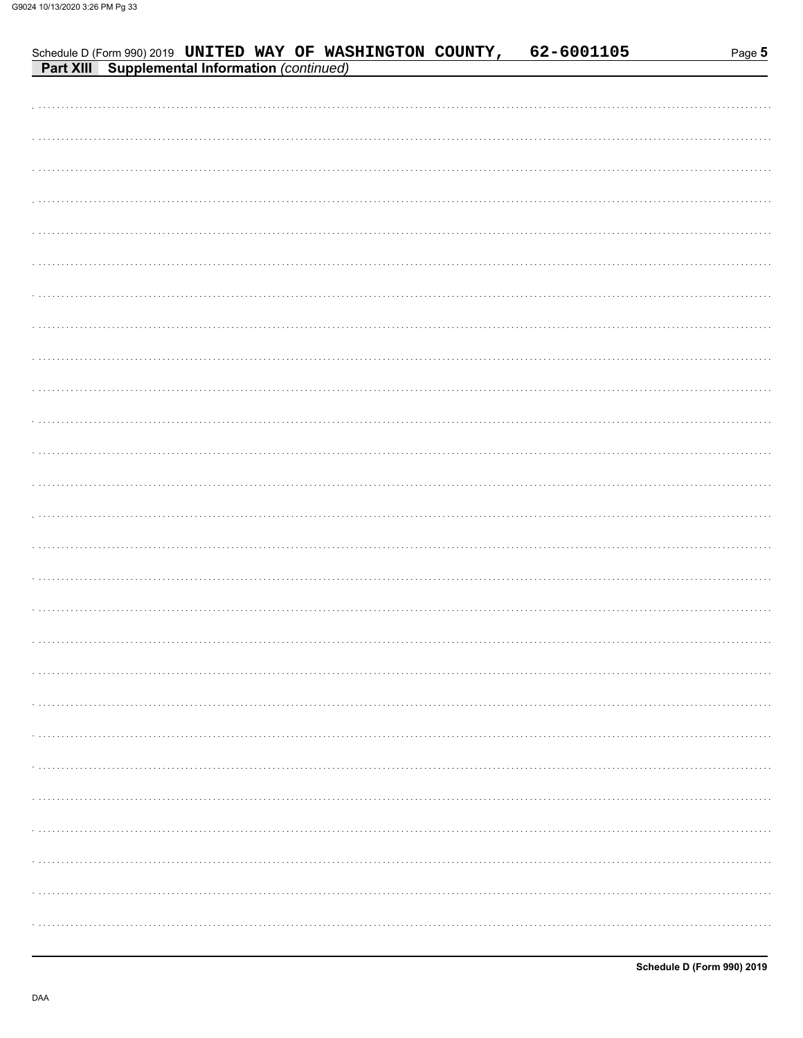|   | Schedule D (Form 990) 2019 UNITED WAY OF WASHINGTON COUNTY,<br>Part XIII Supplemental Information (continued) | 62-6001105<br>Page 5 |
|---|---------------------------------------------------------------------------------------------------------------|----------------------|
|   |                                                                                                               |                      |
|   |                                                                                                               |                      |
|   |                                                                                                               |                      |
|   |                                                                                                               |                      |
|   |                                                                                                               |                      |
|   |                                                                                                               |                      |
|   |                                                                                                               |                      |
|   |                                                                                                               |                      |
|   |                                                                                                               |                      |
|   |                                                                                                               |                      |
|   |                                                                                                               |                      |
|   |                                                                                                               |                      |
|   |                                                                                                               |                      |
|   |                                                                                                               |                      |
|   |                                                                                                               |                      |
|   |                                                                                                               |                      |
|   |                                                                                                               |                      |
|   |                                                                                                               |                      |
|   |                                                                                                               |                      |
|   |                                                                                                               |                      |
|   |                                                                                                               |                      |
|   |                                                                                                               |                      |
|   |                                                                                                               |                      |
|   |                                                                                                               |                      |
|   |                                                                                                               |                      |
|   |                                                                                                               |                      |
| . |                                                                                                               | . <b>.</b>           |
|   |                                                                                                               |                      |
|   |                                                                                                               |                      |
|   |                                                                                                               |                      |
|   |                                                                                                               |                      |
|   |                                                                                                               |                      |
|   |                                                                                                               |                      |
|   |                                                                                                               | .                    |
|   |                                                                                                               |                      |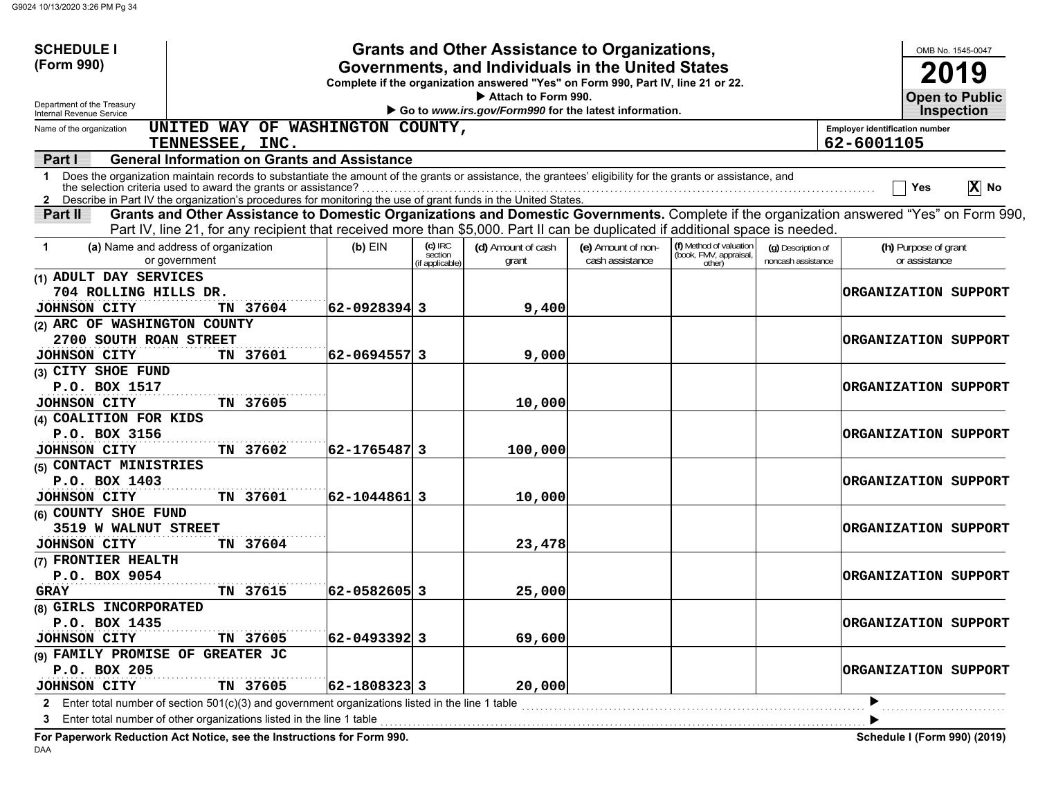| <b>SCHEDULE I</b>                                      |                                                                                                                                                                                                                                                           |                                                                              |                            | Grants and Other Assistance to Organizations,                                                                                         |                    |                         |                    |                                       |                      | OMB No. 1545-0047           |
|--------------------------------------------------------|-----------------------------------------------------------------------------------------------------------------------------------------------------------------------------------------------------------------------------------------------------------|------------------------------------------------------------------------------|----------------------------|---------------------------------------------------------------------------------------------------------------------------------------|--------------------|-------------------------|--------------------|---------------------------------------|----------------------|-----------------------------|
| (Form 990)                                             |                                                                                                                                                                                                                                                           |                                                                              |                            | Governments, and Individuals in the United States<br>Complete if the organization answered "Yes" on Form 990, Part IV, line 21 or 22. |                    |                         |                    |                                       |                      | 2019                        |
| Department of the Treasury<br>Internal Revenue Service |                                                                                                                                                                                                                                                           | Attach to Form 990.<br>Go to www.irs.gov/Form990 for the latest information. |                            |                                                                                                                                       |                    |                         |                    |                                       |                      | <b>Open to Public</b>       |
|                                                        | UNITED WAY OF WASHINGTON COUNTY,                                                                                                                                                                                                                          |                                                                              |                            |                                                                                                                                       |                    |                         |                    | <b>Employer identification number</b> |                      | <b>Inspection</b>           |
| Name of the organization                               | TENNESSEE, INC.                                                                                                                                                                                                                                           |                                                                              |                            |                                                                                                                                       |                    |                         |                    | 62-6001105                            |                      |                             |
| Part I                                                 | <b>General Information on Grants and Assistance</b>                                                                                                                                                                                                       |                                                                              |                            |                                                                                                                                       |                    |                         |                    |                                       |                      |                             |
| $\mathbf 1$                                            | Does the organization maintain records to substantiate the amount of the grants or assistance, the grantees' eligibility for the grants or assistance, and                                                                                                |                                                                              |                            |                                                                                                                                       |                    |                         |                    |                                       |                      |                             |
|                                                        | the selection criteria used to award the grants or assistance?                                                                                                                                                                                            |                                                                              |                            |                                                                                                                                       |                    |                         |                    |                                       | Yes                  | $\overline{X}$ No           |
| $\mathbf{2}$<br>Part II                                | Describe in Part IV the organization's procedures for monitoring the use of grant funds in the United States.<br>Grants and Other Assistance to Domestic Organizations and Domestic Governments. Complete if the organization answered "Yes" on Form 990, |                                                                              |                            |                                                                                                                                       |                    |                         |                    |                                       |                      |                             |
|                                                        | Part IV, line 21, for any recipient that received more than \$5,000. Part II can be duplicated if additional space is needed                                                                                                                              |                                                                              |                            |                                                                                                                                       |                    |                         |                    |                                       |                      |                             |
| $\blacktriangleleft$                                   | (a) Name and address of organization                                                                                                                                                                                                                      | $(b)$ EIN                                                                    | $(c)$ IRC                  | (d) Amount of cash                                                                                                                    | (e) Amount of non- | (f) Method of valuation | (g) Description of |                                       | (h) Purpose of grant |                             |
|                                                        | or government                                                                                                                                                                                                                                             |                                                                              | section<br>(if applicable) | grant                                                                                                                                 | cash assistance    | (book, FMV, appraisal,  | noncash assistance |                                       | or assistance        |                             |
| (1) ADULT DAY SERVICES                                 |                                                                                                                                                                                                                                                           |                                                                              |                            |                                                                                                                                       |                    |                         |                    |                                       |                      |                             |
| 704 ROLLING HILLS DR.                                  |                                                                                                                                                                                                                                                           |                                                                              |                            |                                                                                                                                       |                    |                         |                    |                                       |                      | ORGANIZATION SUPPORT        |
| <b>JOHNSON CITY</b>                                    | TN 37604                                                                                                                                                                                                                                                  | 62-0928394 3                                                                 |                            | 9,400                                                                                                                                 |                    |                         |                    |                                       |                      |                             |
| (2) ARC OF WASHINGTON COUNTY                           |                                                                                                                                                                                                                                                           |                                                                              |                            |                                                                                                                                       |                    |                         |                    |                                       |                      |                             |
| 2700 SOUTH ROAN STREET                                 |                                                                                                                                                                                                                                                           |                                                                              |                            |                                                                                                                                       |                    |                         |                    |                                       |                      | <b>ORGANIZATION SUPPORT</b> |
| <b>JOHNSON CITY</b>                                    | TN 37601                                                                                                                                                                                                                                                  | 62-0694557 3                                                                 |                            | 9,000                                                                                                                                 |                    |                         |                    |                                       |                      |                             |
| (3) CITY SHOE FUND                                     |                                                                                                                                                                                                                                                           |                                                                              |                            |                                                                                                                                       |                    |                         |                    |                                       |                      |                             |
| P.O. BOX 1517                                          |                                                                                                                                                                                                                                                           |                                                                              |                            |                                                                                                                                       |                    |                         |                    |                                       |                      | ORGANIZATION SUPPORT        |
| <b>JOHNSON CITY</b>                                    | TN 37605                                                                                                                                                                                                                                                  |                                                                              |                            | 10,000                                                                                                                                |                    |                         |                    |                                       |                      |                             |
| (4) COALITION FOR KIDS                                 |                                                                                                                                                                                                                                                           |                                                                              |                            |                                                                                                                                       |                    |                         |                    |                                       |                      |                             |
| P.O. BOX 3156                                          |                                                                                                                                                                                                                                                           |                                                                              |                            |                                                                                                                                       |                    |                         |                    |                                       |                      | <b>ORGANIZATION SUPPORT</b> |
| <b>JOHNSON CITY</b>                                    | TN 37602                                                                                                                                                                                                                                                  | 62-1765487 3                                                                 |                            | 100,000                                                                                                                               |                    |                         |                    |                                       |                      |                             |
| (5) CONTACT MINISTRIES                                 |                                                                                                                                                                                                                                                           |                                                                              |                            |                                                                                                                                       |                    |                         |                    |                                       |                      |                             |
| P.O. BOX 1403                                          |                                                                                                                                                                                                                                                           |                                                                              |                            |                                                                                                                                       |                    |                         |                    |                                       |                      | <b>ORGANIZATION SUPPORT</b> |
| <b>JOHNSON CITY</b>                                    | TN 37601                                                                                                                                                                                                                                                  | $ 62 - 1044861 $ 3                                                           |                            | 10,000                                                                                                                                |                    |                         |                    |                                       |                      |                             |
| (6) COUNTY SHOE FUND                                   |                                                                                                                                                                                                                                                           |                                                                              |                            |                                                                                                                                       |                    |                         |                    |                                       |                      |                             |
| 3519 W WALNUT STREET<br><b>JOHNSON CITY</b>            | TN 37604                                                                                                                                                                                                                                                  |                                                                              |                            | 23,478                                                                                                                                |                    |                         |                    |                                       |                      | ORGANIZATION SUPPORT        |
| (7) FRONTIER HEALTH                                    |                                                                                                                                                                                                                                                           |                                                                              |                            |                                                                                                                                       |                    |                         |                    |                                       |                      |                             |
| P.O. BOX 9054                                          |                                                                                                                                                                                                                                                           |                                                                              |                            |                                                                                                                                       |                    |                         |                    |                                       |                      | <b>ORGANIZATION SUPPORT</b> |
| <b>GRAY</b>                                            | TN 37615                                                                                                                                                                                                                                                  | 62-0582605 3                                                                 |                            | 25,000                                                                                                                                |                    |                         |                    |                                       |                      |                             |
| (8) GIRLS INCORPORATED                                 |                                                                                                                                                                                                                                                           |                                                                              |                            |                                                                                                                                       |                    |                         |                    |                                       |                      |                             |
| P.O. BOX 1435                                          |                                                                                                                                                                                                                                                           |                                                                              |                            |                                                                                                                                       |                    |                         |                    |                                       |                      | ORGANIZATION SUPPORT        |
| <b>JOHNSON CITY</b>                                    | TN 37605                                                                                                                                                                                                                                                  | 62-0493392 3                                                                 |                            | 69,600                                                                                                                                |                    |                         |                    |                                       |                      |                             |
| (9) FAMILY PROMISE OF GREATER JC                       |                                                                                                                                                                                                                                                           |                                                                              |                            |                                                                                                                                       |                    |                         |                    |                                       |                      |                             |
| P.O. BOX 205                                           |                                                                                                                                                                                                                                                           |                                                                              |                            |                                                                                                                                       |                    |                         |                    |                                       |                      | <b>ORGANIZATION SUPPORT</b> |
| <b>JOHNSON CITY</b>                                    | TN 37605                                                                                                                                                                                                                                                  | 62-1808323 3                                                                 |                            | 20,000                                                                                                                                |                    |                         |                    |                                       |                      |                             |
| $\mathbf{2}$                                           | Enter total number of section $501(c)(3)$ and government organizations listed in the line 1 table                                                                                                                                                         |                                                                              |                            |                                                                                                                                       |                    |                         |                    |                                       |                      |                             |
|                                                        | Enter total number of other organizations listed in the line 1 table                                                                                                                                                                                      |                                                                              |                            |                                                                                                                                       |                    |                         |                    |                                       |                      |                             |
|                                                        |                                                                                                                                                                                                                                                           |                                                                              |                            |                                                                                                                                       |                    |                         |                    |                                       |                      |                             |

**For Paperwork Reduction Act Notice, see the Instructions for Form 990. Schedule I (Form 990) (2019)** DAA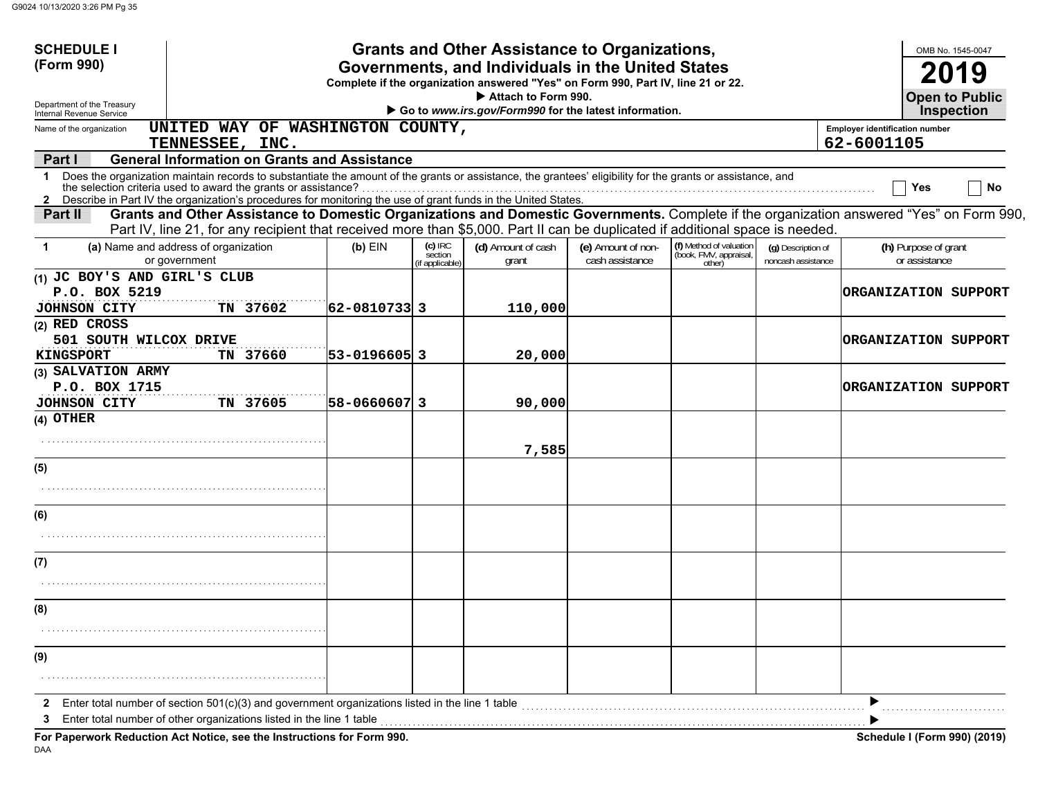| <b>SCHEDULE I</b>                                      |                                                                                                                                                                                                                                                                               |              |                                       | <b>Grants and Other Assistance to Organizations,</b>                                                    |                    |                                  |                    |                                       |                      | OMB No. 1545-0047            |
|--------------------------------------------------------|-------------------------------------------------------------------------------------------------------------------------------------------------------------------------------------------------------------------------------------------------------------------------------|--------------|---------------------------------------|---------------------------------------------------------------------------------------------------------|--------------------|----------------------------------|--------------------|---------------------------------------|----------------------|------------------------------|
| (Form 990)                                             |                                                                                                                                                                                                                                                                               |              |                                       | Governments, and Individuals in the United States                                                       |                    |                                  |                    |                                       |                      | 2019                         |
|                                                        |                                                                                                                                                                                                                                                                               |              |                                       | Complete if the organization answered "Yes" on Form 990, Part IV, line 21 or 22.<br>Attach to Form 990. |                    |                                  |                    |                                       |                      | <b>Open to Public</b>        |
| Department of the Treasury<br>Internal Revenue Service |                                                                                                                                                                                                                                                                               |              |                                       | Go to www.irs.gov/Form990 for the latest information.                                                   |                    |                                  |                    |                                       |                      | <b>Inspection</b>            |
| Name of the organization                               | UNITED WAY OF WASHINGTON COUNTY,                                                                                                                                                                                                                                              |              |                                       |                                                                                                         |                    |                                  |                    | <b>Employer identification number</b> |                      |                              |
|                                                        | TENNESSEE, INC.                                                                                                                                                                                                                                                               |              |                                       |                                                                                                         |                    |                                  |                    | 62-6001105                            |                      |                              |
| Part I                                                 | <b>General Information on Grants and Assistance</b>                                                                                                                                                                                                                           |              |                                       |                                                                                                         |                    |                                  |                    |                                       |                      |                              |
| $\mathbf 1$                                            | Does the organization maintain records to substantiate the amount of the grants or assistance, the grantees' eligibility for the grants or assistance, and<br>2 Describe in Part IV the organization's procedures for monitoring the use of grant funds in the United States. |              |                                       |                                                                                                         |                    |                                  |                    |                                       | Yes                  | No                           |
| Part II                                                | Grants and Other Assistance to Domestic Organizations and Domestic Governments. Complete if the organization answered "Yes" on Form 990,<br>Part IV, line 21, for any recipient that received more than \$5,000. Part II can be duplicated if additional space is needed      |              |                                       |                                                                                                         |                    |                                  |                    |                                       |                      |                              |
| -1                                                     | (a) Name and address of organization                                                                                                                                                                                                                                          | $(b)$ EIN    |                                       | (d) Amount of cash                                                                                      | (e) Amount of non- | (f) Method of valuation          | (g) Description of |                                       | (h) Purpose of grant |                              |
|                                                        | or government                                                                                                                                                                                                                                                                 |              | (c) IRC<br>section<br>(if applicable) | grant                                                                                                   | cash assistance    | (book, FMV, appraisal,<br>other) | noncash assistance |                                       | or assistance        |                              |
| (1) JC BOY'S AND GIRL'S CLUB                           |                                                                                                                                                                                                                                                                               |              |                                       |                                                                                                         |                    |                                  |                    |                                       |                      |                              |
| P.O. BOX 5219                                          |                                                                                                                                                                                                                                                                               |              |                                       |                                                                                                         |                    |                                  |                    |                                       |                      | ORGANIZATION SUPPORT         |
| <b>JOHNSON CITY</b>                                    | TN 37602                                                                                                                                                                                                                                                                      | 62-0810733 3 |                                       | 110,000                                                                                                 |                    |                                  |                    |                                       |                      |                              |
| (2) RED CROSS                                          |                                                                                                                                                                                                                                                                               |              |                                       |                                                                                                         |                    |                                  |                    |                                       |                      |                              |
| 501 SOUTH WILCOX DRIVE                                 |                                                                                                                                                                                                                                                                               |              |                                       |                                                                                                         |                    |                                  |                    |                                       |                      | <b>ORGANIZATION SUPPORT</b>  |
| <b>KINGSPORT</b>                                       | TN 37660                                                                                                                                                                                                                                                                      | 53-0196605 3 |                                       | 20,000                                                                                                  |                    |                                  |                    |                                       |                      |                              |
| (3) SALVATION ARMY                                     |                                                                                                                                                                                                                                                                               |              |                                       |                                                                                                         |                    |                                  |                    |                                       |                      |                              |
| P.O. BOX 1715                                          |                                                                                                                                                                                                                                                                               |              |                                       |                                                                                                         |                    |                                  |                    |                                       |                      | <b>ORGANIZATION SUPPORT</b>  |
| <b>JOHNSON CITY</b>                                    | TN 37605                                                                                                                                                                                                                                                                      | 58-0660607 3 |                                       | 90,000                                                                                                  |                    |                                  |                    |                                       |                      |                              |
| $(4)$ OTHER                                            |                                                                                                                                                                                                                                                                               |              |                                       |                                                                                                         |                    |                                  |                    |                                       |                      |                              |
|                                                        |                                                                                                                                                                                                                                                                               |              |                                       | 7,585                                                                                                   |                    |                                  |                    |                                       |                      |                              |
| (5)                                                    |                                                                                                                                                                                                                                                                               |              |                                       |                                                                                                         |                    |                                  |                    |                                       |                      |                              |
|                                                        |                                                                                                                                                                                                                                                                               |              |                                       |                                                                                                         |                    |                                  |                    |                                       |                      |                              |
| (6)                                                    |                                                                                                                                                                                                                                                                               |              |                                       |                                                                                                         |                    |                                  |                    |                                       |                      |                              |
|                                                        |                                                                                                                                                                                                                                                                               |              |                                       |                                                                                                         |                    |                                  |                    |                                       |                      |                              |
| (7)                                                    |                                                                                                                                                                                                                                                                               |              |                                       |                                                                                                         |                    |                                  |                    |                                       |                      |                              |
|                                                        |                                                                                                                                                                                                                                                                               |              |                                       |                                                                                                         |                    |                                  |                    |                                       |                      |                              |
| (8)                                                    |                                                                                                                                                                                                                                                                               |              |                                       |                                                                                                         |                    |                                  |                    |                                       |                      |                              |
|                                                        |                                                                                                                                                                                                                                                                               |              |                                       |                                                                                                         |                    |                                  |                    |                                       |                      |                              |
| (9)                                                    |                                                                                                                                                                                                                                                                               |              |                                       |                                                                                                         |                    |                                  |                    |                                       |                      |                              |
|                                                        |                                                                                                                                                                                                                                                                               |              |                                       |                                                                                                         |                    |                                  |                    |                                       |                      |                              |
| $\mathbf{2}$                                           | Enter total number of section 501(c)(3) and government organizations listed in the line 1 table <i>manumeration</i> and section $\frac{1}{2}$                                                                                                                                 |              |                                       |                                                                                                         |                    |                                  |                    |                                       |                      |                              |
| 3                                                      |                                                                                                                                                                                                                                                                               |              |                                       |                                                                                                         |                    |                                  |                    |                                       |                      |                              |
|                                                        | For Paperwork Reduction Act Notice, see the Instructions for Form 990.                                                                                                                                                                                                        |              |                                       |                                                                                                         |                    |                                  |                    |                                       |                      | Schedule I (Form 990) (2019) |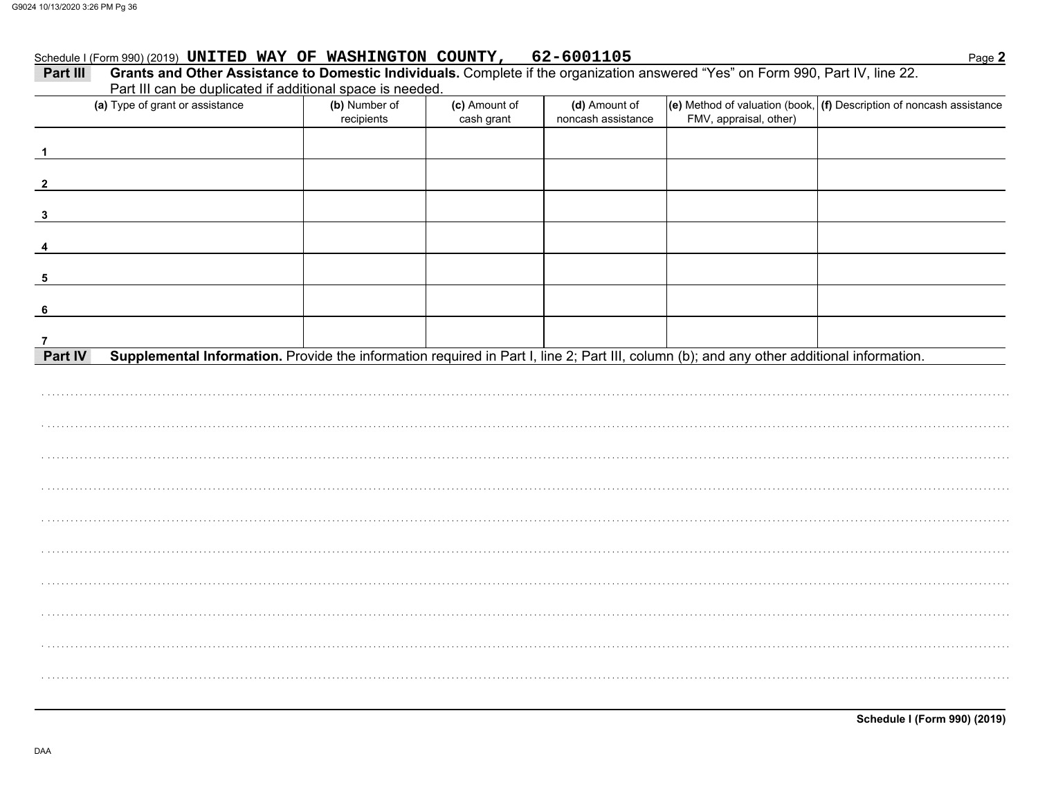#### Schedule I (Form 990) (2019) UNITED WAY OF WASHINGTON COUNTY, 62-6001105

| Part III | Grants and Other Assistance to Domestic Individuals. Complete if the organization answered "Yes" on Form 990, Part IV, line 22.<br>Part III can be duplicated if additional space is needed. |                             |                             |                                     |                        |                                                                                      |
|----------|----------------------------------------------------------------------------------------------------------------------------------------------------------------------------------------------|-----------------------------|-----------------------------|-------------------------------------|------------------------|--------------------------------------------------------------------------------------|
|          | (a) Type of grant or assistance                                                                                                                                                              | (b) Number of<br>recipients | (c) Amount of<br>cash grant | (d) Amount of<br>noncash assistance | FMV, appraisal, other) | $\vert$ (e) Method of valuation (book, $\vert$ (f) Description of noncash assistance |
|          |                                                                                                                                                                                              |                             |                             |                                     |                        |                                                                                      |
|          |                                                                                                                                                                                              |                             |                             |                                     |                        |                                                                                      |
| - 3      |                                                                                                                                                                                              |                             |                             |                                     |                        |                                                                                      |
|          |                                                                                                                                                                                              |                             |                             |                                     |                        |                                                                                      |
| 5        |                                                                                                                                                                                              |                             |                             |                                     |                        |                                                                                      |
| -6       |                                                                                                                                                                                              |                             |                             |                                     |                        |                                                                                      |
| 7        |                                                                                                                                                                                              |                             |                             |                                     |                        |                                                                                      |
| Part IV  | Supplemental Information. Provide the information required in Part I, line 2; Part III, column (b); and any other additional information.                                                    |                             |                             |                                     |                        |                                                                                      |
|          |                                                                                                                                                                                              |                             |                             |                                     |                        |                                                                                      |
|          |                                                                                                                                                                                              |                             |                             |                                     |                        |                                                                                      |
|          |                                                                                                                                                                                              |                             |                             |                                     |                        |                                                                                      |
|          |                                                                                                                                                                                              |                             |                             |                                     |                        |                                                                                      |
|          |                                                                                                                                                                                              |                             |                             |                                     |                        |                                                                                      |
|          |                                                                                                                                                                                              |                             |                             |                                     |                        |                                                                                      |
|          |                                                                                                                                                                                              |                             |                             |                                     |                        |                                                                                      |
|          |                                                                                                                                                                                              |                             |                             |                                     |                        |                                                                                      |
|          |                                                                                                                                                                                              |                             |                             |                                     |                        |                                                                                      |
|          |                                                                                                                                                                                              |                             |                             |                                     |                        |                                                                                      |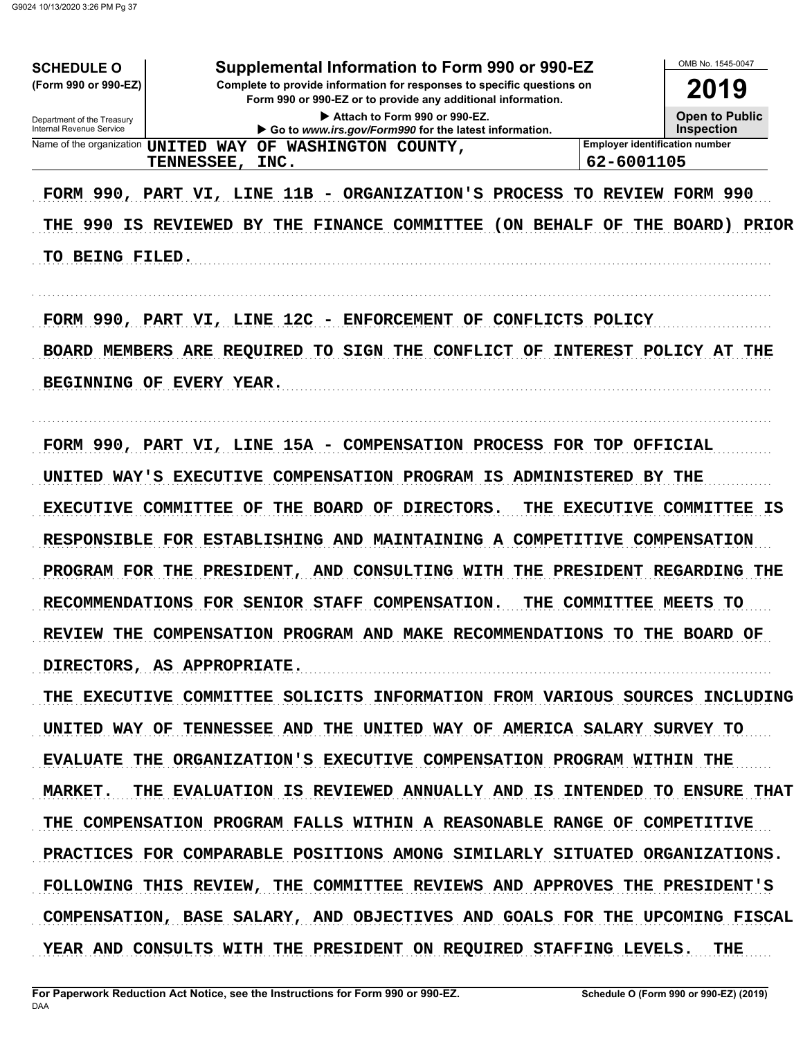| <b>SCHEDULE O</b>                                      | Supplemental Information to Form 990 or 990-EZ                                                                                         |                         | OMB No. 1545-0047                          |
|--------------------------------------------------------|----------------------------------------------------------------------------------------------------------------------------------------|-------------------------|--------------------------------------------|
| (Form 990 or 990-EZ)                                   | Complete to provide information for responses to specific questions on<br>Form 990 or 990-EZ or to provide any additional information. |                         | 2019                                       |
| Department of the Treasury<br>Internal Revenue Service | Attach to Form 990 or 990-EZ.<br>Go to www.irs.gov/Form990 for the latest information.                                                 |                         | <b>Open to Public</b><br><b>Inspection</b> |
|                                                        | Name of the organization UNITED WAY OF WASHINGTON COUNTY,                                                                              |                         | <b>Employer identification number</b>      |
|                                                        | <b>TENNESSEE,</b><br>INC.                                                                                                              | 62-6001105              |                                            |
|                                                        | FORM 990, PART VI, LINE 11B - ORGANIZATION'S PROCESS                                                                                   |                         | TO REVIEW FORM 990                         |
| THE                                                    | 990 IS REVIEWED BY THE FINANCE COMMITTEE                                                                                               | (ON BEHALF<br>OF<br>THE | <b>BOARD) PRIOR</b>                        |
| TO BEING FILED.                                        |                                                                                                                                        |                         |                                            |
|                                                        |                                                                                                                                        |                         |                                            |
|                                                        | FORM 990, PART VI, LINE 12C - ENFORCEMENT OF CONFLICTS POLICY                                                                          |                         |                                            |
|                                                        | BOARD MEMBERS ARE REQUIRED TO SIGN THE<br>CONFLICT OF                                                                                  |                         | INTEREST POLICY AT THE                     |
| BEGINNING OF EVERY YEAR.                               |                                                                                                                                        |                         |                                            |
|                                                        |                                                                                                                                        |                         |                                            |
|                                                        | FORM 990, PART VI, LINE 15A - COMPENSATION PROCESS FOR TOP OFFICIAL                                                                    |                         |                                            |
| UNITED WAY'S EXECUTIVE                                 | COMPENSATION PROGRAM IS ADMINISTERED                                                                                                   |                         | BY THE                                     |
| EXECUTIVE COMMITTEE                                    | OF<br>THE BOARD OF<br><b>DIRECTORS.</b>                                                                                                | THE                     | <b>EXECUTIVE COMMITTEE IS</b>              |
|                                                        | RESPONSIBLE FOR ESTABLISHING AND MAINTAINING A COMPETITIVE COMPENSATION                                                                |                         |                                            |
| PROGRAM FOR THE PRESIDENT,                             | AND CONSULTING WITH THE                                                                                                                | <b>PRESIDENT</b>        | <b>REGARDING THE</b>                       |
|                                                        | RECOMMENDATIONS FOR SENIOR STAFF COMPENSATION.                                                                                         | THE<br><b>COMMITTEE</b> | MEETS<br>TO                                |
|                                                        | REVIEW THE COMPENSATION PROGRAM AND MAKE RECOMMENDATIONS TO THE BOARD OF                                                               |                         |                                            |
| DIRECTORS, AS APPROPRIATE.                             |                                                                                                                                        |                         |                                            |
|                                                        | THE EXECUTIVE COMMITTEE SOLICITS INFORMATION FROM VARIOUS SOURCES INCLUDING                                                            |                         |                                            |
|                                                        | UNITED WAY OF TENNESSEE AND THE UNITED WAY OF AMERICA SALARY SURVEY TO                                                                 |                         |                                            |
|                                                        | EVALUATE THE ORGANIZATION'S EXECUTIVE COMPENSATION PROGRAM WITHIN THE                                                                  |                         |                                            |
|                                                        | MARKET. THE EVALUATION IS REVIEWED ANNUALLY AND IS INTENDED TO ENSURE THAT                                                             |                         |                                            |
|                                                        | THE COMPENSATION PROGRAM FALLS WITHIN A REASONABLE RANGE OF COMPETITIVE                                                                |                         |                                            |
|                                                        |                                                                                                                                        |                         |                                            |
|                                                        | PRACTICES FOR COMPARABLE POSITIONS AMONG SIMILARLY SITUATED ORGANIZATIONS.                                                             |                         |                                            |
|                                                        | FOLLOWING THIS REVIEW, THE COMMITTEE REVIEWS AND APPROVES THE PRESIDENT'S                                                              |                         |                                            |
|                                                        | COMPENSATION, BASE SALARY, AND OBJECTIVES AND GOALS FOR THE UPCOMING FISCAL                                                            |                         |                                            |
|                                                        | YEAR AND CONSULTS WITH THE PRESIDENT ON REQUIRED STAFFING LEVELS. THE                                                                  |                         |                                            |
|                                                        |                                                                                                                                        |                         |                                            |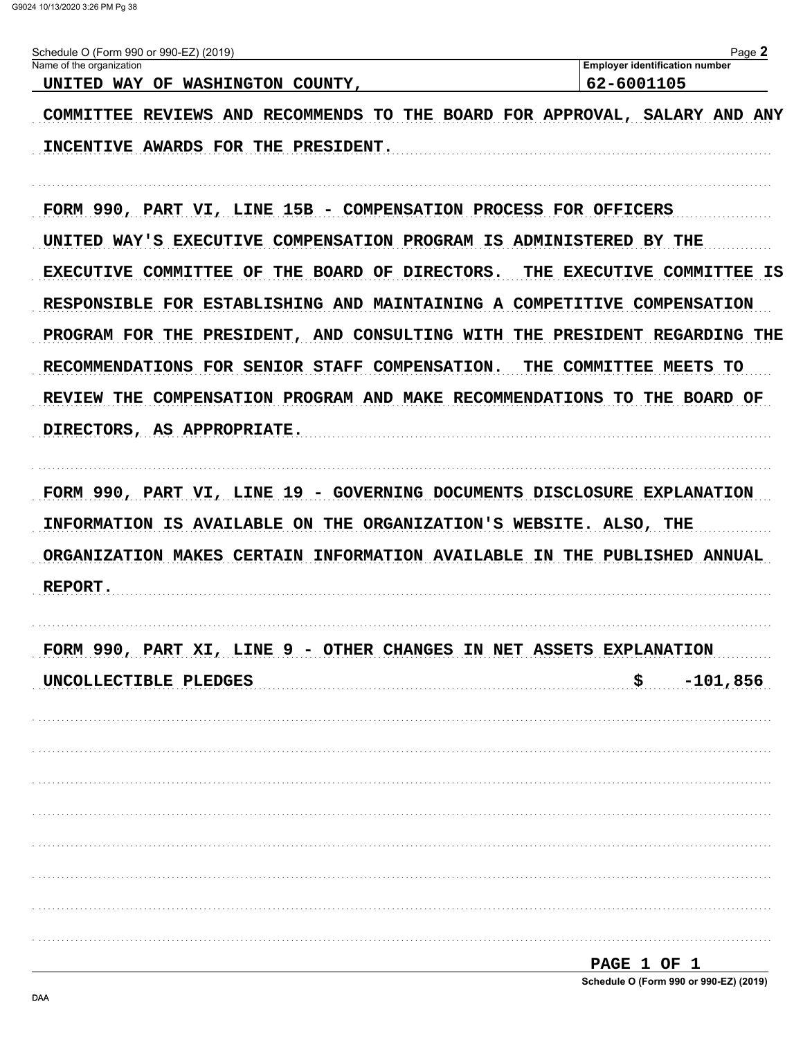| Schedule O (Form 990 or 990-EZ) (2019)<br>Name of the organization         | Page 2<br><b>Employer identification number</b> |
|----------------------------------------------------------------------------|-------------------------------------------------|
| UNITED WAY OF WASHINGTON COUNTY,                                           | 62-6001105                                      |
| COMMITTEE REVIEWS AND RECOMMENDS TO THE BOARD FOR APPROVAL, SALARY AND ANY |                                                 |
| INCENTIVE AWARDS FOR THE PRESIDENT.                                        |                                                 |
|                                                                            |                                                 |
| FORM 990, PART VI, LINE 15B - COMPENSATION PROCESS FOR OFFICERS            |                                                 |
| UNITED WAY'S EXECUTIVE COMPENSATION PROGRAM IS ADMINISTERED BY THE         |                                                 |
| EXECUTIVE COMMITTEE OF THE BOARD OF DIRECTORS. THE EXECUTIVE COMMITTEE IS  |                                                 |
| RESPONSIBLE FOR ESTABLISHING AND MAINTAINING A COMPETITIVE COMPENSATION    |                                                 |
| PROGRAM FOR THE PRESIDENT, AND CONSULTING WITH THE PRESIDENT REGARDING THE |                                                 |
| RECOMMENDATIONS FOR SENIOR STAFF COMPENSATION. THE COMMITTEE MEETS TO      |                                                 |
| REVIEW THE COMPENSATION PROGRAM AND MAKE RECOMMENDATIONS TO THE BOARD OF   |                                                 |
| DIRECTORS, AS APPROPRIATE.                                                 |                                                 |
|                                                                            |                                                 |
|                                                                            |                                                 |
| FORM 990, PART VI, LINE 19 - GOVERNING DOCUMENTS DISCLOSURE EXPLANATION    |                                                 |
| INFORMATION IS AVAILABLE ON THE ORGANIZATION'S WEBSITE. ALSO, THE          |                                                 |
| ORGANIZATION MAKES CERTAIN INFORMATION AVAILABLE IN THE PUBLISHED ANNUAL   |                                                 |
| REPORT.                                                                    |                                                 |
|                                                                            |                                                 |
| FORM 990, PART XI, LINE 9 - OTHER CHANGES IN NET ASSETS EXPLANATION        |                                                 |
| UNCOLLECTIBLE PLEDGES                                                      | $-101,856$<br>\$                                |
|                                                                            |                                                 |
|                                                                            |                                                 |
|                                                                            |                                                 |
|                                                                            |                                                 |
|                                                                            |                                                 |
|                                                                            |                                                 |
|                                                                            |                                                 |
|                                                                            |                                                 |
|                                                                            | PAGE 1 OF 1                                     |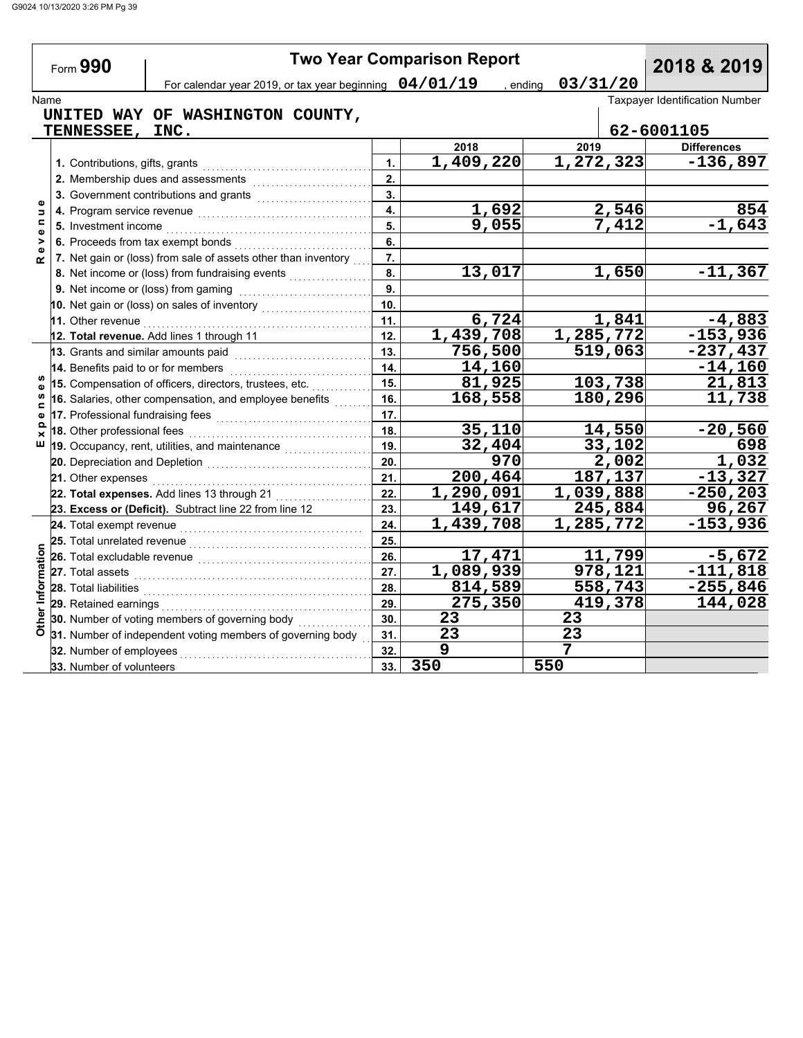|                                    | Form 990                            |                                                                                                |                 | <b>Two Year Comparison Report</b> |           | 2018 & 2019 |                                       |
|------------------------------------|-------------------------------------|------------------------------------------------------------------------------------------------|-----------------|-----------------------------------|-----------|-------------|---------------------------------------|
|                                    |                                     | For calendar year 2019, or tax year beginning $04/01/19$                                       |                 | , ending                          | 03/31/20  |             |                                       |
|                                    | Name                                |                                                                                                |                 |                                   |           |             | <b>Taxpayer Identification Number</b> |
|                                    |                                     | UNITED WAY OF WASHINGTON COUNTY,                                                               |                 |                                   |           |             |                                       |
|                                    | TENNESSEE, INC.                     |                                                                                                |                 |                                   |           |             | 62-6001105                            |
|                                    |                                     |                                                                                                |                 | 2018                              | 2019      |             | <b>Differences</b>                    |
|                                    | 1. Contributions, gifts, grants     |                                                                                                | $\mathbf{1}$ .  | 1,409,220                         | 1,272,323 |             | $-136,897$                            |
| 2. Membership dues and assessments |                                     | 2.                                                                                             |                 |                                   |           |             |                                       |
|                                    |                                     |                                                                                                | 3.              |                                   |           |             |                                       |
| Б                                  |                                     |                                                                                                | 4.              | 1,692                             |           | 2,546       | 854                                   |
|                                    | 5. Investment income                |                                                                                                | 5.              | 9,055                             |           | 7,412       | $-1,643$                              |
| >                                  |                                     | 6. Proceeds from tax exempt bonds                                                              | 6.              |                                   |           |             |                                       |
| $\mathbf{r}$                       |                                     | 7. Net gain or (loss) from sale of assets other than inventory                                 | 7.              |                                   |           |             |                                       |
|                                    |                                     | 8. Net income or (loss) from fundraising events                                                | 8.              | 13,017                            |           | 1,650       | $-11,367$                             |
|                                    |                                     | 9. Net income or (loss) from gaming                                                            | 9.              |                                   |           |             |                                       |
|                                    |                                     | <b>10.</b> Net gain or (loss) on sales of inventory $\quad \ldots \ldots \ldots \ldots \ldots$ | 10.             |                                   |           |             |                                       |
|                                    | 11. Other revenue                   |                                                                                                | 11.             | 6,724                             |           | 1,841       | $-4,883$                              |
|                                    |                                     | 12. Total revenue. Add lines 1 through 11                                                      | 12.             | $\overline{1,439,708}$            | 1,285,772 |             | $-153,936$                            |
|                                    | 13. Grants and similar amounts paid |                                                                                                | 13.             | 756,500                           |           | 519,063     | $-237,437$                            |
|                                    | 14. Benefits paid to or for members |                                                                                                | 14.             | 14,160                            |           |             | $-14,160$                             |
|                                    |                                     | 15. Compensation of officers, directors, trustees, etc.                                        | 15.             | 81,925                            |           | 103,738     | 21,813                                |
|                                    |                                     | 16. Salaries, other compensation, and employee benefits                                        | 16.             | 168,558                           |           | 180,296     | 11,738                                |
|                                    | 17. Professional fundraising fees   |                                                                                                | 17.             |                                   |           |             |                                       |
|                                    | 18. Other professional fees         |                                                                                                | 18.             | 35,110                            |           | 14,550      | $-20,560$                             |
|                                    |                                     | 10 Occupancy rept utilities and maintenance                                                    | 10 <sub>1</sub> | 32 404                            |           | $33, 102$   | 698                                   |

**24. 23. 22.**

**26. 27.**

**32. 31. 30.**

**21. 20. 19. 18. 17.**

**35,110** 14,550 -20,560<br>32,404 33,102 698 **32,404 33,102 698**

**200,464 187,137 -13,327 1,290,091 1,039,888 -250,203**

**1,439,708 1,285,772 -153,936**

**17,471 11,799 -5,672 1,089,939 978,121 -111,818 814,589 558,743 -255,846 419,378**<br>23

**970** 2,002<br>**200,464** 187,137

**149,617 245,884 96,267**

**23 23 23 23 9 7 350 550**

Total liabilities . . . . . . . . . . . . . . . . . . . . . . . . . . . . . . . . . . . . . . . . . . . . . . . . . . **28. 28.**

**25. 25.** Total unrelated revenue . . . . . . . . . . . . . . . . . . . . . . . . . . . . . . . . . . . . . . . .

Total exempt revenue . . . . . . . . . . . . . . . . . . . . . . . . . . . . . . . . . . . . . . . .

**32.** Number of employees . . . . . . . . . . . . . . . . . . . . . . . . . . . . . . . . . . . . . . . . . .

Retained earnings . . . . . . . . . . . . . . . . . . . . . . . . . . . . . . . . . . . . . . . . . . . . . . **29. 29.**

**33.** Number of volunteers **33.**

**18.** Other professional fees . . . . . . . . . . . . . . . . . . . . . . . . . . . . . . . . . . . . . . . . **19.** Occupancy, rent, utilities, and maintenance **. . . . . . . . . . . . . . .** . . **20.** Depreciation and Depletion . . . . . . . . . . . . . . . . . . . . . . . . . . . . . . . . . . . . **21.** Other expenses <sub>………………………………………………</sub>

**Total expenses.** Add lines 13 through 21 . . . . . . . . . . . . . . . . . . . . . **22.**

Total excludable revenue . . . . . . . . . . . . . . . . . . . . . . . . . . . . . . . . . . . . . . **26.**

**Excess or (Deficit).** Subtract line 22 from line 12 **23.**

**24.** Total exempt revenue

**27.** Total assets

**Other Information**

Other Information

Total assets . . . . . . . . . . . . . . . . . . . . . . . . . . . . . . . . . . . . . . . . . . . . . . . . . . . .

**30.** Number of voting members of governing body ......

31. Number of independent voting members of governing body<br>32. Number of employees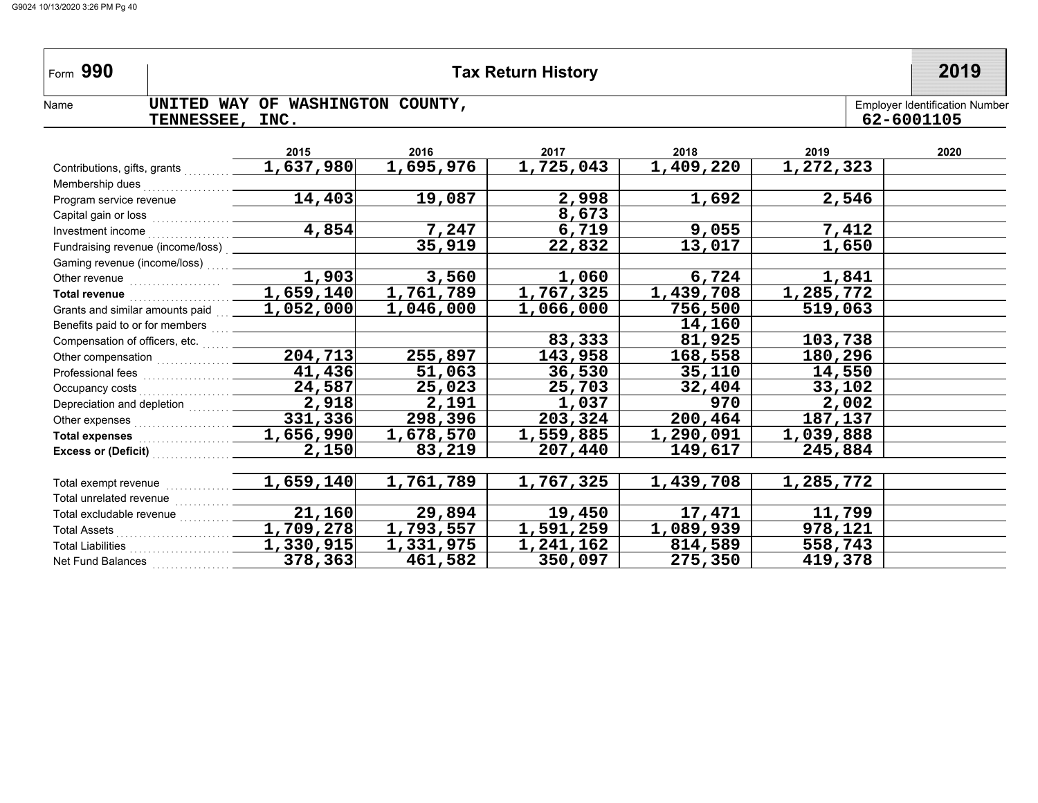| Form 990                                                 |                                                                       |                        | <b>Tax Return History</b> |           |           | 2019                                  |
|----------------------------------------------------------|-----------------------------------------------------------------------|------------------------|---------------------------|-----------|-----------|---------------------------------------|
| Name                                                     | UNITED WAY OF WASHINGTON COUNTY,                                      |                        |                           |           |           | <b>Employer Identification Number</b> |
|                                                          | TENNESSEE, INC.                                                       |                        |                           |           |           | 62-6001105                            |
|                                                          |                                                                       | 2016                   | 2017                      | 2018      | 2019      | 2020                                  |
| Contributions, gifts, grants                             | $\frac{2015}{1,637,980}$                                              | 1,695,976              | 1,725,043                 | 1,409,220 | 1,272,323 |                                       |
| Membership dues                                          |                                                                       |                        |                           |           |           |                                       |
| Program service revenue                                  | 14,403                                                                | 19,087                 | 2,998                     | 1,692     | 2,546     |                                       |
|                                                          |                                                                       |                        | 8,673                     |           |           |                                       |
|                                                          |                                                                       | 7,247                  | 6,719                     | 9,055     | 7,412     |                                       |
| Fundraising revenue (income/loss) __                     |                                                                       | 35,919                 | 22,832                    | 13,017    | 1,650     |                                       |
| Gaming revenue (income/loss)                             |                                                                       |                        |                           |           |           |                                       |
|                                                          | 1,903                                                                 | 3,560                  | 1,060                     | 6,724     | 1,841     |                                       |
|                                                          | Other revenue<br>Total revenue<br>1,659,140<br>1,659,140<br>1,659,140 | $\overline{1,761,789}$ | $\overline{1,767,325}$    | 1,439,708 | 1,285,772 |                                       |
|                                                          | Grants and similar amounts paid $\frac{1,052,000}{\cdots}$            | 1,046,000              | 1,066,000                 | 756,500   | 519,063   |                                       |
| Benefits paid to or for members [11] [2000]              |                                                                       |                        |                           | 14,160    |           |                                       |
| Compensation of officers, etc.                           |                                                                       |                        | 83,333                    | 81,925    | 103,738   |                                       |
|                                                          | 204, 713                                                              | 255,897                | 143,958                   | 168,558   | 180,296   |                                       |
|                                                          | 41,436                                                                | 51,063                 | 36,530                    | 35,110    | 14,550    |                                       |
|                                                          | 24,587                                                                | 25,023                 | 25,703                    | 32,404    | 33,102    |                                       |
| Depreciation and depletion                               | $\boxed{2,918}$                                                       | 2,191                  | 1,037                     | 970       | 2,002     |                                       |
|                                                          | 331,336                                                               | 298,396                | 203, 324                  | 200, 464  | 187,137   |                                       |
| Total expenses Material Communication                    | 1,656,990                                                             | 1,678,570              | 1,559,885                 | 1,290,091 | 1,039,888 |                                       |
|                                                          | 2,150                                                                 | 83,219                 | 207,440                   | 149,617   | 245,884   |                                       |
|                                                          |                                                                       |                        |                           |           |           |                                       |
| Total exempt revenue                                     | 1,659,140                                                             | 1,761,789              | 1,767,325                 | 1,439,708 | 1,285,772 |                                       |
|                                                          |                                                                       |                        |                           |           |           |                                       |
| Total excludable revenue<br><br>Total excludable revenue | 21,160                                                                | 29,894                 | 19,450                    | 17,471    | 11,799    |                                       |
|                                                          | 1,709,278                                                             | 1,793,557              | 1,591,259                 | 1,089,939 | 978,121   |                                       |
| Total Liabilities                                        | 1,330,915                                                             | 1,331,975              | 1, 241, 162               | 814,589   | 558,743   |                                       |
| Net Fund Balances                                        | 378,363                                                               | 461,582                | 350,097                   | 275,350   | 419,378   |                                       |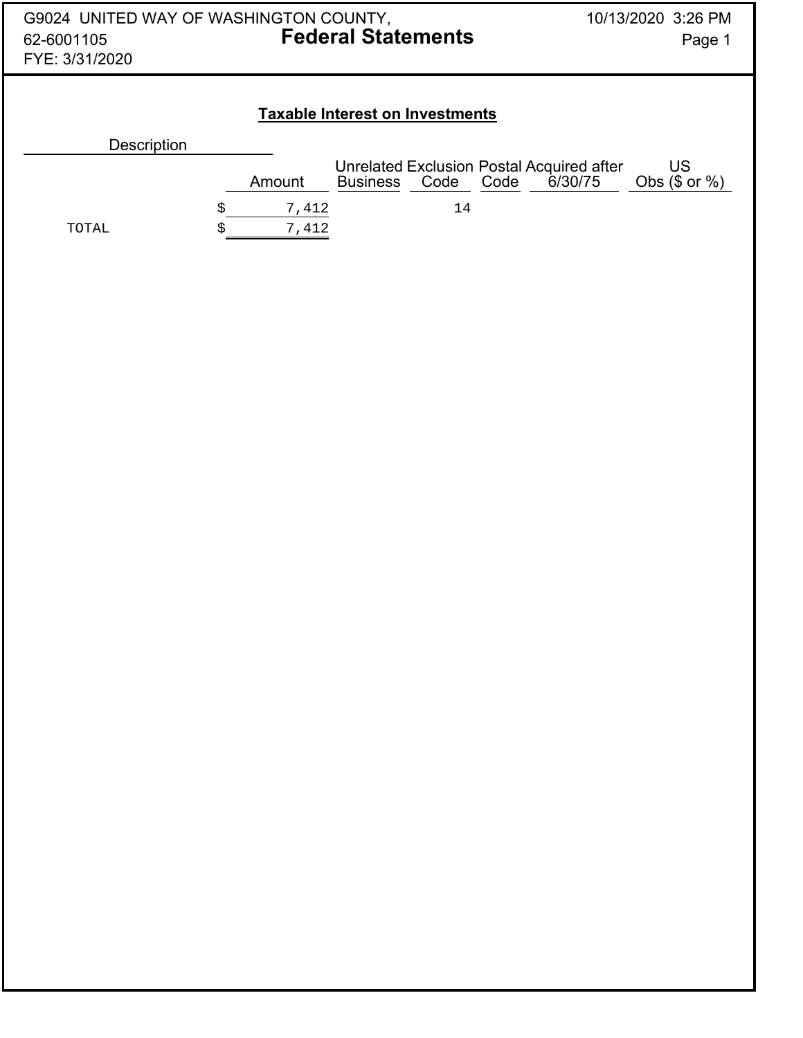| G9024 UNITED WAY OF WASHINGTON COUNTY,<br><b>Federal Statements</b><br>62-6001105<br>FYE: 3/31/2020 |    |        |                 |      |      |                                                      | 10/13/2020 3:26 PM<br>Page 1 |  |
|-----------------------------------------------------------------------------------------------------|----|--------|-----------------|------|------|------------------------------------------------------|------------------------------|--|
| <b>Taxable Interest on Investments</b>                                                              |    |        |                 |      |      |                                                      |                              |  |
| Description                                                                                         |    |        |                 |      |      |                                                      |                              |  |
|                                                                                                     |    | Amount | <b>Business</b> | Code | Code | Unrelated Exclusion Postal Acquired after<br>6/30/75 | <b>US</b><br>Obs $($ or %)$  |  |
|                                                                                                     | \$ | 7,412  |                 | 14   |      |                                                      |                              |  |
| TOTAL                                                                                               | \$ | 7,412  |                 |      |      |                                                      |                              |  |
|                                                                                                     |    |        |                 |      |      |                                                      |                              |  |
|                                                                                                     |    |        |                 |      |      |                                                      |                              |  |
|                                                                                                     |    |        |                 |      |      |                                                      |                              |  |
|                                                                                                     |    |        |                 |      |      |                                                      |                              |  |
|                                                                                                     |    |        |                 |      |      |                                                      |                              |  |
|                                                                                                     |    |        |                 |      |      |                                                      |                              |  |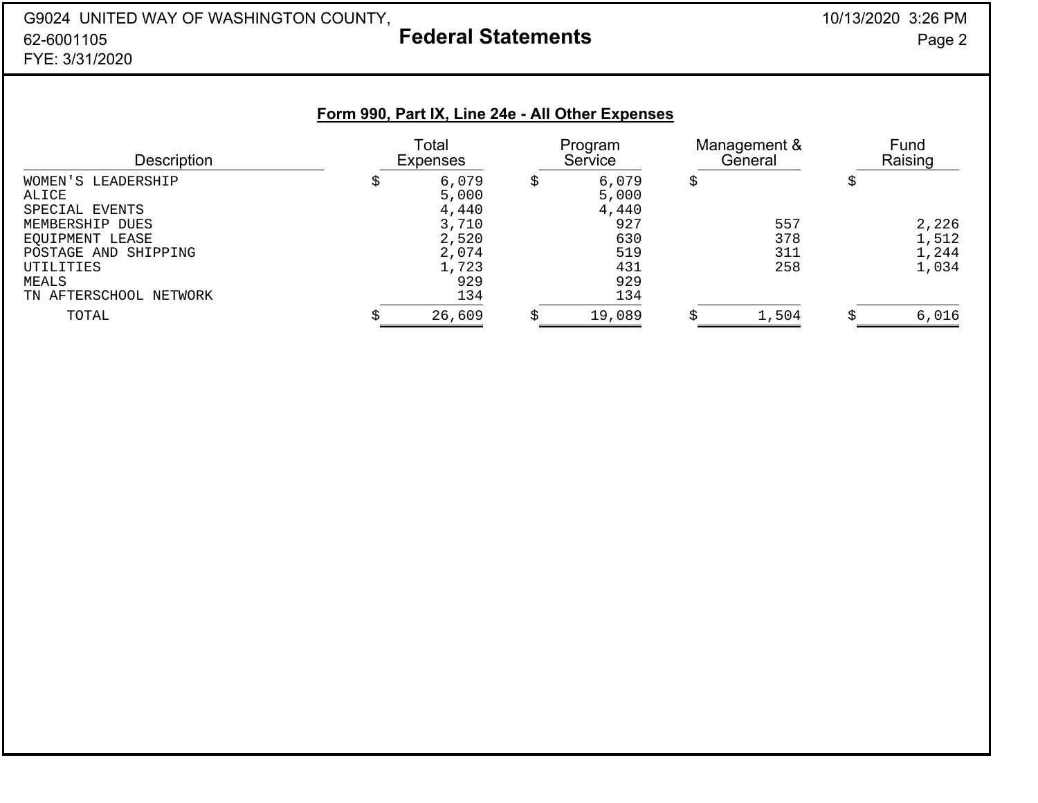### G9024 UNITED WAY OF WASHINGTON COUNTY, The County of the COUNTY, The COUNTY of the COUNTY of the COUNTY of the COUNTY of the COUNTY of the COUNTY of the COUNTY of the COUNTY of the COUNTY of the COUNTY of the COUNTY of the 62-6001105**Federal Statements** Page 2 FYE: 3/31/2020

## **Form 990, Part IX, Line 24e - All Other Expenses**

| <b>Description</b>                                         | Total<br><b>Expenses</b> | Program<br>Service            | Management &<br>General | Fund<br>Raising         |
|------------------------------------------------------------|--------------------------|-------------------------------|-------------------------|-------------------------|
| WOMEN'S LEADERSHIP<br>ALICE<br>SPECIAL EVENTS              | 6,079<br>5,000<br>4,440  | \$<br>6,079<br>5,000<br>4,440 |                         |                         |
| MEMBERSHIP DUES<br>EQUIPMENT LEASE<br>POSTAGE AND SHIPPING | 3,710<br>2,520<br>2,074  | 927<br>630<br>519             | 557<br>378<br>311       | 2,226<br>1,512<br>1,244 |
| UTILITIES<br>MEALS                                         | 1,723<br>929             | 431<br>929                    | 258                     | 1,034                   |
| TN AFTERSCHOOL NETWORK<br>TOTAL                            | 134<br>26,609            | 134<br>19,089                 | 1,504                   | 6,016                   |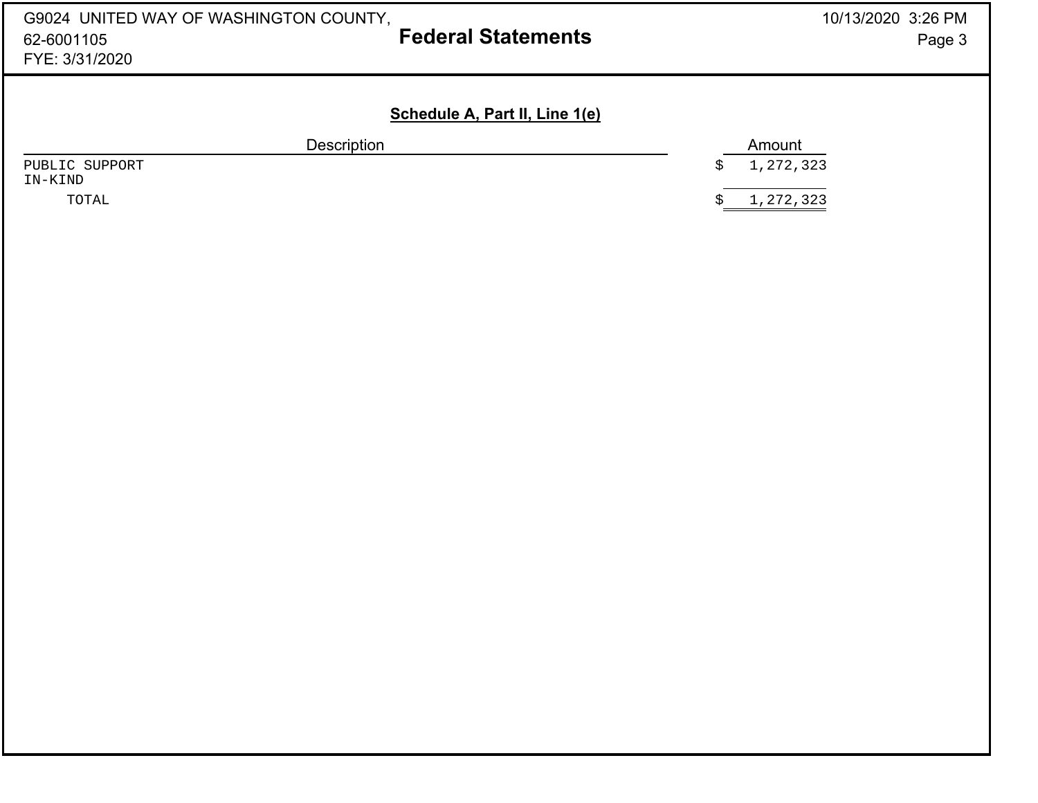| G9024 UNITED WAY OF WASHINGTON COUNTY,<br>62-6001105<br>FYE: 3/31/2020 | <b>Federal Statements</b>      |     | 10/13/2020 3:26 PM<br>Page 3 |  |
|------------------------------------------------------------------------|--------------------------------|-----|------------------------------|--|
|                                                                        | Schedule A, Part II, Line 1(e) |     |                              |  |
|                                                                        | Description                    |     | Amount                       |  |
| PUBLIC SUPPORT<br>IN-KIND                                              |                                | \$. | 1,272,323                    |  |
| TOTAL                                                                  |                                |     | 1,272,323                    |  |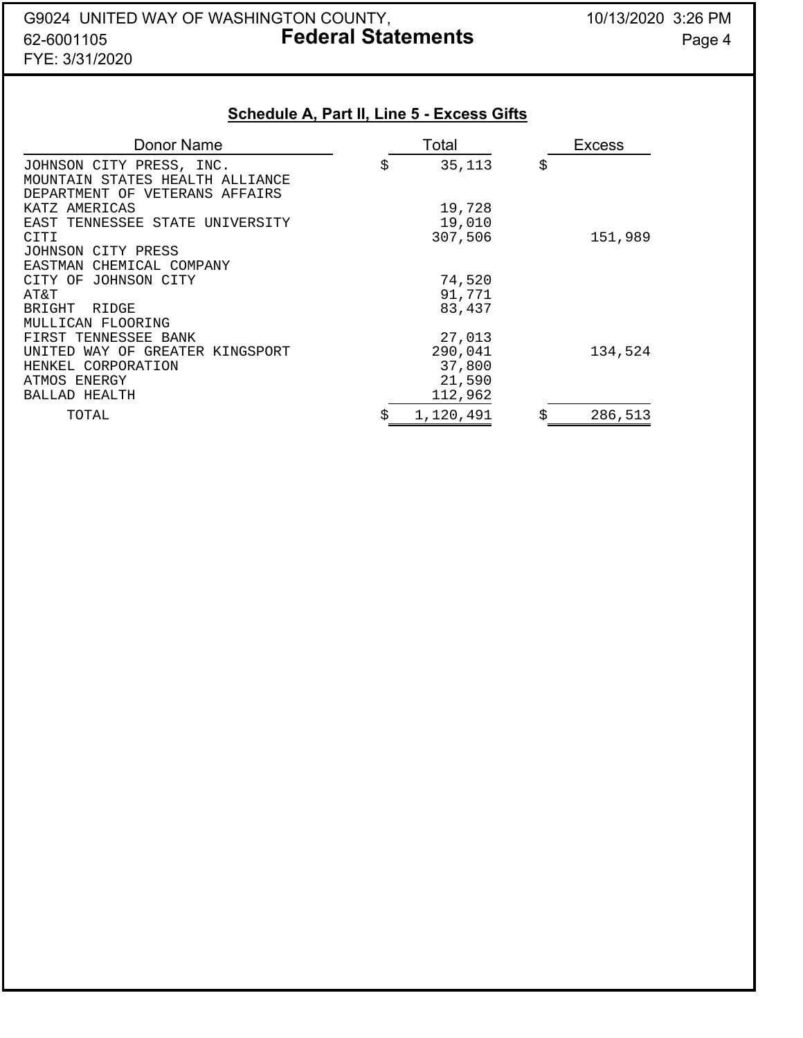## **Schedule A, Part II, Line 5 - Excess Gifts**

| Donor Name                                                                                    |    | Total     | <b>Excess</b> |
|-----------------------------------------------------------------------------------------------|----|-----------|---------------|
| JOHNSON CITY PRESS, INC.<br>MOUNTAIN STATES HEALTH ALLIANCE<br>DEPARTMENT OF VETERANS AFFAIRS | \$ | 35,113    | \$            |
| KATZ AMERICAS                                                                                 |    | 19,728    |               |
| EAST TENNESSEE STATE UNIVERSITY                                                               |    | 19,010    |               |
| CITI                                                                                          |    | 307,506   | 151,989       |
| JOHNSON CITY PRESS                                                                            |    |           |               |
| EASTMAN CHEMICAL COMPANY                                                                      |    |           |               |
| CITY OF JOHNSON CITY                                                                          |    | 74,520    |               |
| AT&T                                                                                          |    | 91,771    |               |
| BRIGHT<br>RIDGE                                                                               |    | 83,437    |               |
| MULLICAN FLOORING                                                                             |    |           |               |
| FIRST TENNESSEE BANK                                                                          |    | 27,013    |               |
| UNITED WAY OF GREATER KINGSPORT                                                               |    | 290,041   | 134,524       |
| HENKEL CORPORATION                                                                            |    | 37,800    |               |
| ATMOS ENERGY                                                                                  |    | 21,590    |               |
| BALLAD HEALTH                                                                                 |    | 112,962   |               |
| TOTAL                                                                                         | S  | 1,120,491 | 286,513       |